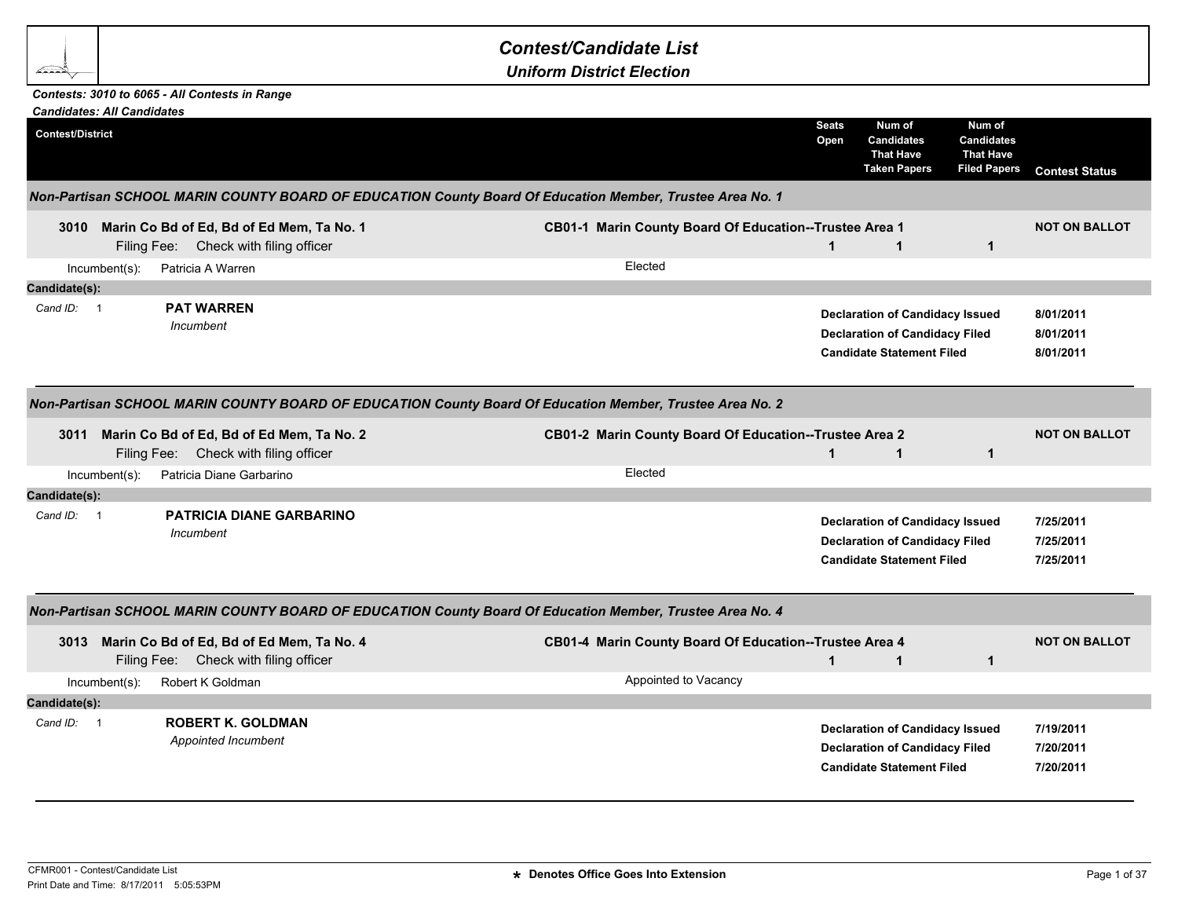## *Contest/Candidate List*

*Uniform District Election*

## *Contests: 3010 to 6065 - All Contests in Range*

<u> an</u>

| <b>Candidates: All Candidates</b>                                                                        |                                                                   |                      |                                                                                                                     |                                                                        |                                     |
|----------------------------------------------------------------------------------------------------------|-------------------------------------------------------------------|----------------------|---------------------------------------------------------------------------------------------------------------------|------------------------------------------------------------------------|-------------------------------------|
| <b>Contest/District</b>                                                                                  |                                                                   | <b>Seats</b><br>Open | Num of<br><b>Candidates</b><br><b>That Have</b><br><b>Taken Papers</b>                                              | Num of<br><b>Candidates</b><br><b>That Have</b><br><b>Filed Papers</b> | <b>Contest Status</b>               |
| Non-Partisan SCHOOL MARIN COUNTY BOARD OF EDUCATION County Board Of Education Member, Trustee Area No. 1 |                                                                   |                      |                                                                                                                     |                                                                        |                                     |
| Marin Co Bd of Ed, Bd of Ed Mem, Ta No. 1<br>3010<br>Filing Fee: Check with filing officer               | CB01-1 Marin County Board Of Education--Trustee Area 1<br>Elected | $\mathbf{1}$         | $\mathbf 1$                                                                                                         | $\mathbf{1}$                                                           | <b>NOT ON BALLOT</b>                |
| Patricia A Warren<br>$Incumbent(s)$ :                                                                    |                                                                   |                      |                                                                                                                     |                                                                        |                                     |
| Candidate(s):<br><b>PAT WARREN</b><br>Cand $ID: 1$<br>Incumbent                                          |                                                                   |                      | <b>Declaration of Candidacy Issued</b><br><b>Declaration of Candidacy Filed</b><br><b>Candidate Statement Filed</b> |                                                                        | 8/01/2011<br>8/01/2011<br>8/01/2011 |
| Non-Partisan SCHOOL MARIN COUNTY BOARD OF EDUCATION County Board Of Education Member, Trustee Area No. 2 |                                                                   |                      |                                                                                                                     |                                                                        |                                     |
| 3011 Marin Co Bd of Ed, Bd of Ed Mem, Ta No. 2<br>Filing Fee: Check with filing officer                  | CB01-2 Marin County Board Of Education--Trustee Area 2            | $\mathbf 1$          | $\mathbf 1$                                                                                                         | $\mathbf{1}$                                                           | <b>NOT ON BALLOT</b>                |
| Patricia Diane Garbarino<br>$Incumbent(s)$ :                                                             | Elected                                                           |                      |                                                                                                                     |                                                                        |                                     |
| Candidate(s):                                                                                            |                                                                   |                      |                                                                                                                     |                                                                        |                                     |
| <b>PATRICIA DIANE GARBARINO</b><br>Cand $ID: 1$<br>Incumbent                                             |                                                                   |                      | <b>Declaration of Candidacy Issued</b><br><b>Declaration of Candidacy Filed</b><br><b>Candidate Statement Filed</b> |                                                                        | 7/25/2011<br>7/25/2011<br>7/25/2011 |
| Non-Partisan SCHOOL MARIN COUNTY BOARD OF EDUCATION County Board Of Education Member, Trustee Area No. 4 |                                                                   |                      |                                                                                                                     |                                                                        |                                     |
| 3013 Marin Co Bd of Ed, Bd of Ed Mem, Ta No. 4<br>Filing Fee: Check with filing officer                  | CB01-4 Marin County Board Of Education--Trustee Area 4            | $\blacktriangleleft$ | $\mathbf{1}$                                                                                                        | $\mathbf{1}$                                                           | <b>NOT ON BALLOT</b>                |
| Robert K Goldman<br>$Incumbent(s)$ :                                                                     | Appointed to Vacancy                                              |                      |                                                                                                                     |                                                                        |                                     |
| Candidate(s):                                                                                            |                                                                   |                      |                                                                                                                     |                                                                        |                                     |
| <b>ROBERT K. GOLDMAN</b><br>Cand ID: 1<br>Appointed Incumbent                                            |                                                                   |                      | <b>Declaration of Candidacy Issued</b><br><b>Declaration of Candidacy Filed</b><br><b>Candidate Statement Filed</b> |                                                                        | 7/19/2011<br>7/20/2011<br>7/20/2011 |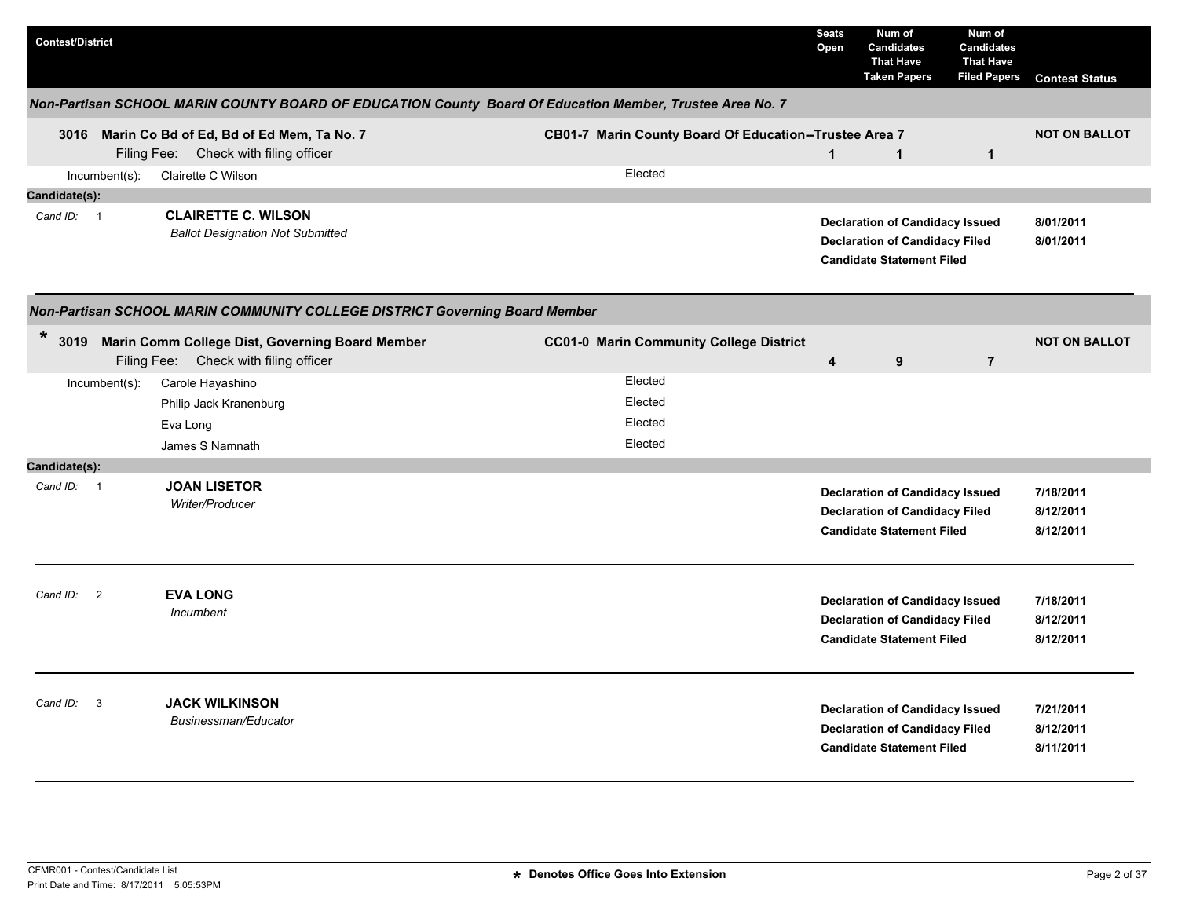| <b>Contest/District</b> |                         |                                                                                                          |  |                                                        | <b>Seats</b><br>Open | Num of<br><b>Candidates</b><br><b>That Have</b><br><b>Taken Papers</b>                                              | Num of<br><b>Candidates</b><br><b>That Have</b><br><b>Filed Papers</b> | <b>Contest Status</b>               |
|-------------------------|-------------------------|----------------------------------------------------------------------------------------------------------|--|--------------------------------------------------------|----------------------|---------------------------------------------------------------------------------------------------------------------|------------------------------------------------------------------------|-------------------------------------|
|                         |                         | Non-Partisan SCHOOL MARIN COUNTY BOARD OF EDUCATION County Board Of Education Member, Trustee Area No. 7 |  |                                                        |                      |                                                                                                                     |                                                                        |                                     |
|                         |                         | 3016 Marin Co Bd of Ed, Bd of Ed Mem, Ta No. 7<br>Filing Fee: Check with filing officer                  |  | CB01-7 Marin County Board Of Education--Trustee Area 7 | $\mathbf 1$          | $\mathbf{1}$                                                                                                        | $\mathbf{1}$                                                           | <b>NOT ON BALLOT</b>                |
|                         | Incumbent(s):           | Clairette C Wilson                                                                                       |  | Elected                                                |                      |                                                                                                                     |                                                                        |                                     |
| Candidate(s):           |                         |                                                                                                          |  |                                                        |                      |                                                                                                                     |                                                                        |                                     |
| Cand ID: 1              |                         | <b>CLAIRETTE C. WILSON</b><br><b>Ballot Designation Not Submitted</b>                                    |  |                                                        |                      | <b>Declaration of Candidacy Issued</b><br><b>Declaration of Candidacy Filed</b><br><b>Candidate Statement Filed</b> |                                                                        | 8/01/2011<br>8/01/2011              |
|                         |                         | Non-Partisan SCHOOL MARIN COMMUNITY COLLEGE DISTRICT Governing Board Member                              |  |                                                        |                      |                                                                                                                     |                                                                        |                                     |
| *<br>3019               |                         | Marin Comm College Dist, Governing Board Member<br>Filing Fee: Check with filing officer                 |  | <b>CC01-0 Marin Community College District</b>         | 4                    | 9                                                                                                                   | $\overline{7}$                                                         | <b>NOT ON BALLOT</b>                |
|                         | $Incumbent(s)$ :        | Carole Hayashino                                                                                         |  | Elected                                                |                      |                                                                                                                     |                                                                        |                                     |
|                         |                         | Philip Jack Kranenburg                                                                                   |  | Elected                                                |                      |                                                                                                                     |                                                                        |                                     |
|                         |                         | Eva Long                                                                                                 |  | Elected                                                |                      |                                                                                                                     |                                                                        |                                     |
|                         |                         | James S Namnath                                                                                          |  | Elected                                                |                      |                                                                                                                     |                                                                        |                                     |
| Candidate(s):           |                         |                                                                                                          |  |                                                        |                      |                                                                                                                     |                                                                        |                                     |
| Cand ID: 1              |                         | <b>JOAN LISETOR</b><br>Writer/Producer                                                                   |  |                                                        |                      | <b>Declaration of Candidacy Issued</b><br><b>Declaration of Candidacy Filed</b><br><b>Candidate Statement Filed</b> |                                                                        | 7/18/2011<br>8/12/2011<br>8/12/2011 |
| Cand ID: 2              |                         | <b>EVA LONG</b><br>Incumbent                                                                             |  |                                                        |                      | <b>Declaration of Candidacy Issued</b><br><b>Declaration of Candidacy Filed</b><br><b>Candidate Statement Filed</b> |                                                                        | 7/18/2011<br>8/12/2011<br>8/12/2011 |
| Cand ID:                | $\overline{\mathbf{3}}$ | <b>JACK WILKINSON</b><br>Businessman/Educator                                                            |  |                                                        |                      | <b>Declaration of Candidacy Issued</b><br><b>Declaration of Candidacy Filed</b><br><b>Candidate Statement Filed</b> |                                                                        | 7/21/2011<br>8/12/2011<br>8/11/2011 |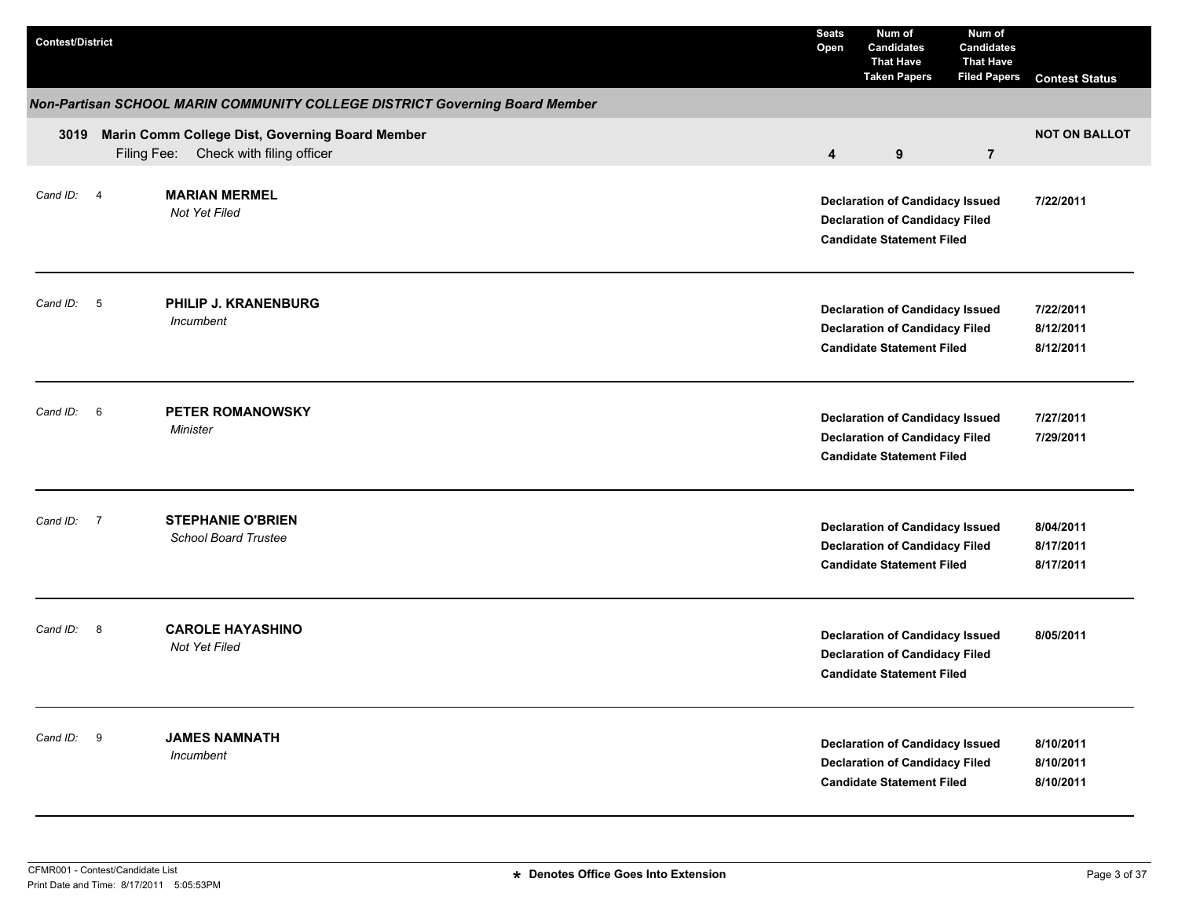| <b>Contest/District</b>     |                                                                                          | <b>Seats</b><br>Open    | Num of<br><b>Candidates</b><br><b>That Have</b><br><b>Taken Papers</b>                                              | Num of<br><b>Candidates</b><br><b>That Have</b><br><b>Filed Papers</b> | <b>Contest Status</b>               |
|-----------------------------|------------------------------------------------------------------------------------------|-------------------------|---------------------------------------------------------------------------------------------------------------------|------------------------------------------------------------------------|-------------------------------------|
|                             | Non-Partisan SCHOOL MARIN COMMUNITY COLLEGE DISTRICT Governing Board Member              |                         |                                                                                                                     |                                                                        |                                     |
| 3019                        | Marin Comm College Dist, Governing Board Member<br>Filing Fee: Check with filing officer | $\overline{\mathbf{4}}$ | 9                                                                                                                   | $\overline{7}$                                                         | <b>NOT ON BALLOT</b>                |
| Cand ID: 4                  | <b>MARIAN MERMEL</b><br>Not Yet Filed                                                    |                         | <b>Declaration of Candidacy Issued</b><br><b>Declaration of Candidacy Filed</b><br><b>Candidate Statement Filed</b> |                                                                        | 7/22/2011                           |
| Cand ID: 5                  | PHILIP J. KRANENBURG<br>Incumbent                                                        |                         | <b>Declaration of Candidacy Issued</b><br><b>Declaration of Candidacy Filed</b><br><b>Candidate Statement Filed</b> |                                                                        | 7/22/2011<br>8/12/2011<br>8/12/2011 |
| Cand ID:<br>$6\overline{6}$ | <b>PETER ROMANOWSKY</b><br>Minister                                                      |                         | <b>Declaration of Candidacy Issued</b><br><b>Declaration of Candidacy Filed</b><br><b>Candidate Statement Filed</b> |                                                                        | 7/27/2011<br>7/29/2011              |
| Cand ID: 7                  | <b>STEPHANIE O'BRIEN</b><br><b>School Board Trustee</b>                                  |                         | <b>Declaration of Candidacy Issued</b><br><b>Declaration of Candidacy Filed</b><br><b>Candidate Statement Filed</b> |                                                                        | 8/04/2011<br>8/17/2011<br>8/17/2011 |
| Cand ID: 8                  | <b>CAROLE HAYASHINO</b><br>Not Yet Filed                                                 |                         | <b>Declaration of Candidacy Issued</b><br><b>Declaration of Candidacy Filed</b><br><b>Candidate Statement Filed</b> |                                                                        | 8/05/2011                           |
| Cand ID: 9                  | <b>JAMES NAMNATH</b><br>Incumbent                                                        |                         | <b>Declaration of Candidacy Issued</b><br><b>Declaration of Candidacy Filed</b><br><b>Candidate Statement Filed</b> |                                                                        | 8/10/2011<br>8/10/2011<br>8/10/2011 |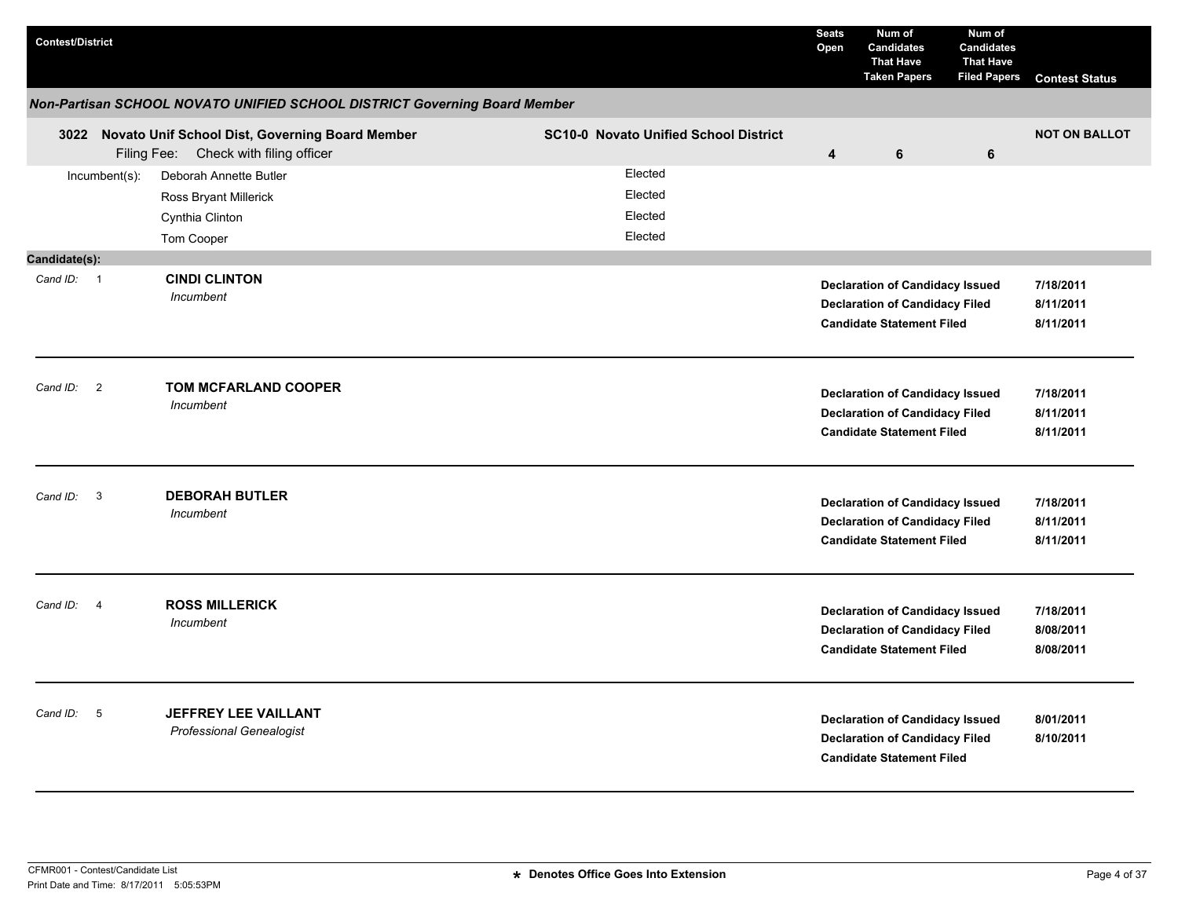| <b>Contest/District</b>              |                                                                                               |                                              | <b>Seats</b><br>Open    | Num of<br><b>Candidates</b><br><b>That Have</b><br><b>Taken Papers</b>                                              | Num of<br><b>Candidates</b><br><b>That Have</b><br><b>Filed Papers</b> | <b>Contest Status</b>               |
|--------------------------------------|-----------------------------------------------------------------------------------------------|----------------------------------------------|-------------------------|---------------------------------------------------------------------------------------------------------------------|------------------------------------------------------------------------|-------------------------------------|
|                                      | Non-Partisan SCHOOL NOVATO UNIFIED SCHOOL DISTRICT Governing Board Member                     |                                              |                         |                                                                                                                     |                                                                        |                                     |
|                                      | 3022 Novato Unif School Dist, Governing Board Member<br>Filing Fee: Check with filing officer | <b>SC10-0 Novato Unified School District</b> | $\overline{\mathbf{4}}$ | 6                                                                                                                   | 6                                                                      | <b>NOT ON BALLOT</b>                |
| Incumbent(s):                        | Deborah Annette Butler<br>Ross Bryant Millerick<br>Cynthia Clinton<br>Tom Cooper              | Elected<br>Elected<br>Elected<br>Elected     |                         |                                                                                                                     |                                                                        |                                     |
| Candidate(s):                        |                                                                                               |                                              |                         |                                                                                                                     |                                                                        |                                     |
| Cand ID: 1                           | <b>CINDI CLINTON</b><br>Incumbent                                                             |                                              |                         | <b>Declaration of Candidacy Issued</b><br><b>Declaration of Candidacy Filed</b><br><b>Candidate Statement Filed</b> |                                                                        | 7/18/2011<br>8/11/2011<br>8/11/2011 |
| $\overline{\phantom{a}}$<br>Cand ID: | TOM MCFARLAND COOPER<br>Incumbent                                                             |                                              |                         | <b>Declaration of Candidacy Issued</b><br><b>Declaration of Candidacy Filed</b><br><b>Candidate Statement Filed</b> |                                                                        | 7/18/2011<br>8/11/2011<br>8/11/2011 |
| $\overline{\mathbf{3}}$<br>Cand ID:  | <b>DEBORAH BUTLER</b><br>Incumbent                                                            |                                              |                         | <b>Declaration of Candidacy Issued</b><br><b>Declaration of Candidacy Filed</b><br><b>Candidate Statement Filed</b> |                                                                        | 7/18/2011<br>8/11/2011<br>8/11/2011 |
| Cand ID: 4                           | <b>ROSS MILLERICK</b><br>Incumbent                                                            |                                              |                         | <b>Declaration of Candidacy Issued</b><br><b>Declaration of Candidacy Filed</b><br><b>Candidate Statement Filed</b> |                                                                        | 7/18/2011<br>8/08/2011<br>8/08/2011 |
| Cand ID: 5                           | <b>JEFFREY LEE VAILLANT</b><br><b>Professional Genealogist</b>                                |                                              |                         | <b>Declaration of Candidacy Issued</b><br><b>Declaration of Candidacy Filed</b><br><b>Candidate Statement Filed</b> |                                                                        | 8/01/2011<br>8/10/2011              |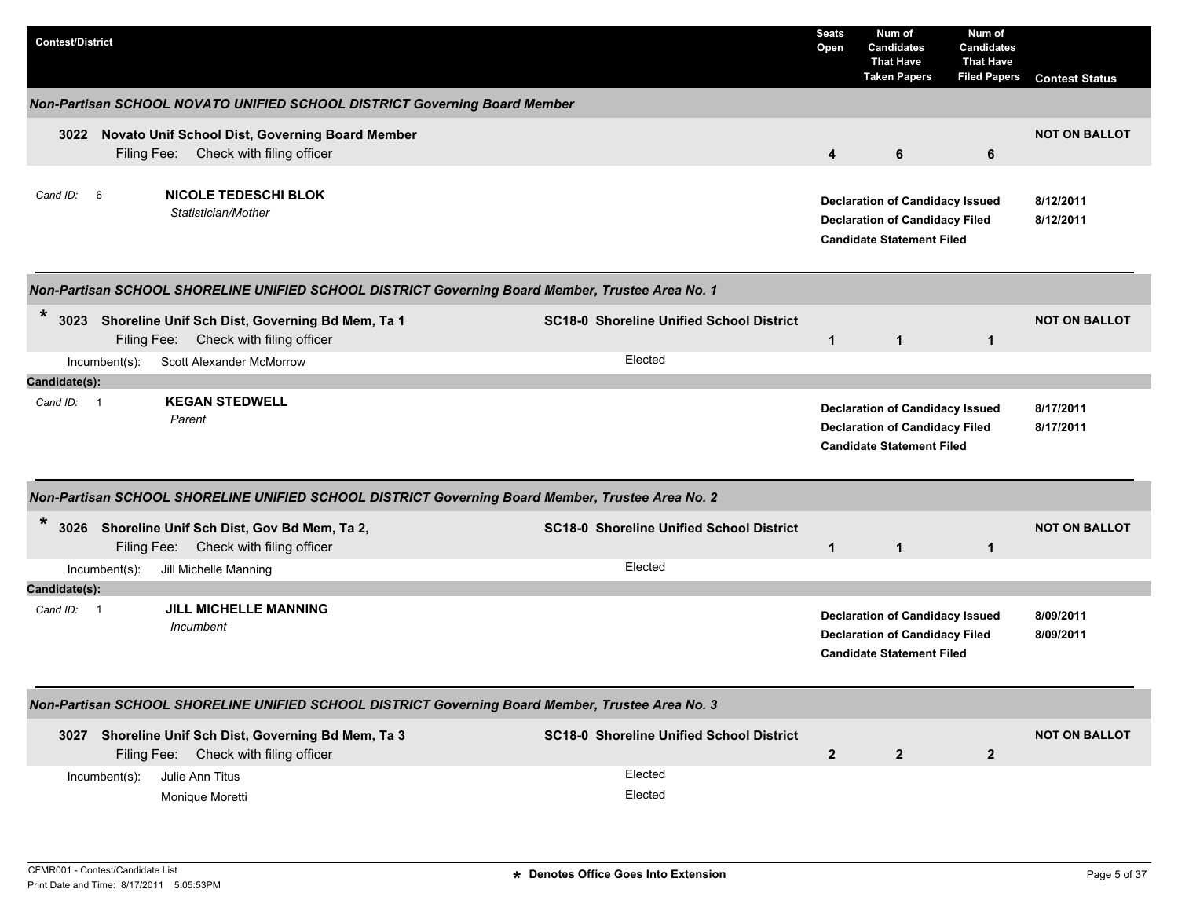| <b>Contest/District</b> |                                                                                                  |                                                 | <b>Seats</b><br>Open | Num of<br><b>Candidates</b><br><b>That Have</b><br><b>Taken Papers</b>                                              | Num of<br><b>Candidates</b><br><b>That Have</b><br><b>Filed Papers</b> | <b>Contest Status</b>  |
|-------------------------|--------------------------------------------------------------------------------------------------|-------------------------------------------------|----------------------|---------------------------------------------------------------------------------------------------------------------|------------------------------------------------------------------------|------------------------|
|                         | Non-Partisan SCHOOL NOVATO UNIFIED SCHOOL DISTRICT Governing Board Member                        |                                                 |                      |                                                                                                                     |                                                                        |                        |
| 3022                    | Novato Unif School Dist, Governing Board Member<br>Filing Fee: Check with filing officer         |                                                 | 4                    | 6                                                                                                                   | 6                                                                      | <b>NOT ON BALLOT</b>   |
| Cand ID: 6              | <b>NICOLE TEDESCHI BLOK</b><br>Statistician/Mother                                               |                                                 |                      | <b>Declaration of Candidacy Issued</b><br><b>Declaration of Candidacy Filed</b><br><b>Candidate Statement Filed</b> |                                                                        | 8/12/2011<br>8/12/2011 |
|                         | Non-Partisan SCHOOL SHORELINE UNIFIED SCHOOL DISTRICT Governing Board Member, Trustee Area No. 1 |                                                 |                      |                                                                                                                     |                                                                        |                        |
| $\ast$                  | 3023 Shoreline Unif Sch Dist, Governing Bd Mem, Ta 1<br>Filing Fee: Check with filing officer    | <b>SC18-0 Shoreline Unified School District</b> | $\mathbf{1}$         | $\mathbf{1}$                                                                                                        | $\mathbf{1}$                                                           | <b>NOT ON BALLOT</b>   |
| $Incumbent(s)$ :        | <b>Scott Alexander McMorrow</b>                                                                  | Elected                                         |                      |                                                                                                                     |                                                                        |                        |
| Candidate(s):           |                                                                                                  |                                                 |                      |                                                                                                                     |                                                                        |                        |
| Cand ID: 1              | <b>KEGAN STEDWELL</b><br>Parent                                                                  |                                                 |                      | <b>Declaration of Candidacy Issued</b><br><b>Declaration of Candidacy Filed</b><br><b>Candidate Statement Filed</b> |                                                                        | 8/17/2011<br>8/17/2011 |
|                         | Non-Partisan SCHOOL SHORELINE UNIFIED SCHOOL DISTRICT Governing Board Member, Trustee Area No. 2 |                                                 |                      |                                                                                                                     |                                                                        |                        |
| *                       | 3026 Shoreline Unif Sch Dist, Gov Bd Mem, Ta 2,<br>Filing Fee: Check with filing officer         | <b>SC18-0 Shoreline Unified School District</b> | $\mathbf{1}$         | $\mathbf{1}$                                                                                                        | $\mathbf{1}$                                                           | <b>NOT ON BALLOT</b>   |
| Incumbent(s):           | Jill Michelle Manning                                                                            | Elected                                         |                      |                                                                                                                     |                                                                        |                        |
| Candidate(s):           |                                                                                                  |                                                 |                      |                                                                                                                     |                                                                        |                        |
| Cand $ID: 1$            | <b>JILL MICHELLE MANNING</b><br>Incumbent                                                        |                                                 |                      | <b>Declaration of Candidacy Issued</b><br><b>Declaration of Candidacy Filed</b><br><b>Candidate Statement Filed</b> |                                                                        | 8/09/2011<br>8/09/2011 |
|                         | Non-Partisan SCHOOL SHORELINE UNIFIED SCHOOL DISTRICT Governing Board Member, Trustee Area No. 3 |                                                 |                      |                                                                                                                     |                                                                        |                        |
|                         | 3027 Shoreline Unif Sch Dist, Governing Bd Mem, Ta 3<br>Filing Fee: Check with filing officer    | <b>SC18-0 Shoreline Unified School District</b> | $\overline{2}$       | $\mathbf{2}$                                                                                                        | $\mathbf{2}$                                                           | <b>NOT ON BALLOT</b>   |
| Incumbent(s):           | Julie Ann Titus<br>Monique Moretti                                                               | Elected<br>Elected                              |                      |                                                                                                                     |                                                                        |                        |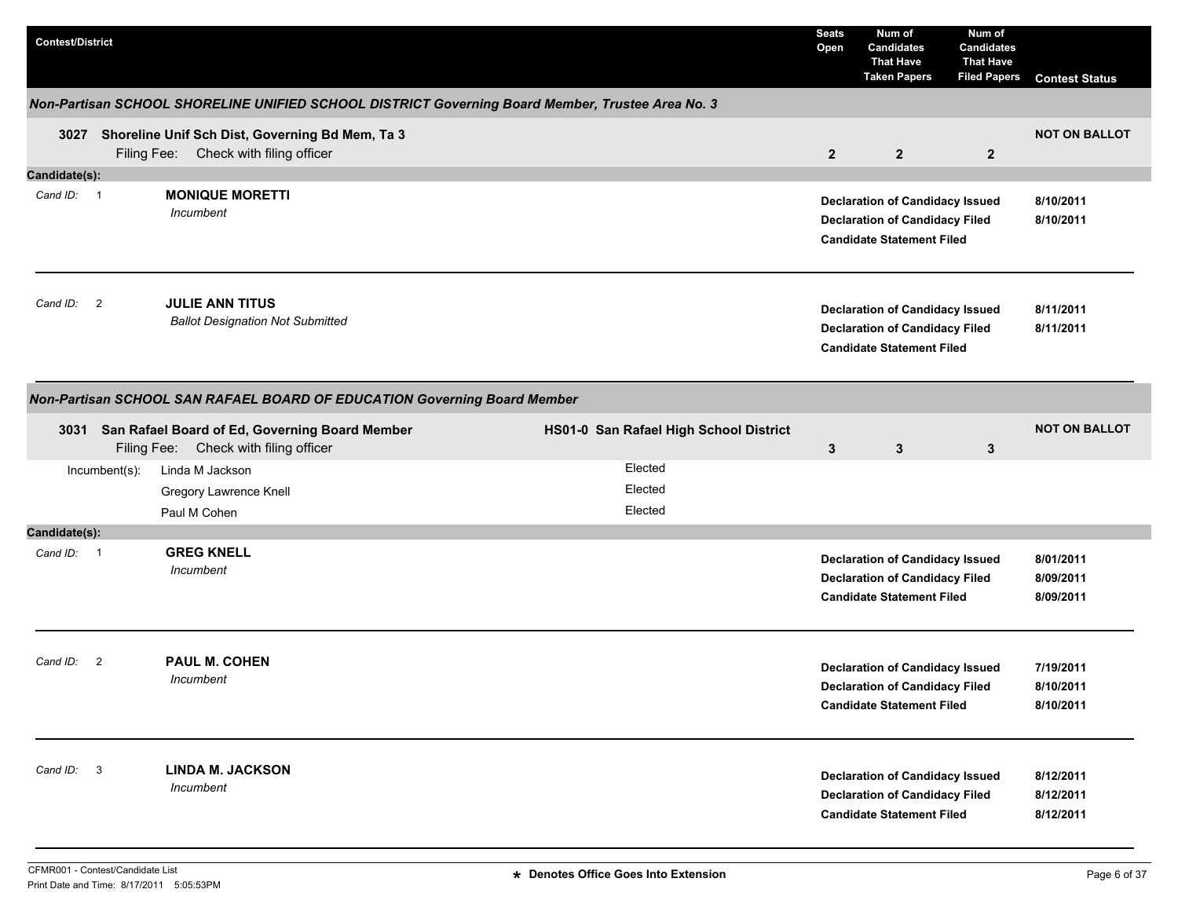| <b>Contest/District</b>  |               |                                                                                                  |                                        | <b>Seats</b><br>Open | Num of<br><b>Candidates</b><br><b>That Have</b><br><b>Taken Papers</b>                                              | Num of<br><b>Candidates</b><br><b>That Have</b><br><b>Filed Papers</b> | <b>Contest Status</b>               |
|--------------------------|---------------|--------------------------------------------------------------------------------------------------|----------------------------------------|----------------------|---------------------------------------------------------------------------------------------------------------------|------------------------------------------------------------------------|-------------------------------------|
|                          |               | Non-Partisan SCHOOL SHORELINE UNIFIED SCHOOL DISTRICT Governing Board Member, Trustee Area No. 3 |                                        |                      |                                                                                                                     |                                                                        |                                     |
|                          |               | 3027 Shoreline Unif Sch Dist, Governing Bd Mem, Ta 3<br>Filing Fee: Check with filing officer    |                                        | $\overline{2}$       | $\overline{2}$                                                                                                      | $\overline{2}$                                                         | <b>NOT ON BALLOT</b>                |
| Candidate(s):            |               |                                                                                                  |                                        |                      |                                                                                                                     |                                                                        |                                     |
| Cand ID: 1               |               | <b>MONIQUE MORETTI</b><br>Incumbent                                                              |                                        |                      | <b>Declaration of Candidacy Issued</b><br><b>Declaration of Candidacy Filed</b><br><b>Candidate Statement Filed</b> |                                                                        | 8/10/2011<br>8/10/2011              |
| Cand ID: 2               |               | <b>JULIE ANN TITUS</b><br><b>Ballot Designation Not Submitted</b>                                |                                        |                      | <b>Declaration of Candidacy Issued</b><br><b>Declaration of Candidacy Filed</b><br><b>Candidate Statement Filed</b> |                                                                        | 8/11/2011<br>8/11/2011              |
|                          |               | Non-Partisan SCHOOL SAN RAFAEL BOARD OF EDUCATION Governing Board Member                         |                                        |                      |                                                                                                                     |                                                                        |                                     |
|                          |               | 3031 San Rafael Board of Ed, Governing Board Member<br>Filing Fee: Check with filing officer     | HS01-0 San Rafael High School District | $\mathbf{3}$         | $\mathbf{3}$                                                                                                        | $\mathbf{3}$                                                           | <b>NOT ON BALLOT</b>                |
|                          | Incumbent(s): | Linda M Jackson                                                                                  | Elected                                |                      |                                                                                                                     |                                                                        |                                     |
|                          |               | Gregory Lawrence Knell                                                                           | Elected                                |                      |                                                                                                                     |                                                                        |                                     |
|                          |               | Paul M Cohen                                                                                     | Elected                                |                      |                                                                                                                     |                                                                        |                                     |
| Candidate(s):            |               |                                                                                                  |                                        |                      |                                                                                                                     |                                                                        |                                     |
| Cand ID: 1               |               | <b>GREG KNELL</b><br>Incumbent                                                                   |                                        |                      | <b>Declaration of Candidacy Issued</b><br><b>Declaration of Candidacy Filed</b><br><b>Candidate Statement Filed</b> |                                                                        | 8/01/2011<br>8/09/2011<br>8/09/2011 |
| Cand ID: 2               |               | <b>PAUL M. COHEN</b><br>Incumbent                                                                |                                        |                      | <b>Declaration of Candidacy Issued</b><br><b>Declaration of Candidacy Filed</b><br><b>Candidate Statement Filed</b> |                                                                        | 7/19/2011<br>8/10/2011<br>8/10/2011 |
| $\mathbf{3}$<br>Cand ID: |               | <b>LINDA M. JACKSON</b><br>Incumbent                                                             |                                        |                      | <b>Declaration of Candidacy Issued</b><br><b>Declaration of Candidacy Filed</b><br><b>Candidate Statement Filed</b> |                                                                        | 8/12/2011<br>8/12/2011<br>8/12/2011 |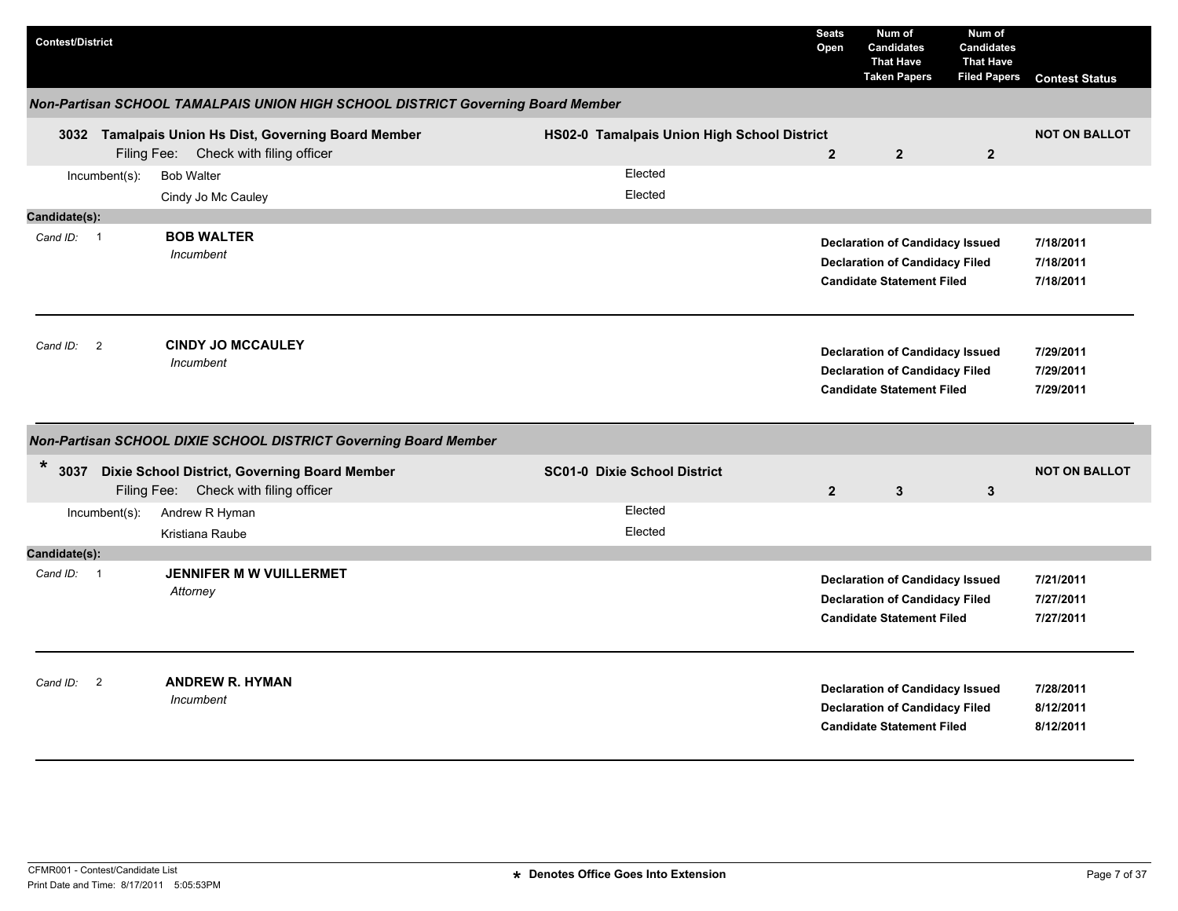| <b>Contest/District</b>              |                                                                                               |                                             | <b>Seats</b><br>Open | Num of<br><b>Candidates</b><br><b>That Have</b><br><b>Taken Papers</b>                                              | Num of<br><b>Candidates</b><br><b>That Have</b><br><b>Filed Papers</b> | <b>Contest Status</b>               |
|--------------------------------------|-----------------------------------------------------------------------------------------------|---------------------------------------------|----------------------|---------------------------------------------------------------------------------------------------------------------|------------------------------------------------------------------------|-------------------------------------|
|                                      | Non-Partisan SCHOOL TAMALPAIS UNION HIGH SCHOOL DISTRICT Governing Board Member               |                                             |                      |                                                                                                                     |                                                                        |                                     |
|                                      | 3032 Tamalpais Union Hs Dist, Governing Board Member<br>Filing Fee: Check with filing officer | HS02-0 Tamalpais Union High School District | $\overline{2}$       | $\overline{2}$                                                                                                      | $\overline{2}$                                                         | <b>NOT ON BALLOT</b>                |
| $Incumbent(s)$ :                     | <b>Bob Walter</b><br>Cindy Jo Mc Cauley                                                       | Elected<br>Elected                          |                      |                                                                                                                     |                                                                        |                                     |
| Candidate(s):                        |                                                                                               |                                             |                      |                                                                                                                     |                                                                        |                                     |
| Cand ID: 1                           | <b>BOB WALTER</b><br>Incumbent                                                                |                                             |                      | <b>Declaration of Candidacy Issued</b><br><b>Declaration of Candidacy Filed</b><br><b>Candidate Statement Filed</b> |                                                                        | 7/18/2011<br>7/18/2011<br>7/18/2011 |
| Cand ID:<br>$\overline{\phantom{a}}$ | <b>CINDY JO MCCAULEY</b><br>Incumbent                                                         |                                             |                      | <b>Declaration of Candidacy Issued</b><br><b>Declaration of Candidacy Filed</b><br><b>Candidate Statement Filed</b> |                                                                        | 7/29/2011<br>7/29/2011<br>7/29/2011 |
|                                      | Non-Partisan SCHOOL DIXIE SCHOOL DISTRICT Governing Board Member                              |                                             |                      |                                                                                                                     |                                                                        |                                     |
| *                                    | 3037 Dixie School District, Governing Board Member<br>Filing Fee: Check with filing officer   | <b>SC01-0 Dixie School District</b>         | $\overline{2}$       | $\mathbf{3}$                                                                                                        | $\mathbf{3}$                                                           | <b>NOT ON BALLOT</b>                |
| Incumbent(s):                        | Andrew R Hyman<br>Kristiana Raube                                                             | Elected<br>Elected                          |                      |                                                                                                                     |                                                                        |                                     |
| Candidate(s):                        |                                                                                               |                                             |                      |                                                                                                                     |                                                                        |                                     |
| Cand ID: 1                           | <b>JENNIFER M W VUILLERMET</b><br>Attorney                                                    |                                             |                      | <b>Declaration of Candidacy Issued</b><br><b>Declaration of Candidacy Filed</b><br><b>Candidate Statement Filed</b> |                                                                        | 7/21/2011<br>7/27/2011<br>7/27/2011 |
| Cand ID:<br>$\overline{2}$           | <b>ANDREW R. HYMAN</b><br>Incumbent                                                           |                                             |                      | <b>Declaration of Candidacy Issued</b><br><b>Declaration of Candidacy Filed</b><br><b>Candidate Statement Filed</b> |                                                                        | 7/28/2011<br>8/12/2011<br>8/12/2011 |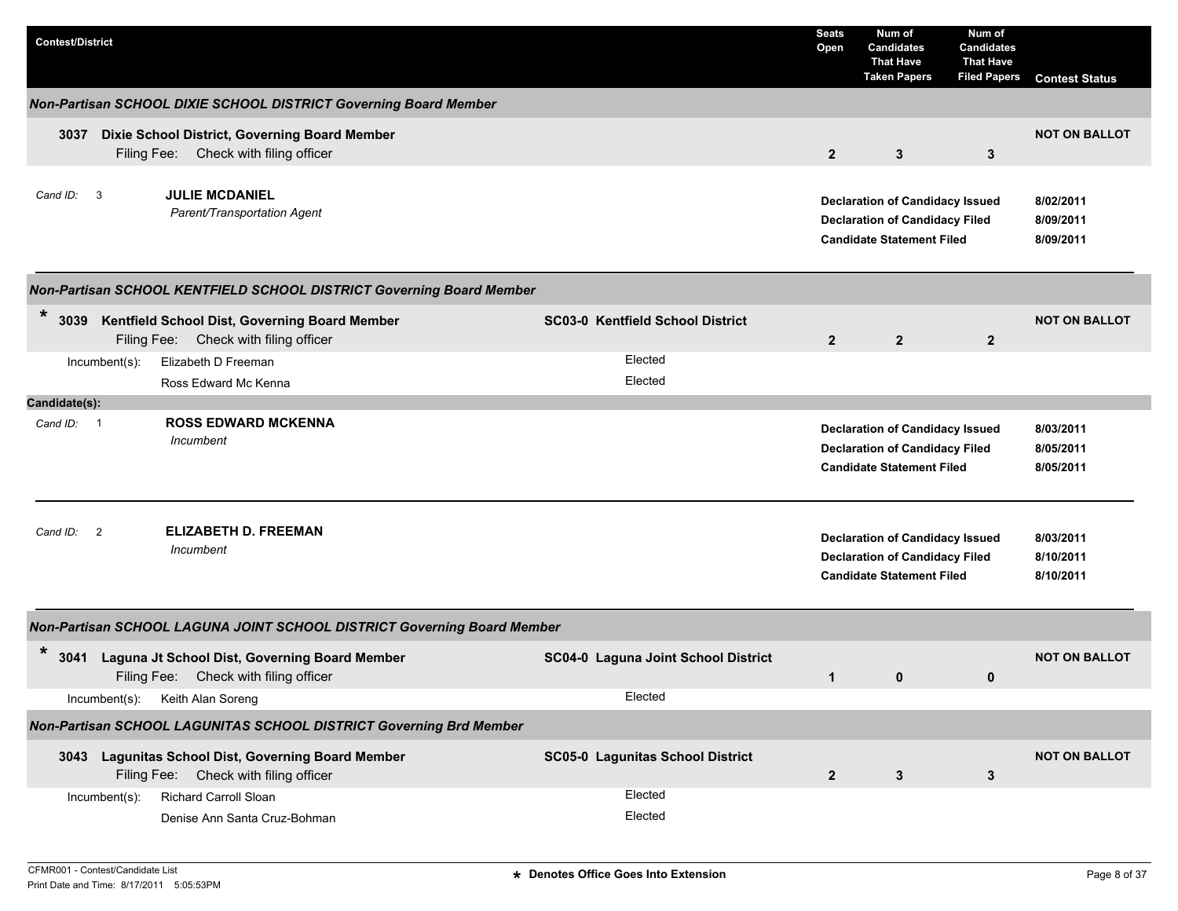| <b>Contest/District</b> |                |                                                                                             |                                     | <b>Seats</b><br>Open | Num of<br><b>Candidates</b><br><b>That Have</b><br><b>Taken Papers</b>                                              | Num of<br><b>Candidates</b><br><b>That Have</b><br><b>Filed Papers</b> | <b>Contest Status</b>               |
|-------------------------|----------------|---------------------------------------------------------------------------------------------|-------------------------------------|----------------------|---------------------------------------------------------------------------------------------------------------------|------------------------------------------------------------------------|-------------------------------------|
|                         |                | Non-Partisan SCHOOL DIXIE SCHOOL DISTRICT Governing Board Member                            |                                     |                      |                                                                                                                     |                                                                        |                                     |
| 3037                    |                | Dixie School District, Governing Board Member<br>Filing Fee: Check with filing officer      |                                     | $\overline{2}$       | 3                                                                                                                   | 3                                                                      | <b>NOT ON BALLOT</b>                |
| Cand ID:<br>-3          |                | <b>JULIE MCDANIEL</b><br>Parent/Transportation Agent                                        |                                     |                      | <b>Declaration of Candidacy Issued</b><br><b>Declaration of Candidacy Filed</b><br><b>Candidate Statement Filed</b> |                                                                        | 8/02/2011<br>8/09/2011<br>8/09/2011 |
|                         |                | Non-Partisan SCHOOL KENTFIELD SCHOOL DISTRICT Governing Board Member                        |                                     |                      |                                                                                                                     |                                                                        |                                     |
| $\ast$<br>3039          |                | Kentfield School Dist, Governing Board Member<br>Filing Fee: Check with filing officer      | SC03-0 Kentfield School District    | $\overline{2}$       | $\overline{2}$                                                                                                      | $\overline{2}$                                                         | <b>NOT ON BALLOT</b>                |
|                         | Incumbent(s):  | Elizabeth D Freeman                                                                         | Elected                             |                      |                                                                                                                     |                                                                        |                                     |
|                         |                | Ross Edward Mc Kenna                                                                        | Elected                             |                      |                                                                                                                     |                                                                        |                                     |
| Candidate(s):           |                |                                                                                             |                                     |                      |                                                                                                                     |                                                                        |                                     |
| Cand ID: 1              |                | <b>ROSS EDWARD MCKENNA</b><br><b>Incumbent</b>                                              |                                     |                      | <b>Declaration of Candidacy Issued</b><br><b>Declaration of Candidacy Filed</b><br><b>Candidate Statement Filed</b> |                                                                        | 8/03/2011<br>8/05/2011<br>8/05/2011 |
| Cand ID:                | $\overline{2}$ | <b>ELIZABETH D. FREEMAN</b><br>Incumbent                                                    |                                     |                      | <b>Declaration of Candidacy Issued</b><br><b>Declaration of Candidacy Filed</b><br><b>Candidate Statement Filed</b> |                                                                        | 8/03/2011<br>8/10/2011<br>8/10/2011 |
|                         |                | Non-Partisan SCHOOL LAGUNA JOINT SCHOOL DISTRICT Governing Board Member                     |                                     |                      |                                                                                                                     |                                                                        |                                     |
| $\ast$<br>3041          |                | Laguna Jt School Dist, Governing Board Member<br>Filing Fee: Check with filing officer      | SC04-0 Laguna Joint School District | $\mathbf{1}$         | 0                                                                                                                   | 0                                                                      | <b>NOT ON BALLOT</b>                |
|                         | Incumbent(s):  | Keith Alan Soreng                                                                           | Elected                             |                      |                                                                                                                     |                                                                        |                                     |
|                         |                | Non-Partisan SCHOOL LAGUNITAS SCHOOL DISTRICT Governing Brd Member                          |                                     |                      |                                                                                                                     |                                                                        |                                     |
|                         |                | 3043 Lagunitas School Dist, Governing Board Member<br>Filing Fee: Check with filing officer | SC05-0 Lagunitas School District    | $\overline{2}$       | 3                                                                                                                   | 3                                                                      | <b>NOT ON BALLOT</b>                |
|                         | Incumbent(s):  | Richard Carroll Sloan<br>Denise Ann Santa Cruz-Bohman                                       | Elected<br>Elected                  |                      |                                                                                                                     |                                                                        |                                     |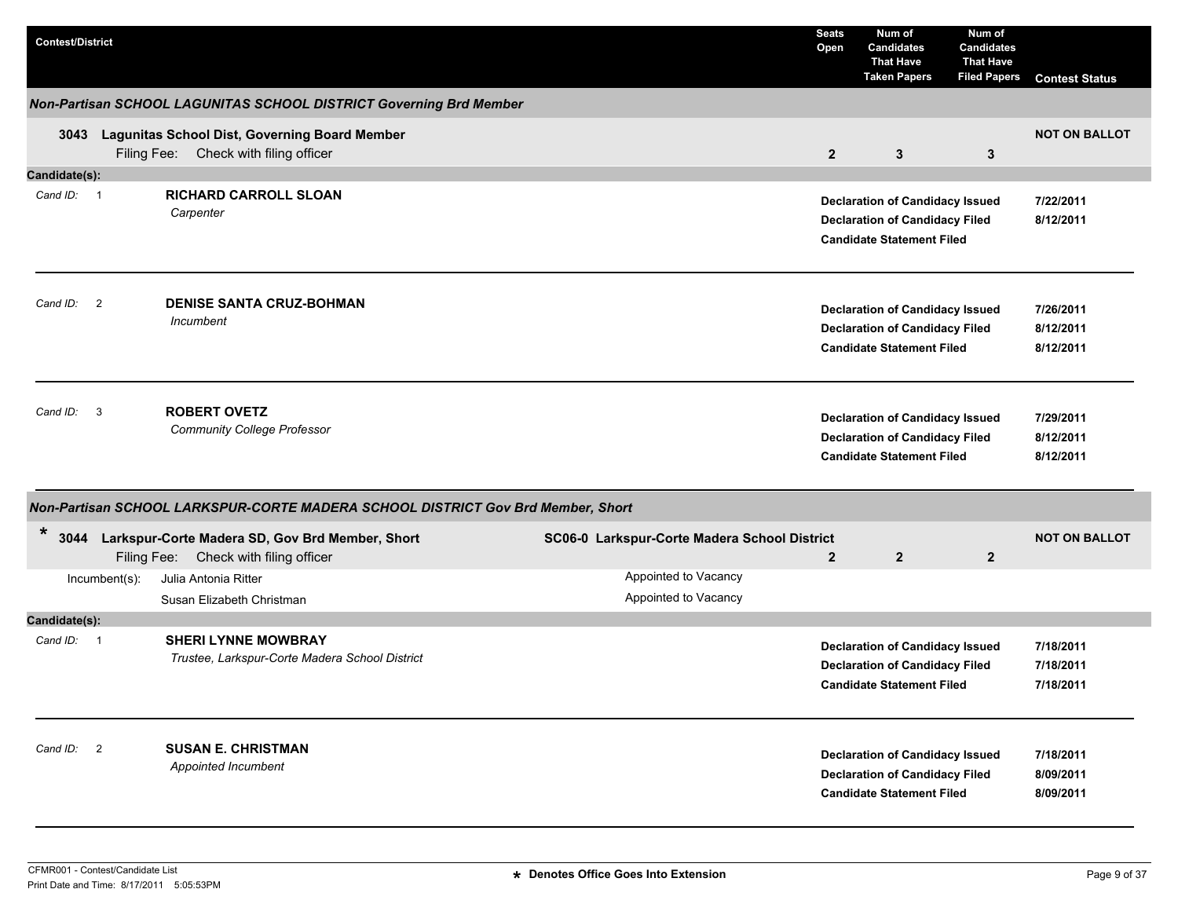| <b>Contest/District</b> |               |                                                                                               |                                              | <b>Seats</b><br>Open | Num of<br><b>Candidates</b><br><b>That Have</b><br><b>Taken Papers</b>                                              | Num of<br><b>Candidates</b><br><b>That Have</b><br><b>Filed Papers</b> | <b>Contest Status</b>               |
|-------------------------|---------------|-----------------------------------------------------------------------------------------------|----------------------------------------------|----------------------|---------------------------------------------------------------------------------------------------------------------|------------------------------------------------------------------------|-------------------------------------|
|                         |               | Non-Partisan SCHOOL LAGUNITAS SCHOOL DISTRICT Governing Brd Member                            |                                              |                      |                                                                                                                     |                                                                        |                                     |
| 3043                    |               | Lagunitas School Dist, Governing Board Member<br>Filing Fee: Check with filing officer        |                                              | $\mathbf{2}$         | $\mathbf{3}$                                                                                                        | 3                                                                      | <b>NOT ON BALLOT</b>                |
| Candidate(s):           |               |                                                                                               |                                              |                      |                                                                                                                     |                                                                        |                                     |
| Cand ID: 1              |               | <b>RICHARD CARROLL SLOAN</b><br>Carpenter                                                     |                                              |                      | <b>Declaration of Candidacy Issued</b><br><b>Declaration of Candidacy Filed</b><br><b>Candidate Statement Filed</b> |                                                                        | 7/22/2011<br>8/12/2011              |
| Cand ID: 2              |               | <b>DENISE SANTA CRUZ-BOHMAN</b><br>Incumbent                                                  |                                              |                      | <b>Declaration of Candidacy Issued</b><br><b>Declaration of Candidacy Filed</b><br><b>Candidate Statement Filed</b> |                                                                        | 7/26/2011<br>8/12/2011<br>8/12/2011 |
| Cand ID: 3              |               | <b>ROBERT OVETZ</b><br><b>Community College Professor</b>                                     |                                              |                      | <b>Declaration of Candidacy Issued</b><br><b>Declaration of Candidacy Filed</b><br><b>Candidate Statement Filed</b> |                                                                        | 7/29/2011<br>8/12/2011<br>8/12/2011 |
|                         |               | Non-Partisan SCHOOL LARKSPUR-CORTE MADERA SCHOOL DISTRICT Gov Brd Member, Short               |                                              |                      |                                                                                                                     |                                                                        |                                     |
| *                       |               | 3044 Larkspur-Corte Madera SD, Gov Brd Member, Short<br>Filing Fee: Check with filing officer | SC06-0 Larkspur-Corte Madera School District | $\mathbf{2}$         | $\overline{2}$                                                                                                      | $\overline{2}$                                                         | <b>NOT ON BALLOT</b>                |
|                         | Incumbent(s): | Julia Antonia Ritter<br>Susan Elizabeth Christman                                             | Appointed to Vacancy<br>Appointed to Vacancy |                      |                                                                                                                     |                                                                        |                                     |
| Candidate(s):           |               |                                                                                               |                                              |                      |                                                                                                                     |                                                                        |                                     |
| Cand ID: 1              |               | <b>SHERI LYNNE MOWBRAY</b><br>Trustee, Larkspur-Corte Madera School District                  |                                              |                      | <b>Declaration of Candidacy Issued</b><br><b>Declaration of Candidacy Filed</b><br><b>Candidate Statement Filed</b> |                                                                        | 7/18/2011<br>7/18/2011<br>7/18/2011 |
| Cand ID: 2              |               | <b>SUSAN E. CHRISTMAN</b><br>Appointed Incumbent                                              |                                              |                      | <b>Declaration of Candidacy Issued</b><br><b>Declaration of Candidacy Filed</b><br><b>Candidate Statement Filed</b> |                                                                        | 7/18/2011<br>8/09/2011<br>8/09/2011 |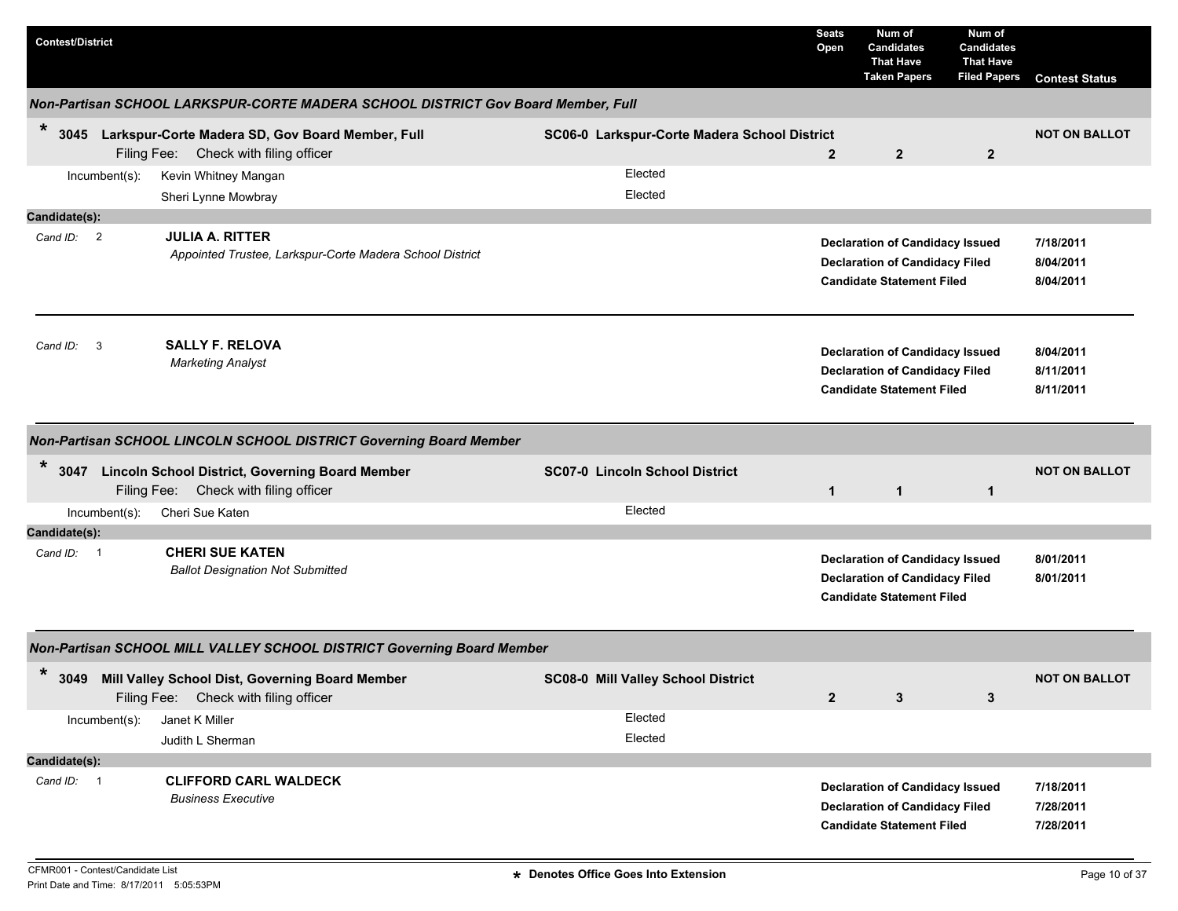| <b>Contest/District</b>  |                                                                                                 |                                              | <b>Seats</b><br>Open | Num of<br><b>Candidates</b><br><b>That Have</b><br><b>Taken Papers</b>                                              | Num of<br><b>Candidates</b><br><b>That Have</b><br><b>Filed Papers</b> | <b>Contest Status</b>               |
|--------------------------|-------------------------------------------------------------------------------------------------|----------------------------------------------|----------------------|---------------------------------------------------------------------------------------------------------------------|------------------------------------------------------------------------|-------------------------------------|
|                          | Non-Partisan SCHOOL LARKSPUR-CORTE MADERA SCHOOL DISTRICT Gov Board Member, Full                |                                              |                      |                                                                                                                     |                                                                        |                                     |
| $\ast$<br>3045           | Larkspur-Corte Madera SD, Gov Board Member, Full<br>Filing Fee: Check with filing officer       | SC06-0 Larkspur-Corte Madera School District | $\overline{2}$       | $\overline{2}$                                                                                                      | $\overline{2}$                                                         | <b>NOT ON BALLOT</b>                |
| Incumbent(s):            | Kevin Whitney Mangan                                                                            | Elected                                      |                      |                                                                                                                     |                                                                        |                                     |
|                          | Sheri Lynne Mowbray                                                                             | Elected                                      |                      |                                                                                                                     |                                                                        |                                     |
| Candidate(s):            |                                                                                                 |                                              |                      |                                                                                                                     |                                                                        |                                     |
| Cand ID: 2               | <b>JULIA A. RITTER</b><br>Appointed Trustee, Larkspur-Corte Madera School District              |                                              |                      | <b>Declaration of Candidacy Issued</b><br><b>Declaration of Candidacy Filed</b><br><b>Candidate Statement Filed</b> |                                                                        | 7/18/2011<br>8/04/2011<br>8/04/2011 |
| $\mathbf{3}$<br>Cand ID: | <b>SALLY F. RELOVA</b><br><b>Marketing Analyst</b>                                              |                                              |                      | <b>Declaration of Candidacy Issued</b><br><b>Declaration of Candidacy Filed</b><br><b>Candidate Statement Filed</b> |                                                                        | 8/04/2011<br>8/11/2011<br>8/11/2011 |
|                          | Non-Partisan SCHOOL LINCOLN SCHOOL DISTRICT Governing Board Member                              |                                              |                      |                                                                                                                     |                                                                        |                                     |
| $\ast$<br>3047           | <b>Lincoln School District, Governing Board Member</b><br>Filing Fee: Check with filing officer | SC07-0 Lincoln School District               | $\mathbf{1}$         | $\mathbf{1}$                                                                                                        | $\mathbf{1}$                                                           | <b>NOT ON BALLOT</b>                |
| Incumbent(s):            | Cheri Sue Katen                                                                                 | Elected                                      |                      |                                                                                                                     |                                                                        |                                     |
| Candidate(s):            |                                                                                                 |                                              |                      |                                                                                                                     |                                                                        |                                     |
| Cand ID: 1               | <b>CHERI SUE KATEN</b><br><b>Ballot Designation Not Submitted</b>                               |                                              |                      | <b>Declaration of Candidacy Issued</b><br><b>Declaration of Candidacy Filed</b><br><b>Candidate Statement Filed</b> |                                                                        | 8/01/2011<br>8/01/2011              |
|                          | Non-Partisan SCHOOL MILL VALLEY SCHOOL DISTRICT Governing Board Member                          |                                              |                      |                                                                                                                     |                                                                        |                                     |
| $\ast$<br>3049           | Mill Valley School Dist, Governing Board Member<br>Filing Fee: Check with filing officer        | <b>SC08-0 Mill Valley School District</b>    | $\overline{2}$       | $3\phantom{a}$                                                                                                      | $\mathbf{3}$                                                           | <b>NOT ON BALLOT</b>                |
| Incumbent(s):            | Janet K Miller                                                                                  | Elected                                      |                      |                                                                                                                     |                                                                        |                                     |
|                          | Judith L Sherman                                                                                | Elected                                      |                      |                                                                                                                     |                                                                        |                                     |
| Candidate(s):            |                                                                                                 |                                              |                      |                                                                                                                     |                                                                        |                                     |
| Cand ID: 1               | <b>CLIFFORD CARL WALDECK</b><br><b>Business Executive</b>                                       |                                              |                      | <b>Declaration of Candidacy Issued</b><br><b>Declaration of Candidacy Filed</b><br><b>Candidate Statement Filed</b> |                                                                        | 7/18/2011<br>7/28/2011<br>7/28/2011 |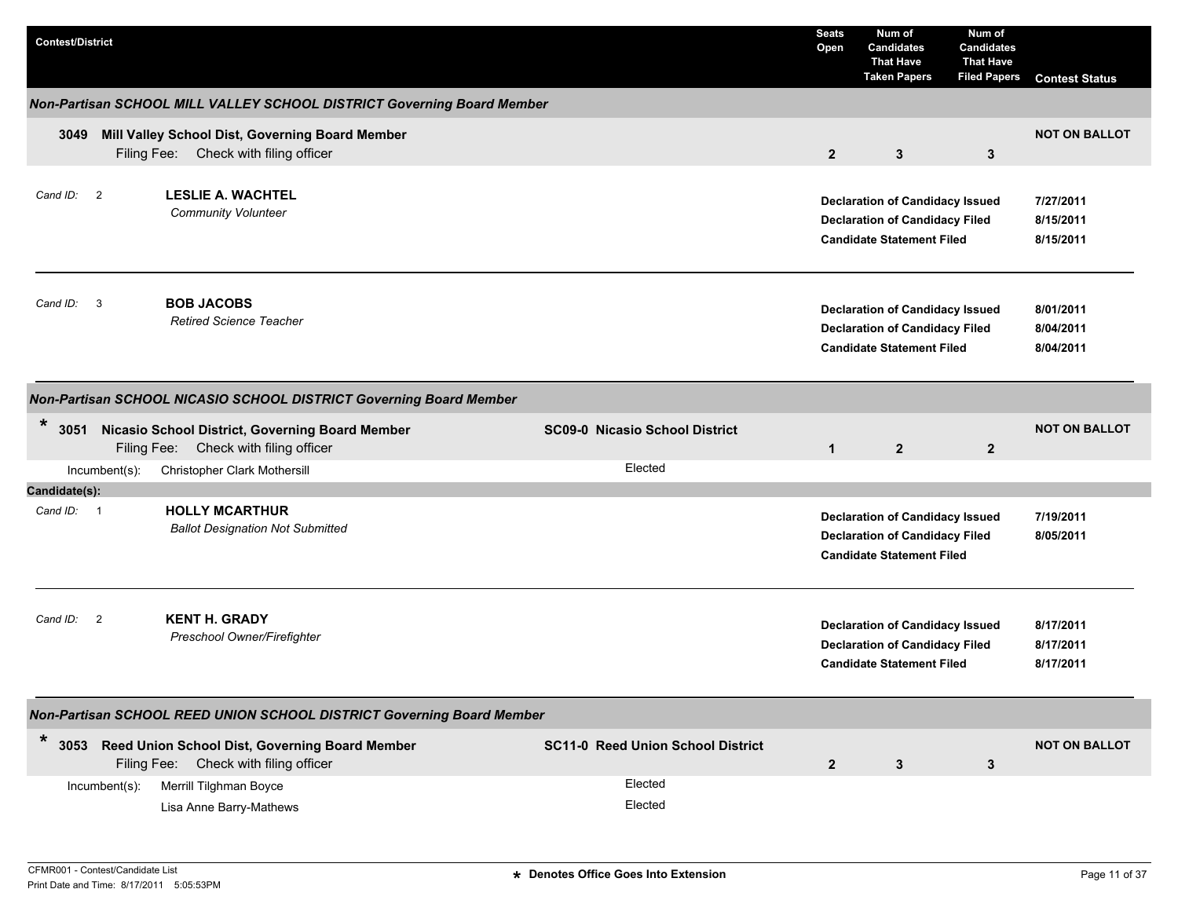| <b>Contest/District</b>              |                                                                                              |                                          | <b>Seats</b><br>Open | Num of<br><b>Candidates</b><br><b>That Have</b><br><b>Taken Papers</b>                                              | Num of<br><b>Candidates</b><br><b>That Have</b><br><b>Filed Papers</b> | <b>Contest Status</b>               |
|--------------------------------------|----------------------------------------------------------------------------------------------|------------------------------------------|----------------------|---------------------------------------------------------------------------------------------------------------------|------------------------------------------------------------------------|-------------------------------------|
|                                      | Non-Partisan SCHOOL MILL VALLEY SCHOOL DISTRICT Governing Board Member                       |                                          |                      |                                                                                                                     |                                                                        |                                     |
| 3049                                 | Mill Valley School Dist, Governing Board Member<br>Filing Fee: Check with filing officer     |                                          | $\overline{2}$       | $3\phantom{a}$                                                                                                      | 3                                                                      | <b>NOT ON BALLOT</b>                |
| Cand ID: 2                           | <b>LESLIE A. WACHTEL</b><br><b>Community Volunteer</b>                                       |                                          |                      | <b>Declaration of Candidacy Issued</b><br><b>Declaration of Candidacy Filed</b><br><b>Candidate Statement Filed</b> |                                                                        | 7/27/2011<br>8/15/2011<br>8/15/2011 |
| Cand ID: 3                           | <b>BOB JACOBS</b><br><b>Retired Science Teacher</b>                                          |                                          |                      | <b>Declaration of Candidacy Issued</b><br><b>Declaration of Candidacy Filed</b><br><b>Candidate Statement Filed</b> |                                                                        | 8/01/2011<br>8/04/2011<br>8/04/2011 |
|                                      | Non-Partisan SCHOOL NICASIO SCHOOL DISTRICT Governing Board Member                           |                                          |                      |                                                                                                                     |                                                                        |                                     |
| $\ast$<br>3051                       | Nicasio School District, Governing Board Member<br>Filing Fee: Check with filing officer     | <b>SC09-0 Nicasio School District</b>    | $\mathbf{1}$         | $\overline{2}$                                                                                                      | $\overline{2}$                                                         | <b>NOT ON BALLOT</b>                |
| Incumbent(s):                        | Christopher Clark Mothersill                                                                 | Elected                                  |                      |                                                                                                                     |                                                                        |                                     |
| Candidate(s):                        |                                                                                              |                                          |                      |                                                                                                                     |                                                                        |                                     |
| Cand $ID: 1$                         | <b>HOLLY MCARTHUR</b><br><b>Ballot Designation Not Submitted</b>                             |                                          |                      | <b>Declaration of Candidacy Issued</b><br><b>Declaration of Candidacy Filed</b><br><b>Candidate Statement Filed</b> |                                                                        | 7/19/2011<br>8/05/2011              |
| $\overline{\phantom{a}}$<br>Cand ID: | <b>KENT H. GRADY</b><br>Preschool Owner/Firefighter                                          |                                          |                      | <b>Declaration of Candidacy Issued</b><br><b>Declaration of Candidacy Filed</b><br><b>Candidate Statement Filed</b> |                                                                        | 8/17/2011<br>8/17/2011<br>8/17/2011 |
|                                      | Non-Partisan SCHOOL REED UNION SCHOOL DISTRICT Governing Board Member                        |                                          |                      |                                                                                                                     |                                                                        |                                     |
| $\ast$                               | 3053 Reed Union School Dist, Governing Board Member<br>Filing Fee: Check with filing officer | <b>SC11-0 Reed Union School District</b> | $\boldsymbol{2}$     | 3                                                                                                                   | 3                                                                      | <b>NOT ON BALLOT</b>                |
| Incumbent(s):                        | Merrill Tilghman Boyce<br>Lisa Anne Barry-Mathews                                            | Elected<br>Elected                       |                      |                                                                                                                     |                                                                        |                                     |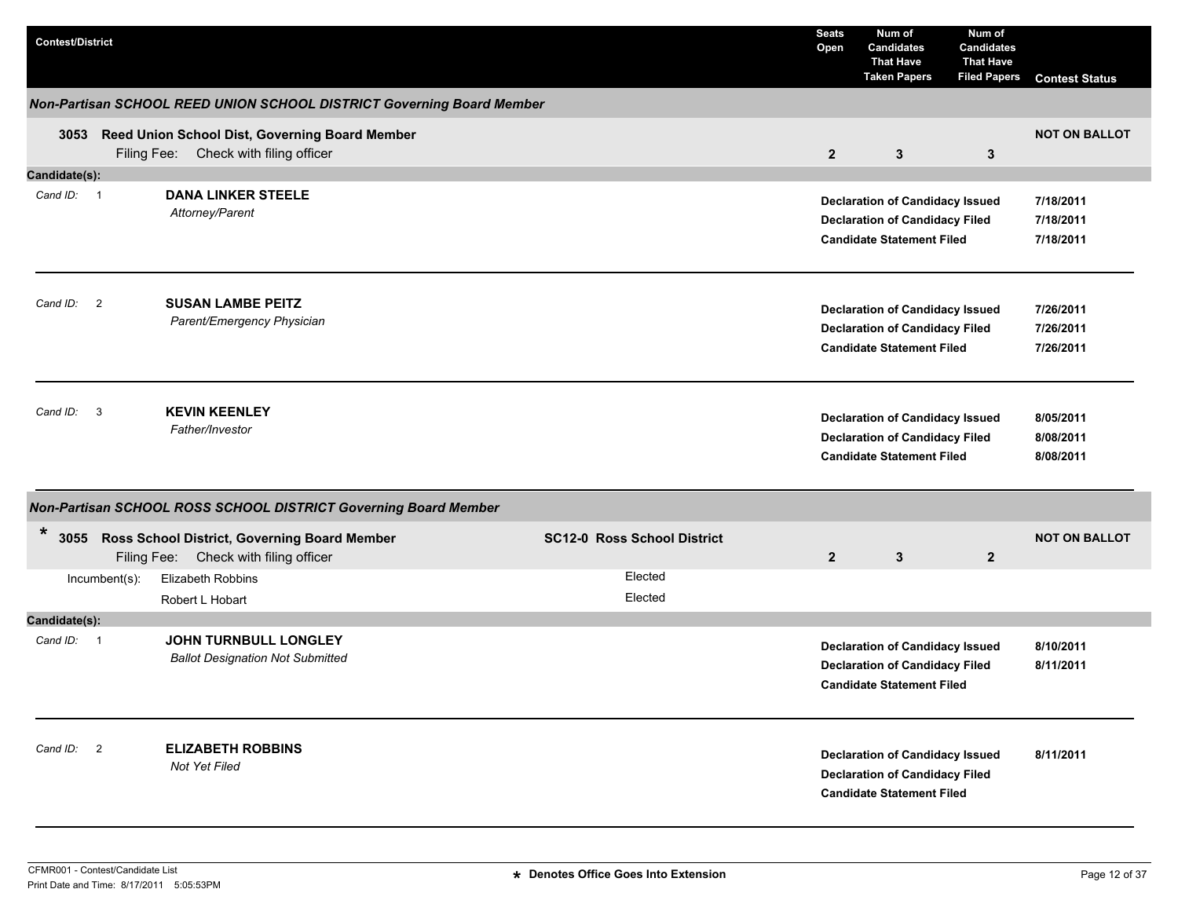| <b>Contest/District</b>             |               |                                                                                              |                                    | <b>Seats</b><br>Open | Num of<br><b>Candidates</b><br><b>That Have</b><br><b>Taken Papers</b>                                              | Num of<br><b>Candidates</b><br><b>That Have</b><br><b>Filed Papers</b> | <b>Contest Status</b>               |
|-------------------------------------|---------------|----------------------------------------------------------------------------------------------|------------------------------------|----------------------|---------------------------------------------------------------------------------------------------------------------|------------------------------------------------------------------------|-------------------------------------|
|                                     |               | Non-Partisan SCHOOL REED UNION SCHOOL DISTRICT Governing Board Member                        |                                    |                      |                                                                                                                     |                                                                        |                                     |
|                                     |               | 3053 Reed Union School Dist, Governing Board Member<br>Filing Fee: Check with filing officer |                                    | $\overline{2}$       | 3                                                                                                                   | 3                                                                      | <b>NOT ON BALLOT</b>                |
| Candidate(s):                       |               |                                                                                              |                                    |                      |                                                                                                                     |                                                                        |                                     |
| Cand ID: 1                          |               | <b>DANA LINKER STEELE</b><br>Attorney/Parent                                                 |                                    |                      | <b>Declaration of Candidacy Issued</b><br><b>Declaration of Candidacy Filed</b><br><b>Candidate Statement Filed</b> |                                                                        | 7/18/2011<br>7/18/2011<br>7/18/2011 |
| Cand ID: 2                          |               | <b>SUSAN LAMBE PEITZ</b><br>Parent/Emergency Physician                                       |                                    |                      | <b>Declaration of Candidacy Issued</b><br><b>Declaration of Candidacy Filed</b><br><b>Candidate Statement Filed</b> |                                                                        | 7/26/2011<br>7/26/2011<br>7/26/2011 |
| $\overline{\mathbf{3}}$<br>Cand ID: |               | <b>KEVIN KEENLEY</b><br>Father/Investor                                                      |                                    |                      | <b>Declaration of Candidacy Issued</b><br><b>Declaration of Candidacy Filed</b><br><b>Candidate Statement Filed</b> |                                                                        | 8/05/2011<br>8/08/2011<br>8/08/2011 |
|                                     |               | Non-Partisan SCHOOL ROSS SCHOOL DISTRICT Governing Board Member                              |                                    |                      |                                                                                                                     |                                                                        |                                     |
| *                                   | Filing Fee:   | 3055 Ross School District, Governing Board Member<br>Check with filing officer               | <b>SC12-0 Ross School District</b> | $\overline{2}$       | 3                                                                                                                   | $\mathbf{2}$                                                           | <b>NOT ON BALLOT</b>                |
|                                     | Incumbent(s): | Elizabeth Robbins                                                                            | Elected                            |                      |                                                                                                                     |                                                                        |                                     |
|                                     |               | Robert L Hobart                                                                              | Elected                            |                      |                                                                                                                     |                                                                        |                                     |
| Candidate(s):<br>Cand ID: 1         |               | JOHN TURNBULL LONGLEY<br><b>Ballot Designation Not Submitted</b>                             |                                    |                      | <b>Declaration of Candidacy Issued</b><br><b>Declaration of Candidacy Filed</b><br><b>Candidate Statement Filed</b> |                                                                        | 8/10/2011<br>8/11/2011              |
| Cand ID: 2                          |               | <b>ELIZABETH ROBBINS</b><br>Not Yet Filed                                                    |                                    |                      | <b>Declaration of Candidacy Issued</b><br><b>Declaration of Candidacy Filed</b><br><b>Candidate Statement Filed</b> |                                                                        | 8/11/2011                           |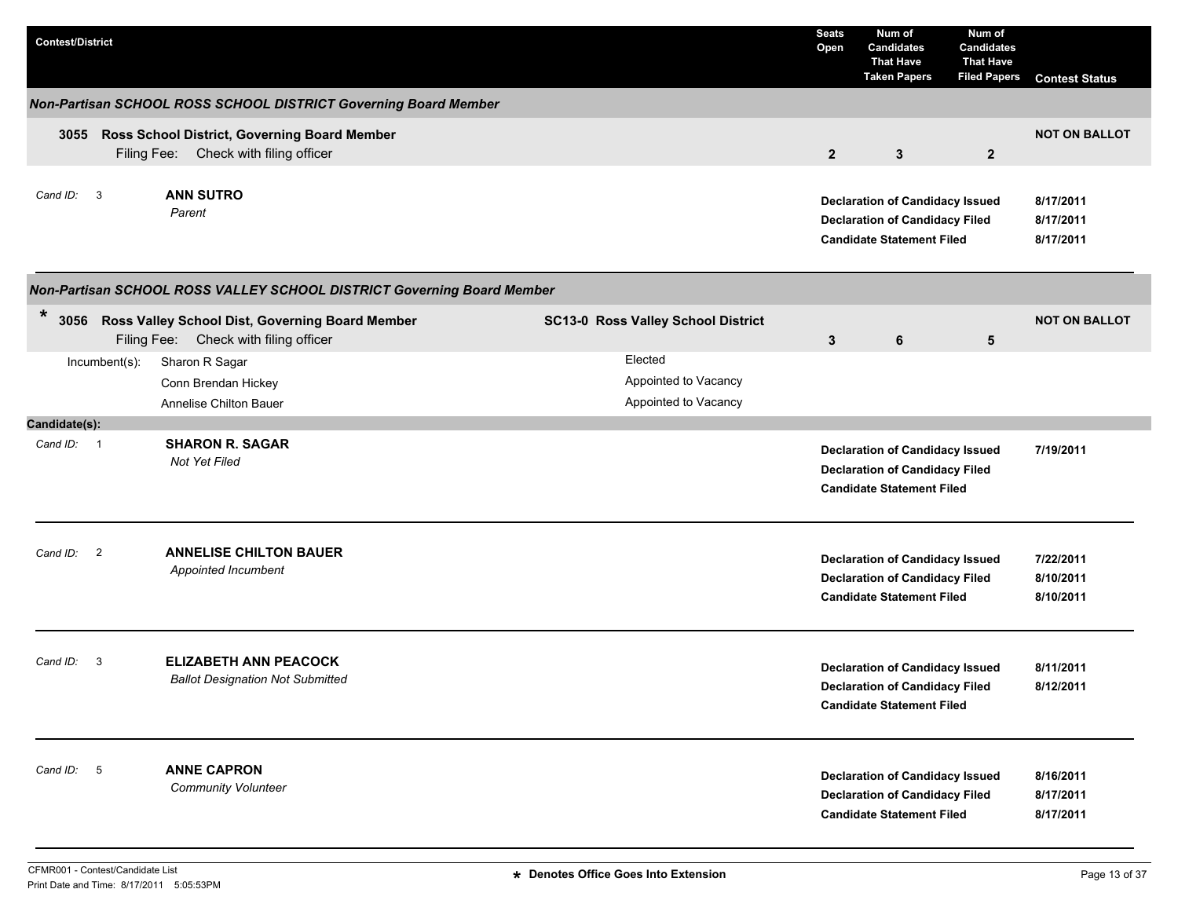| <b>Contest/District</b> |                                                                                            |                                           | <b>Seats</b><br>Open | Num of<br><b>Candidates</b><br><b>That Have</b><br><b>Taken Papers</b>                                              | Num of<br><b>Candidates</b><br><b>That Have</b><br><b>Filed Papers</b> | <b>Contest Status</b>               |
|-------------------------|--------------------------------------------------------------------------------------------|-------------------------------------------|----------------------|---------------------------------------------------------------------------------------------------------------------|------------------------------------------------------------------------|-------------------------------------|
|                         | Non-Partisan SCHOOL ROSS SCHOOL DISTRICT Governing Board Member                            |                                           |                      |                                                                                                                     |                                                                        |                                     |
|                         | 3055 Ross School District, Governing Board Member<br>Filing Fee: Check with filing officer |                                           | $\overline{2}$       | $\mathbf{3}$                                                                                                        | $\mathbf{2}$                                                           | <b>NOT ON BALLOT</b>                |
| Cand ID: 3              | <b>ANN SUTRO</b><br>Parent                                                                 |                                           |                      | <b>Declaration of Candidacy Issued</b><br><b>Declaration of Candidacy Filed</b><br><b>Candidate Statement Filed</b> |                                                                        | 8/17/2011<br>8/17/2011<br>8/17/2011 |
|                         | Non-Partisan SCHOOL ROSS VALLEY SCHOOL DISTRICT Governing Board Member                     |                                           |                      |                                                                                                                     |                                                                        |                                     |
| $\ast$<br>3056          | Ross Valley School Dist, Governing Board Member<br>Filing Fee: Check with filing officer   | <b>SC13-0 Ross Valley School District</b> | $\mathbf{3}$         | 6                                                                                                                   | 5                                                                      | <b>NOT ON BALLOT</b>                |
| $Incumbent(s)$ :        | Sharon R Sagar                                                                             | Elected                                   |                      |                                                                                                                     |                                                                        |                                     |
|                         | Conn Brendan Hickey                                                                        | Appointed to Vacancy                      |                      |                                                                                                                     |                                                                        |                                     |
|                         | Annelise Chilton Bauer                                                                     | Appointed to Vacancy                      |                      |                                                                                                                     |                                                                        |                                     |
| Candidate(s):           |                                                                                            |                                           |                      |                                                                                                                     |                                                                        |                                     |
| Cand ID: 1              | <b>SHARON R. SAGAR</b><br>Not Yet Filed                                                    |                                           |                      | <b>Declaration of Candidacy Issued</b><br><b>Declaration of Candidacy Filed</b><br><b>Candidate Statement Filed</b> |                                                                        | 7/19/2011                           |
| Cand ID: 2              | <b>ANNELISE CHILTON BAUER</b><br>Appointed Incumbent                                       |                                           |                      | <b>Declaration of Candidacy Issued</b><br><b>Declaration of Candidacy Filed</b><br><b>Candidate Statement Filed</b> |                                                                        | 7/22/2011<br>8/10/2011<br>8/10/2011 |
| Cand ID:<br>-3          | <b>ELIZABETH ANN PEACOCK</b><br><b>Ballot Designation Not Submitted</b>                    |                                           |                      | <b>Declaration of Candidacy Issued</b><br><b>Declaration of Candidacy Filed</b><br><b>Candidate Statement Filed</b> |                                                                        | 8/11/2011<br>8/12/2011              |
| 5<br>Cand ID:           | <b>ANNE CAPRON</b><br><b>Community Volunteer</b>                                           |                                           |                      | <b>Declaration of Candidacy Issued</b><br><b>Declaration of Candidacy Filed</b><br><b>Candidate Statement Filed</b> |                                                                        | 8/16/2011<br>8/17/2011<br>8/17/2011 |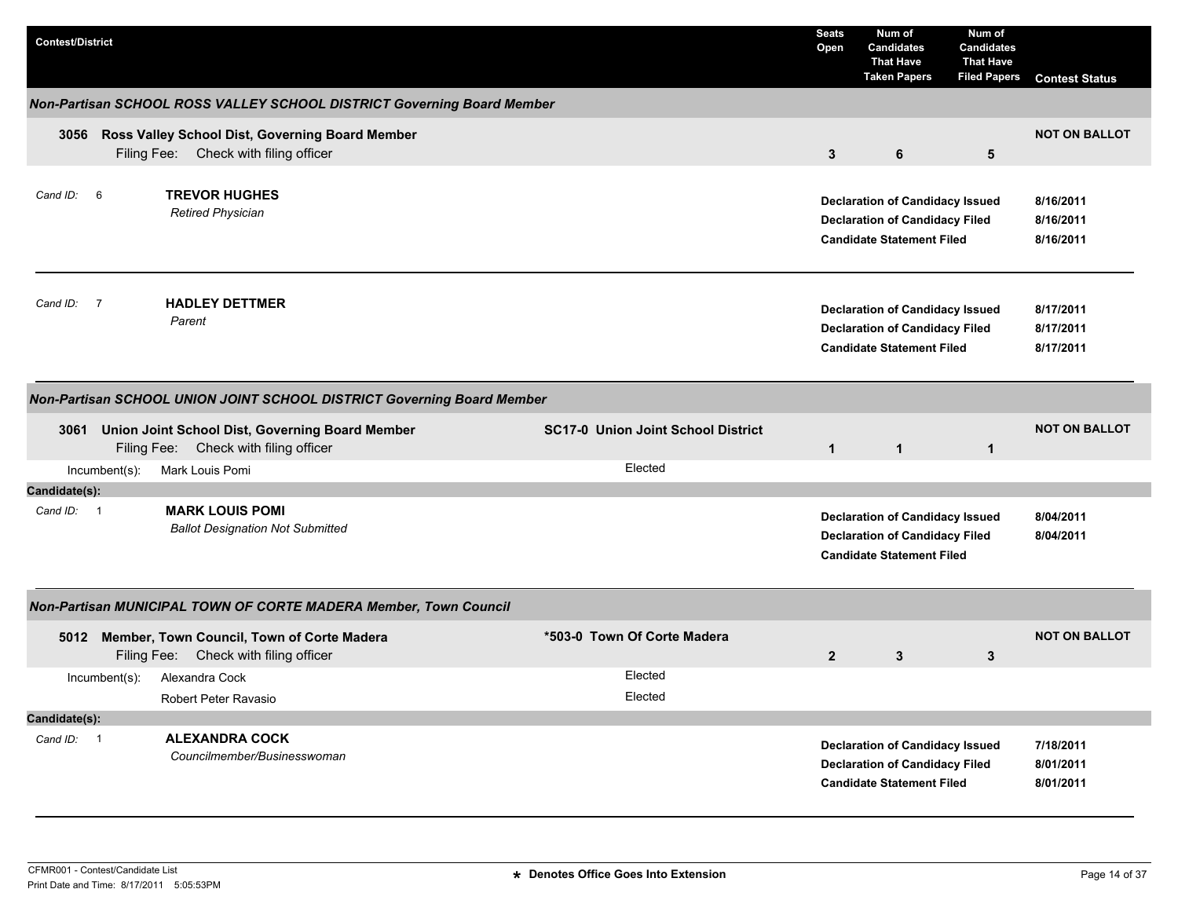| <b>Contest/District</b> |               |                                                                                               |                                           | <b>Seats</b><br>Open | Num of<br><b>Candidates</b><br><b>That Have</b><br><b>Taken Papers</b>                                              | Num of<br><b>Candidates</b><br><b>That Have</b><br><b>Filed Papers</b> | <b>Contest Status</b>               |
|-------------------------|---------------|-----------------------------------------------------------------------------------------------|-------------------------------------------|----------------------|---------------------------------------------------------------------------------------------------------------------|------------------------------------------------------------------------|-------------------------------------|
|                         |               | Non-Partisan SCHOOL ROSS VALLEY SCHOOL DISTRICT Governing Board Member                        |                                           |                      |                                                                                                                     |                                                                        |                                     |
|                         |               | 3056 Ross Valley School Dist, Governing Board Member<br>Filing Fee: Check with filing officer |                                           | $\mathbf{3}$         | 6                                                                                                                   | 5                                                                      | <b>NOT ON BALLOT</b>                |
| Cand ID:                | 6             | <b>TREVOR HUGHES</b><br><b>Retired Physician</b>                                              |                                           |                      | <b>Declaration of Candidacy Issued</b><br><b>Declaration of Candidacy Filed</b><br><b>Candidate Statement Filed</b> |                                                                        | 8/16/2011<br>8/16/2011<br>8/16/2011 |
| Cand ID: 7              |               | <b>HADLEY DETTMER</b><br>Parent                                                               |                                           |                      | <b>Declaration of Candidacy Issued</b><br><b>Declaration of Candidacy Filed</b><br><b>Candidate Statement Filed</b> |                                                                        | 8/17/2011<br>8/17/2011<br>8/17/2011 |
|                         |               | Non-Partisan SCHOOL UNION JOINT SCHOOL DISTRICT Governing Board Member                        |                                           |                      |                                                                                                                     |                                                                        |                                     |
|                         |               | 3061 Union Joint School Dist, Governing Board Member<br>Filing Fee: Check with filing officer | <b>SC17-0 Union Joint School District</b> | $\mathbf{1}$         | $\mathbf{1}$                                                                                                        | $\mathbf{1}$                                                           | <b>NOT ON BALLOT</b>                |
|                         | Incumbent(s): | Mark Louis Pomi                                                                               | Elected                                   |                      |                                                                                                                     |                                                                        |                                     |
| Candidate(s):           |               |                                                                                               |                                           |                      |                                                                                                                     |                                                                        |                                     |
| Cand ID: 1              |               | <b>MARK LOUIS POMI</b><br><b>Ballot Designation Not Submitted</b>                             |                                           |                      | <b>Declaration of Candidacy Issued</b><br><b>Declaration of Candidacy Filed</b><br><b>Candidate Statement Filed</b> |                                                                        | 8/04/2011<br>8/04/2011              |
|                         |               | Non-Partisan MUNICIPAL TOWN OF CORTE MADERA Member, Town Council                              |                                           |                      |                                                                                                                     |                                                                        |                                     |
|                         |               | 5012 Member, Town Council, Town of Corte Madera<br>Check with filing officer<br>Filing Fee:   | *503-0 Town Of Corte Madera               | $\overline{2}$       | 3                                                                                                                   | 3                                                                      | <b>NOT ON BALLOT</b>                |
|                         | Incumbent(s): | Alexandra Cock<br>Robert Peter Ravasio                                                        | Elected<br>Elected                        |                      |                                                                                                                     |                                                                        |                                     |
| Candidate(s):           |               |                                                                                               |                                           |                      |                                                                                                                     |                                                                        |                                     |
| Cand ID: 1              |               | <b>ALEXANDRA COCK</b><br>Councilmember/Businesswoman                                          |                                           |                      | <b>Declaration of Candidacy Issued</b><br><b>Declaration of Candidacy Filed</b><br><b>Candidate Statement Filed</b> |                                                                        | 7/18/2011<br>8/01/2011<br>8/01/2011 |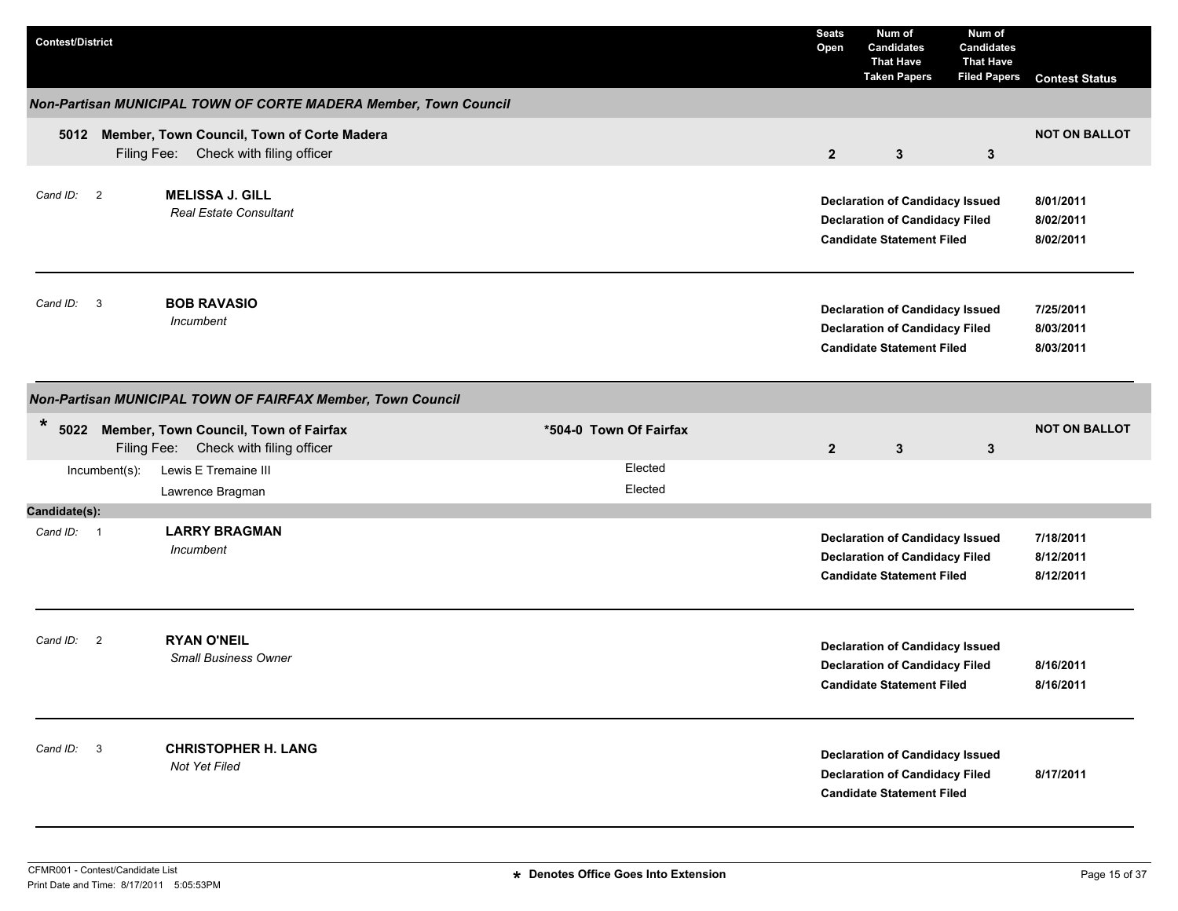| <b>Contest/District</b> |               |                                                                                          |                        | <b>Seats</b><br>Open | Num of<br><b>Candidates</b><br><b>That Have</b><br><b>Taken Papers</b>                                              | Num of<br><b>Candidates</b><br><b>That Have</b><br><b>Filed Papers</b> | <b>Contest Status</b>               |
|-------------------------|---------------|------------------------------------------------------------------------------------------|------------------------|----------------------|---------------------------------------------------------------------------------------------------------------------|------------------------------------------------------------------------|-------------------------------------|
|                         |               | Non-Partisan MUNICIPAL TOWN OF CORTE MADERA Member, Town Council                         |                        |                      |                                                                                                                     |                                                                        |                                     |
|                         |               | 5012 Member, Town Council, Town of Corte Madera<br>Filing Fee: Check with filing officer |                        | $2\overline{ }$      | $\mathbf{3}$                                                                                                        | $\mathbf{3}$                                                           | <b>NOT ON BALLOT</b>                |
| Cand ID: 2              |               | <b>MELISSA J. GILL</b><br><b>Real Estate Consultant</b>                                  |                        |                      | <b>Declaration of Candidacy Issued</b><br><b>Declaration of Candidacy Filed</b><br><b>Candidate Statement Filed</b> |                                                                        | 8/01/2011<br>8/02/2011<br>8/02/2011 |
| Cand ID: 3              |               | <b>BOB RAVASIO</b><br>Incumbent                                                          |                        |                      | <b>Declaration of Candidacy Issued</b><br><b>Declaration of Candidacy Filed</b><br><b>Candidate Statement Filed</b> |                                                                        | 7/25/2011<br>8/03/2011<br>8/03/2011 |
|                         |               | Non-Partisan MUNICIPAL TOWN OF FAIRFAX Member, Town Council                              |                        |                      |                                                                                                                     |                                                                        |                                     |
| $\ast$                  |               | 5022 Member, Town Council, Town of Fairfax<br>Filing Fee: Check with filing officer      | *504-0 Town Of Fairfax | $\overline{2}$       | $\mathbf{3}$                                                                                                        | $\mathbf{3}$                                                           | <b>NOT ON BALLOT</b>                |
|                         | Incumbent(s): | Lewis E Tremaine III<br>Lawrence Bragman                                                 | Elected<br>Elected     |                      |                                                                                                                     |                                                                        |                                     |
| Candidate(s):           |               |                                                                                          |                        |                      |                                                                                                                     |                                                                        |                                     |
| Cand ID: 1              |               | <b>LARRY BRAGMAN</b><br>Incumbent                                                        |                        |                      | <b>Declaration of Candidacy Issued</b><br><b>Declaration of Candidacy Filed</b><br><b>Candidate Statement Filed</b> |                                                                        | 7/18/2011<br>8/12/2011<br>8/12/2011 |
| Cand ID: 2              |               | <b>RYAN O'NEIL</b><br><b>Small Business Owner</b>                                        |                        |                      | <b>Declaration of Candidacy Issued</b><br><b>Declaration of Candidacy Filed</b><br><b>Candidate Statement Filed</b> |                                                                        | 8/16/2011<br>8/16/2011              |
| Cand ID: 3              |               | <b>CHRISTOPHER H. LANG</b><br>Not Yet Filed                                              |                        |                      | <b>Declaration of Candidacy Issued</b><br><b>Declaration of Candidacy Filed</b><br><b>Candidate Statement Filed</b> |                                                                        | 8/17/2011                           |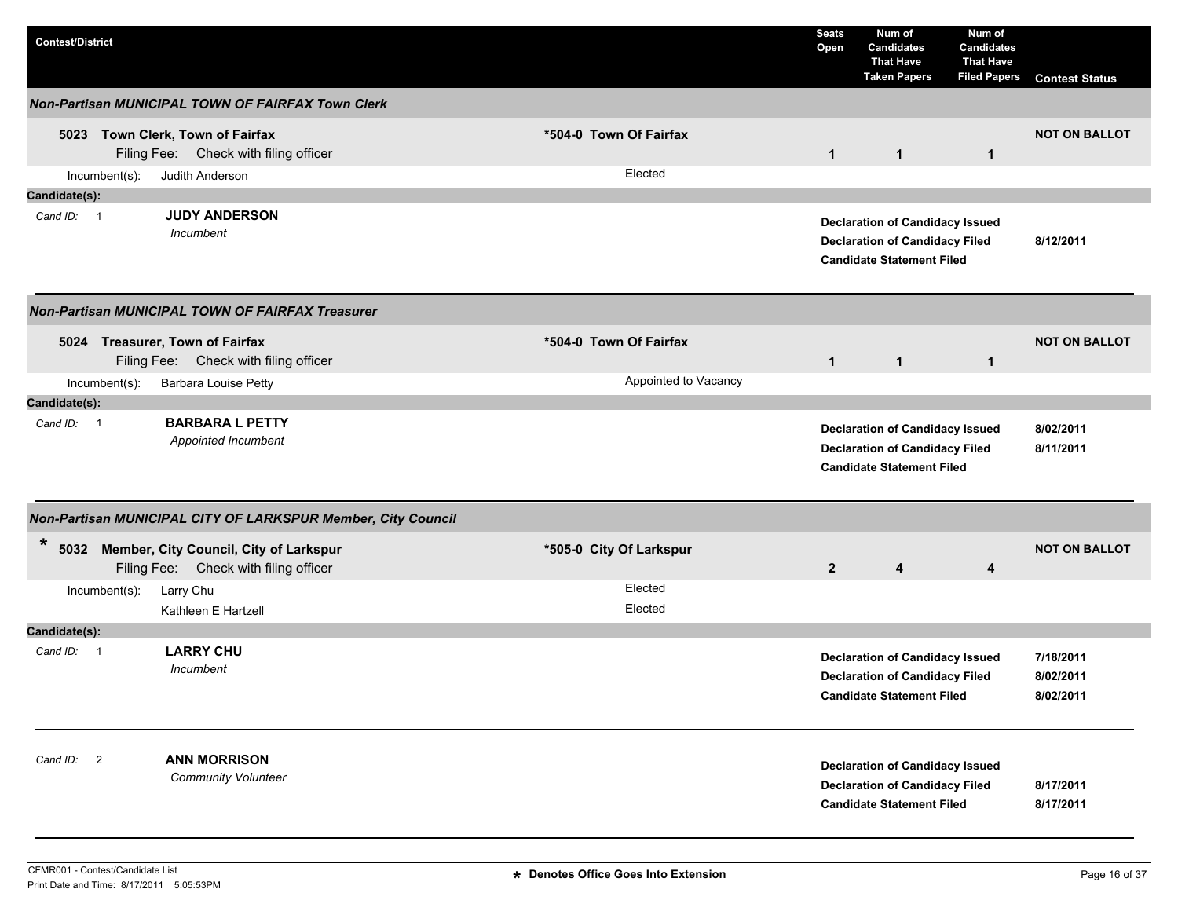| <b>Contest/District</b> |                                                                                      |                         | <b>Seats</b><br>Open | Num of<br><b>Candidates</b><br><b>That Have</b><br><b>Taken Papers</b>                                              | Num of<br><b>Candidates</b><br><b>That Have</b><br><b>Filed Papers</b> | <b>Contest Status</b>               |
|-------------------------|--------------------------------------------------------------------------------------|-------------------------|----------------------|---------------------------------------------------------------------------------------------------------------------|------------------------------------------------------------------------|-------------------------------------|
|                         | <b>Non-Partisan MUNICIPAL TOWN OF FAIRFAX Town Clerk</b>                             |                         |                      |                                                                                                                     |                                                                        |                                     |
|                         | 5023 Town Clerk, Town of Fairfax<br>Filing Fee: Check with filing officer            | *504-0 Town Of Fairfax  | $\mathbf{1}$         | $\mathbf{1}$                                                                                                        | $\mathbf{1}$                                                           | <b>NOT ON BALLOT</b>                |
| Incumbent(s):           | Judith Anderson                                                                      | Elected                 |                      |                                                                                                                     |                                                                        |                                     |
| Candidate(s):           |                                                                                      |                         |                      |                                                                                                                     |                                                                        |                                     |
| Cand ID: 1              | <b>JUDY ANDERSON</b><br>Incumbent                                                    |                         |                      | <b>Declaration of Candidacy Issued</b><br><b>Declaration of Candidacy Filed</b><br><b>Candidate Statement Filed</b> |                                                                        | 8/12/2011                           |
|                         | <b>Non-Partisan MUNICIPAL TOWN OF FAIRFAX Treasurer</b>                              |                         |                      |                                                                                                                     |                                                                        |                                     |
|                         | 5024 Treasurer, Town of Fairfax<br>Filing Fee: Check with filing officer             | *504-0 Town Of Fairfax  | $\mathbf{1}$         | $\mathbf{1}$                                                                                                        | $\mathbf{1}$                                                           | <b>NOT ON BALLOT</b>                |
| Incumbent(s):           | Barbara Louise Petty                                                                 | Appointed to Vacancy    |                      |                                                                                                                     |                                                                        |                                     |
| Candidate(s):           |                                                                                      |                         |                      |                                                                                                                     |                                                                        |                                     |
| Cand ID: 1              | <b>BARBARA L PETTY</b><br>Appointed Incumbent                                        |                         |                      | <b>Declaration of Candidacy Issued</b><br><b>Declaration of Candidacy Filed</b><br><b>Candidate Statement Filed</b> |                                                                        | 8/02/2011<br>8/11/2011              |
|                         | Non-Partisan MUNICIPAL CITY OF LARKSPUR Member, City Council                         |                         |                      |                                                                                                                     |                                                                        |                                     |
| $\star$                 | 5032 Member, City Council, City of Larkspur<br>Filing Fee: Check with filing officer | *505-0 City Of Larkspur | $\overline{2}$       | 4                                                                                                                   | 4                                                                      | <b>NOT ON BALLOT</b>                |
| Incumbent(s):           | Larry Chu<br>Kathleen E Hartzell                                                     | Elected<br>Elected      |                      |                                                                                                                     |                                                                        |                                     |
| Candidate(s):           |                                                                                      |                         |                      |                                                                                                                     |                                                                        |                                     |
| Cand ID: 1              | <b>LARRY CHU</b><br>Incumbent                                                        |                         |                      | <b>Declaration of Candidacy Issued</b><br><b>Declaration of Candidacy Filed</b><br><b>Candidate Statement Filed</b> |                                                                        | 7/18/2011<br>8/02/2011<br>8/02/2011 |
| Cand ID: 2              | <b>ANN MORRISON</b><br><b>Community Volunteer</b>                                    |                         |                      | <b>Declaration of Candidacy Issued</b><br><b>Declaration of Candidacy Filed</b><br><b>Candidate Statement Filed</b> |                                                                        | 8/17/2011<br>8/17/2011              |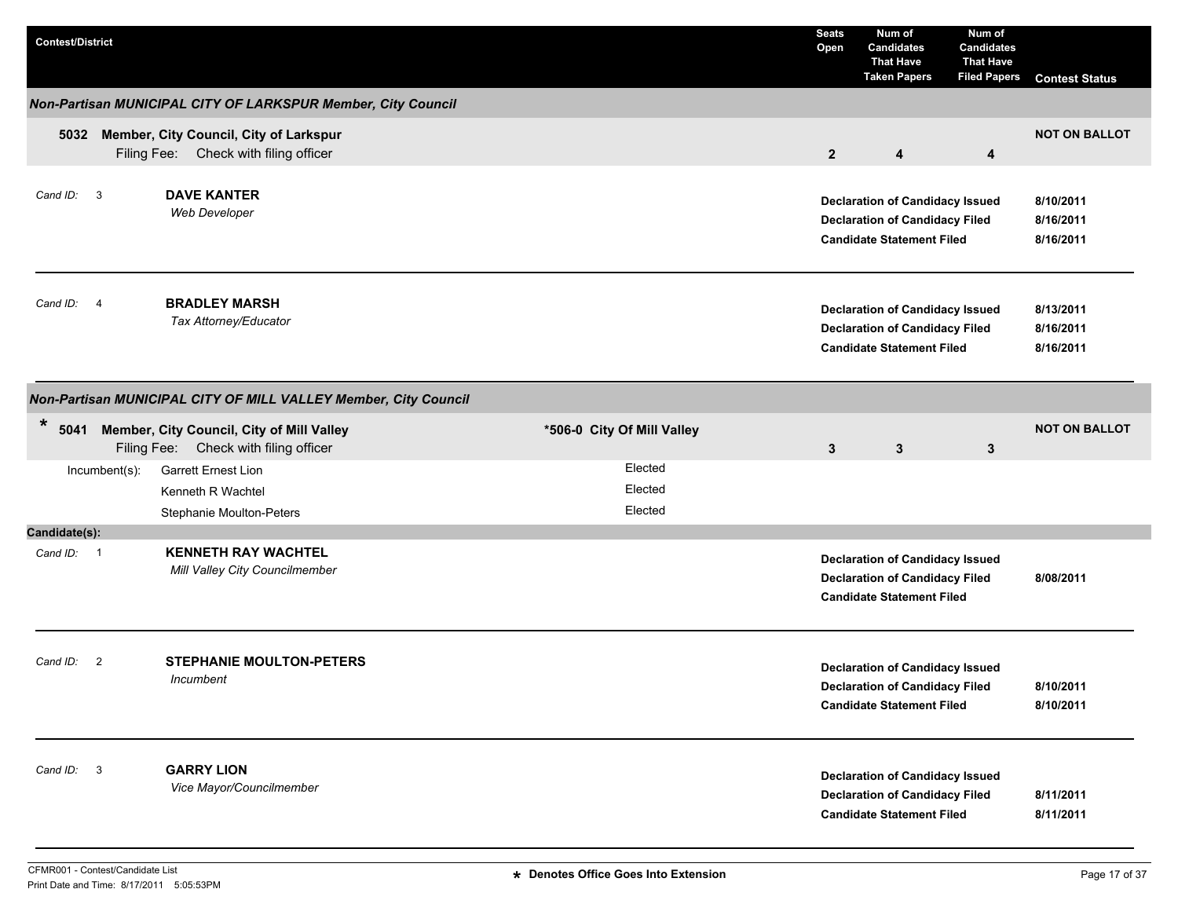| <b>Contest/District</b>    |                                                                                         |                               | <b>Seats</b><br>Open | Num of<br><b>Candidates</b><br><b>That Have</b><br><b>Taken Papers</b>                                              | Num of<br><b>Candidates</b><br><b>That Have</b><br><b>Filed Papers</b> | <b>Contest Status</b>               |
|----------------------------|-----------------------------------------------------------------------------------------|-------------------------------|----------------------|---------------------------------------------------------------------------------------------------------------------|------------------------------------------------------------------------|-------------------------------------|
|                            | Non-Partisan MUNICIPAL CITY OF LARKSPUR Member, City Council                            |                               |                      |                                                                                                                     |                                                                        |                                     |
| 5032                       | Member, City Council, City of Larkspur<br>Filing Fee: Check with filing officer         |                               | $\overline{2}$       | 4                                                                                                                   | 4                                                                      | <b>NOT ON BALLOT</b>                |
| Cand ID:<br>$\overline{3}$ | <b>DAVE KANTER</b><br><b>Web Developer</b>                                              |                               |                      | <b>Declaration of Candidacy Issued</b><br><b>Declaration of Candidacy Filed</b><br><b>Candidate Statement Filed</b> |                                                                        | 8/10/2011<br>8/16/2011<br>8/16/2011 |
| Cand ID: 4                 | <b>BRADLEY MARSH</b><br>Tax Attorney/Educator                                           |                               |                      | <b>Declaration of Candidacy Issued</b><br><b>Declaration of Candidacy Filed</b><br><b>Candidate Statement Filed</b> |                                                                        | 8/13/2011<br>8/16/2011<br>8/16/2011 |
|                            | Non-Partisan MUNICIPAL CITY OF MILL VALLEY Member, City Council                         |                               |                      |                                                                                                                     |                                                                        |                                     |
| $\ast$                     | 5041 Member, City Council, City of Mill Valley<br>Filing Fee: Check with filing officer | *506-0 City Of Mill Valley    | $\mathbf{3}$         | $\mathbf{3}$                                                                                                        | $\mathbf{3}$                                                           | <b>NOT ON BALLOT</b>                |
| Incumbent(s):              | <b>Garrett Ernest Lion</b><br>Kenneth R Wachtel<br>Stephanie Moulton-Peters             | Elected<br>Elected<br>Elected |                      |                                                                                                                     |                                                                        |                                     |
| Candidate(s):              |                                                                                         |                               |                      |                                                                                                                     |                                                                        |                                     |
| Cand ID: 1                 | <b>KENNETH RAY WACHTEL</b><br>Mill Valley City Councilmember                            |                               |                      | <b>Declaration of Candidacy Issued</b><br><b>Declaration of Candidacy Filed</b><br><b>Candidate Statement Filed</b> |                                                                        | 8/08/2011                           |
| Cand ID:<br>$\overline{2}$ | <b>STEPHANIE MOULTON-PETERS</b><br>Incumbent                                            |                               |                      | <b>Declaration of Candidacy Issued</b><br><b>Declaration of Candidacy Filed</b><br><b>Candidate Statement Filed</b> |                                                                        | 8/10/2011<br>8/10/2011              |
| 3<br>Cand ID:              | <b>GARRY LION</b><br>Vice Mayor/Councilmember                                           |                               |                      | <b>Declaration of Candidacy Issued</b><br><b>Declaration of Candidacy Filed</b><br><b>Candidate Statement Filed</b> |                                                                        | 8/11/2011<br>8/11/2011              |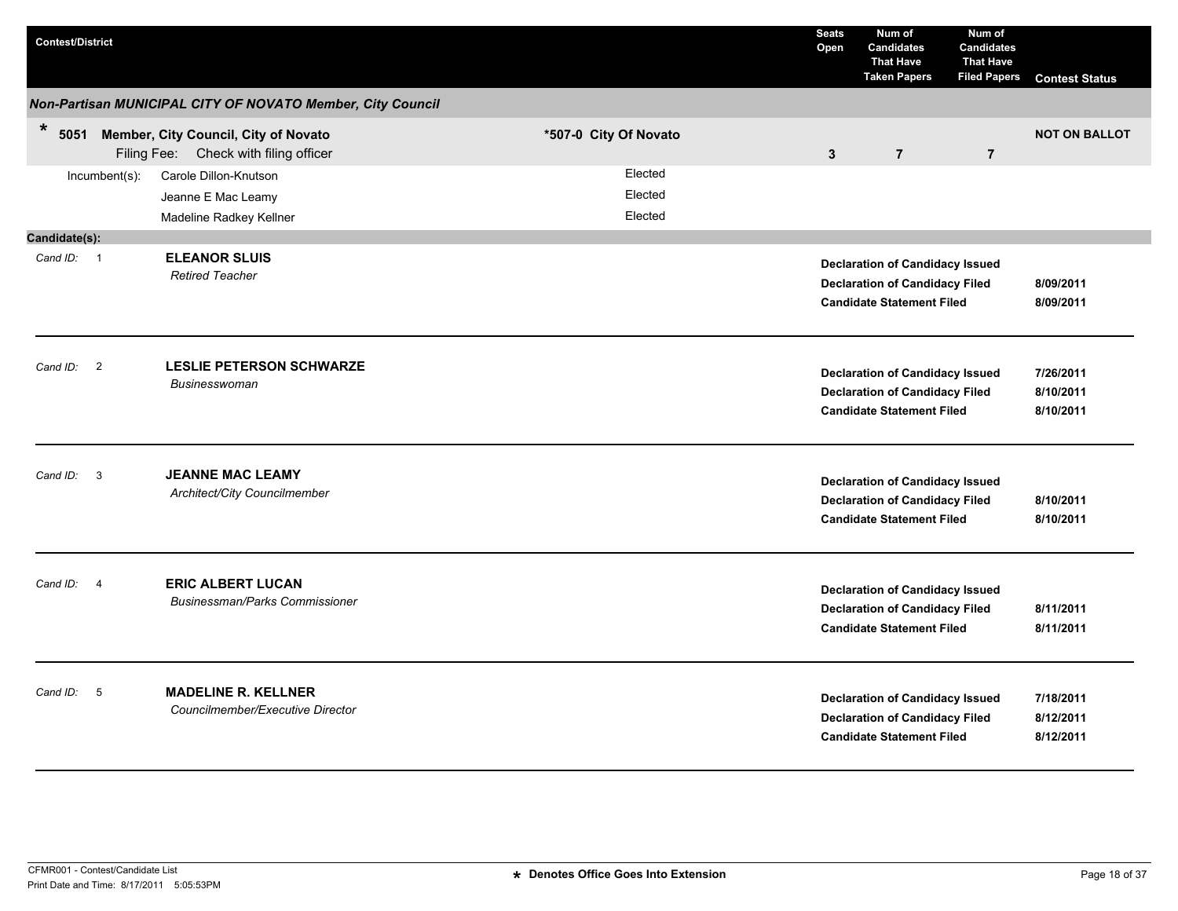| <b>Contest/District</b> |                         |                                                                               |                               | <b>Seats</b><br>Open | Num of<br><b>Candidates</b><br><b>That Have</b><br><b>Taken Papers</b>                                              | Num of<br><b>Candidates</b><br><b>That Have</b><br><b>Filed Papers</b> | <b>Contest Status</b>               |
|-------------------------|-------------------------|-------------------------------------------------------------------------------|-------------------------------|----------------------|---------------------------------------------------------------------------------------------------------------------|------------------------------------------------------------------------|-------------------------------------|
|                         |                         | Non-Partisan MUNICIPAL CITY OF NOVATO Member, City Council                    |                               |                      |                                                                                                                     |                                                                        |                                     |
| $\ast$<br>5051          |                         | Member, City Council, City of Novato<br>Filing Fee: Check with filing officer | *507-0 City Of Novato         | $\mathbf{3}$         | $\overline{7}$                                                                                                      | $\overline{7}$                                                         | <b>NOT ON BALLOT</b>                |
|                         | Incumbent(s):           | Carole Dillon-Knutson<br>Jeanne E Mac Leamy<br>Madeline Radkey Kellner        | Elected<br>Elected<br>Elected |                      |                                                                                                                     |                                                                        |                                     |
| Candidate(s):           |                         |                                                                               |                               |                      |                                                                                                                     |                                                                        |                                     |
| Cand ID: 1              |                         | <b>ELEANOR SLUIS</b><br><b>Retired Teacher</b>                                |                               |                      | <b>Declaration of Candidacy Issued</b><br><b>Declaration of Candidacy Filed</b><br><b>Candidate Statement Filed</b> |                                                                        | 8/09/2011<br>8/09/2011              |
| Cand ID: 2              |                         | <b>LESLIE PETERSON SCHWARZE</b><br><b>Businesswoman</b>                       |                               |                      | <b>Declaration of Candidacy Issued</b><br><b>Declaration of Candidacy Filed</b><br><b>Candidate Statement Filed</b> |                                                                        | 7/26/2011<br>8/10/2011<br>8/10/2011 |
| Cand ID:                | $\overline{\mathbf{3}}$ | <b>JEANNE MAC LEAMY</b><br>Architect/City Councilmember                       |                               |                      | <b>Declaration of Candidacy Issued</b><br><b>Declaration of Candidacy Filed</b><br><b>Candidate Statement Filed</b> |                                                                        | 8/10/2011<br>8/10/2011              |
| Cand ID:                | $\overline{4}$          | <b>ERIC ALBERT LUCAN</b><br><b>Businessman/Parks Commissioner</b>             |                               |                      | <b>Declaration of Candidacy Issued</b><br><b>Declaration of Candidacy Filed</b><br><b>Candidate Statement Filed</b> |                                                                        | 8/11/2011<br>8/11/2011              |
| Cand ID:                | $-5$                    | <b>MADELINE R. KELLNER</b><br>Councilmember/Executive Director                |                               |                      | <b>Declaration of Candidacy Issued</b><br><b>Declaration of Candidacy Filed</b><br><b>Candidate Statement Filed</b> |                                                                        | 7/18/2011<br>8/12/2011<br>8/12/2011 |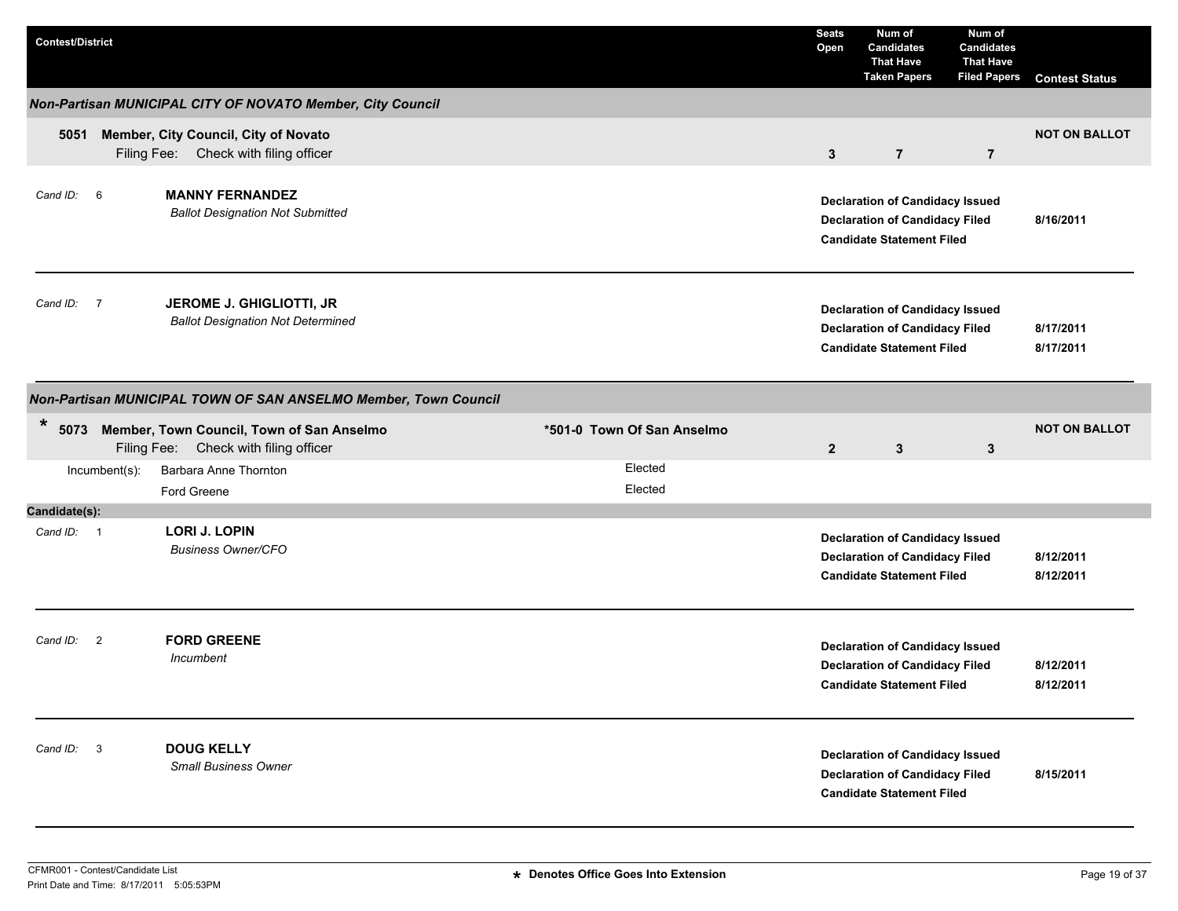| <b>Contest/District</b>    |                                                                                    |                            | <b>Seats</b><br>Open | Num of<br><b>Candidates</b><br><b>That Have</b><br><b>Taken Papers</b>                                              | Num of<br><b>Candidates</b><br><b>That Have</b><br><b>Filed Papers</b> | <b>Contest Status</b>  |
|----------------------------|------------------------------------------------------------------------------------|----------------------------|----------------------|---------------------------------------------------------------------------------------------------------------------|------------------------------------------------------------------------|------------------------|
|                            | Non-Partisan MUNICIPAL CITY OF NOVATO Member, City Council                         |                            |                      |                                                                                                                     |                                                                        |                        |
| 5051                       | Member, City Council, City of Novato<br>Filing Fee: Check with filing officer      |                            | $\mathbf{3}$         | $\overline{7}$                                                                                                      | $\overline{7}$                                                         | <b>NOT ON BALLOT</b>   |
| Cand ID: 6                 | <b>MANNY FERNANDEZ</b><br><b>Ballot Designation Not Submitted</b>                  |                            |                      | <b>Declaration of Candidacy Issued</b><br><b>Declaration of Candidacy Filed</b><br><b>Candidate Statement Filed</b> |                                                                        | 8/16/2011              |
| Cand ID: 7                 | JEROME J. GHIGLIOTTI, JR<br><b>Ballot Designation Not Determined</b>               |                            |                      | <b>Declaration of Candidacy Issued</b><br><b>Declaration of Candidacy Filed</b><br><b>Candidate Statement Filed</b> |                                                                        | 8/17/2011<br>8/17/2011 |
|                            | Non-Partisan MUNICIPAL TOWN OF SAN ANSELMO Member, Town Council                    |                            |                      |                                                                                                                     |                                                                        |                        |
| $\ast$<br>5073             | Member, Town Council, Town of San Anselmo<br>Filing Fee: Check with filing officer | *501-0 Town Of San Anselmo | $\overline{2}$       | $\mathbf{3}$                                                                                                        | 3                                                                      | <b>NOT ON BALLOT</b>   |
| Incumbent(s):              | Barbara Anne Thornton<br>Ford Greene                                               | Elected<br>Elected         |                      |                                                                                                                     |                                                                        |                        |
| Candidate(s):              |                                                                                    |                            |                      |                                                                                                                     |                                                                        |                        |
| Cand ID: 1                 | <b>LORI J. LOPIN</b><br><b>Business Owner/CFO</b>                                  |                            |                      | <b>Declaration of Candidacy Issued</b><br><b>Declaration of Candidacy Filed</b><br><b>Candidate Statement Filed</b> |                                                                        | 8/12/2011<br>8/12/2011 |
| Cand ID:<br>$\overline{2}$ | <b>FORD GREENE</b><br>Incumbent                                                    |                            |                      | <b>Declaration of Candidacy Issued</b><br><b>Declaration of Candidacy Filed</b><br><b>Candidate Statement Filed</b> |                                                                        | 8/12/2011<br>8/12/2011 |
| Cand ID: 3                 | <b>DOUG KELLY</b><br><b>Small Business Owner</b>                                   |                            |                      | <b>Declaration of Candidacy Issued</b><br><b>Declaration of Candidacy Filed</b><br><b>Candidate Statement Filed</b> |                                                                        | 8/15/2011              |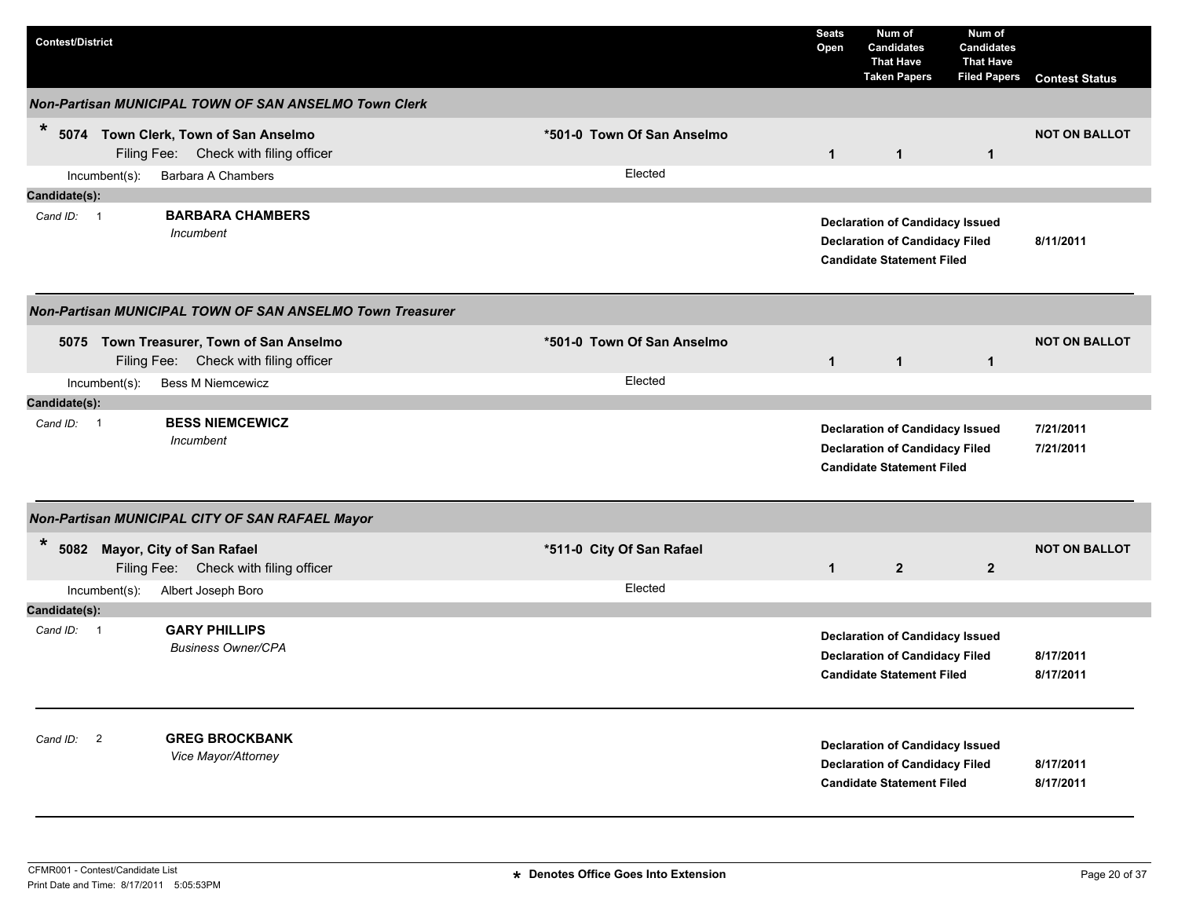| <b>Contest/District</b>                                                                                                      |                                      | <b>Seats</b><br>Open | Num of<br><b>Candidates</b><br><b>That Have</b><br><b>Taken Papers</b>                                              | Num of<br>Candidates<br><b>That Have</b><br><b>Filed Papers</b> | <b>Contest Status</b>  |
|------------------------------------------------------------------------------------------------------------------------------|--------------------------------------|----------------------|---------------------------------------------------------------------------------------------------------------------|-----------------------------------------------------------------|------------------------|
| <b>Non-Partisan MUNICIPAL TOWN OF SAN ANSELMO Town Clerk</b>                                                                 |                                      |                      |                                                                                                                     |                                                                 |                        |
| $\ast$<br>5074 Town Clerk, Town of San Anselmo<br>Filing Fee: Check with filing officer                                      | *501-0 Town Of San Anselmo           | $\mathbf{1}$         | $\mathbf{1}$                                                                                                        | $\mathbf{1}$                                                    | <b>NOT ON BALLOT</b>   |
| Barbara A Chambers<br>$Incumbent(s)$ :                                                                                       | Elected                              |                      |                                                                                                                     |                                                                 |                        |
| Candidate(s):                                                                                                                |                                      |                      |                                                                                                                     |                                                                 |                        |
| <b>BARBARA CHAMBERS</b><br>Cand ID: 1<br>Incumbent                                                                           |                                      |                      | <b>Declaration of Candidacy Issued</b><br><b>Declaration of Candidacy Filed</b><br><b>Candidate Statement Filed</b> |                                                                 | 8/11/2011              |
| Non-Partisan MUNICIPAL TOWN OF SAN ANSELMO Town Treasurer                                                                    |                                      |                      |                                                                                                                     |                                                                 |                        |
| 5075 Town Treasurer, Town of San Anselmo<br>Filing Fee: Check with filing officer                                            | *501-0 Town Of San Anselmo           | $\mathbf{1}$         | $\mathbf{1}$                                                                                                        | $\mathbf{1}$                                                    | <b>NOT ON BALLOT</b>   |
| <b>Bess M Niemcewicz</b><br>Incumbent(s):                                                                                    | Elected                              |                      |                                                                                                                     |                                                                 |                        |
| Candidate(s):                                                                                                                |                                      |                      |                                                                                                                     |                                                                 |                        |
| <b>BESS NIEMCEWICZ</b><br>Cand $ID: 1$<br>Incumbent                                                                          |                                      |                      | <b>Declaration of Candidacy Issued</b><br><b>Declaration of Candidacy Filed</b><br><b>Candidate Statement Filed</b> |                                                                 | 7/21/2011<br>7/21/2011 |
| Non-Partisan MUNICIPAL CITY OF SAN RAFAEL Mayor                                                                              |                                      |                      |                                                                                                                     |                                                                 |                        |
| $\star$<br>5082 Mayor, City of San Rafael<br>Filing Fee: Check with filing officer<br>$Incumbent(s)$ :<br>Albert Joseph Boro | *511-0 City Of San Rafael<br>Elected | $\mathbf{1}$         | $\overline{2}$                                                                                                      | $\overline{2}$                                                  | <b>NOT ON BALLOT</b>   |
| Candidate(s):                                                                                                                |                                      |                      |                                                                                                                     |                                                                 |                        |
| <b>GARY PHILLIPS</b><br>Cand ID: 1<br><b>Business Owner/CPA</b>                                                              |                                      |                      | <b>Declaration of Candidacy Issued</b><br><b>Declaration of Candidacy Filed</b><br><b>Candidate Statement Filed</b> |                                                                 | 8/17/2011<br>8/17/2011 |
| <b>GREG BROCKBANK</b><br>Cand ID: 2<br>Vice Mayor/Attorney                                                                   |                                      |                      | <b>Declaration of Candidacy Issued</b><br><b>Declaration of Candidacy Filed</b><br><b>Candidate Statement Filed</b> |                                                                 | 8/17/2011<br>8/17/2011 |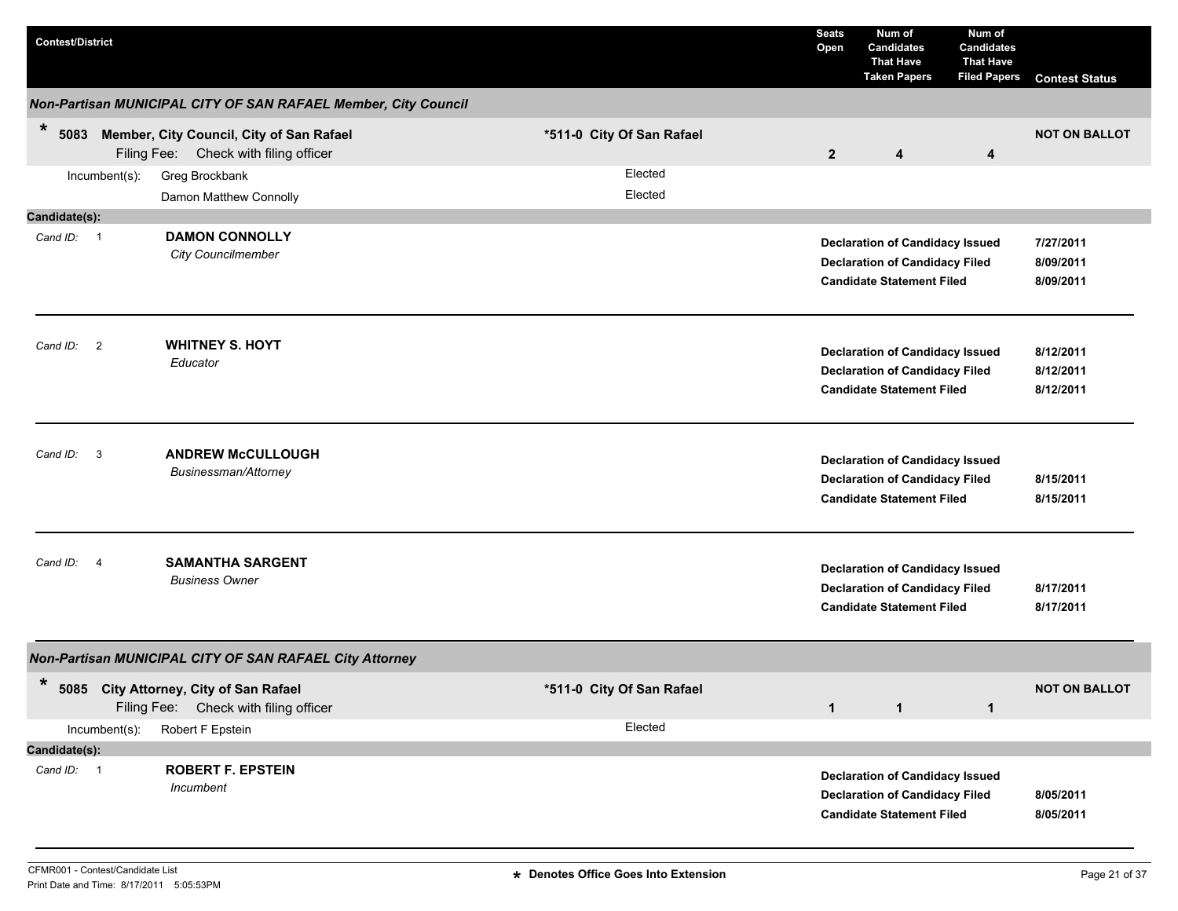| <b>Contest/District</b>                                                                             |                                                                |                           | <b>Seats</b><br>Open | Num of<br><b>Candidates</b><br><b>That Have</b><br><b>Taken Papers</b>                                              | Num of<br><b>Candidates</b><br><b>That Have</b><br><b>Filed Papers</b> | <b>Contest Status</b>               |
|-----------------------------------------------------------------------------------------------------|----------------------------------------------------------------|---------------------------|----------------------|---------------------------------------------------------------------------------------------------------------------|------------------------------------------------------------------------|-------------------------------------|
|                                                                                                     | Non-Partisan MUNICIPAL CITY OF SAN RAFAEL Member, City Council |                           |                      |                                                                                                                     |                                                                        |                                     |
| $\ast$<br>Member, City Council, City of San Rafael<br>5083<br>Filing Fee: Check with filing officer |                                                                | *511-0 City Of San Rafael | $\overline{2}$       | 4                                                                                                                   | 4                                                                      | <b>NOT ON BALLOT</b>                |
| Greg Brockbank<br>Incumbent(s):<br>Damon Matthew Connolly                                           |                                                                | Elected<br>Elected        |                      |                                                                                                                     |                                                                        |                                     |
| Candidate(s):                                                                                       |                                                                |                           |                      |                                                                                                                     |                                                                        |                                     |
| <b>DAMON CONNOLLY</b><br>Cand ID: 1<br><b>City Councilmember</b>                                    |                                                                |                           |                      | <b>Declaration of Candidacy Issued</b><br><b>Declaration of Candidacy Filed</b><br><b>Candidate Statement Filed</b> |                                                                        | 7/27/2011<br>8/09/2011<br>8/09/2011 |
| <b>WHITNEY S. HOYT</b><br>Cand ID: 2<br>Educator                                                    |                                                                |                           |                      | <b>Declaration of Candidacy Issued</b><br><b>Declaration of Candidacy Filed</b><br><b>Candidate Statement Filed</b> |                                                                        | 8/12/2011<br>8/12/2011<br>8/12/2011 |
| <b>ANDREW McCULLOUGH</b><br>$\mathbf{3}$<br>Cand ID:<br>Businessman/Attorney                        |                                                                |                           |                      | <b>Declaration of Candidacy Issued</b><br><b>Declaration of Candidacy Filed</b><br><b>Candidate Statement Filed</b> |                                                                        | 8/15/2011<br>8/15/2011              |
| <b>SAMANTHA SARGENT</b><br>Cand ID: 4<br><b>Business Owner</b>                                      |                                                                |                           |                      | <b>Declaration of Candidacy Issued</b><br><b>Declaration of Candidacy Filed</b><br><b>Candidate Statement Filed</b> |                                                                        | 8/17/2011<br>8/17/2011              |
| Non-Partisan MUNICIPAL CITY OF SAN RAFAEL City Attorney                                             |                                                                |                           |                      |                                                                                                                     |                                                                        |                                     |
| $\ast$<br>5085 City Attorney, City of San Rafael<br>Filing Fee: Check with filing officer           |                                                                | *511-0 City Of San Rafael | $\mathbf{1}$         | $\mathbf{1}$                                                                                                        | $\mathbf{1}$                                                           | <b>NOT ON BALLOT</b>                |
| Robert F Epstein<br>Incumbent(s):                                                                   |                                                                | Elected                   |                      |                                                                                                                     |                                                                        |                                     |
| Candidate(s):                                                                                       |                                                                |                           |                      |                                                                                                                     |                                                                        |                                     |
| <b>ROBERT F. EPSTEIN</b><br>Cand ID: 1<br>Incumbent                                                 |                                                                |                           |                      | <b>Declaration of Candidacy Issued</b><br><b>Declaration of Candidacy Filed</b><br><b>Candidate Statement Filed</b> |                                                                        | 8/05/2011<br>8/05/2011              |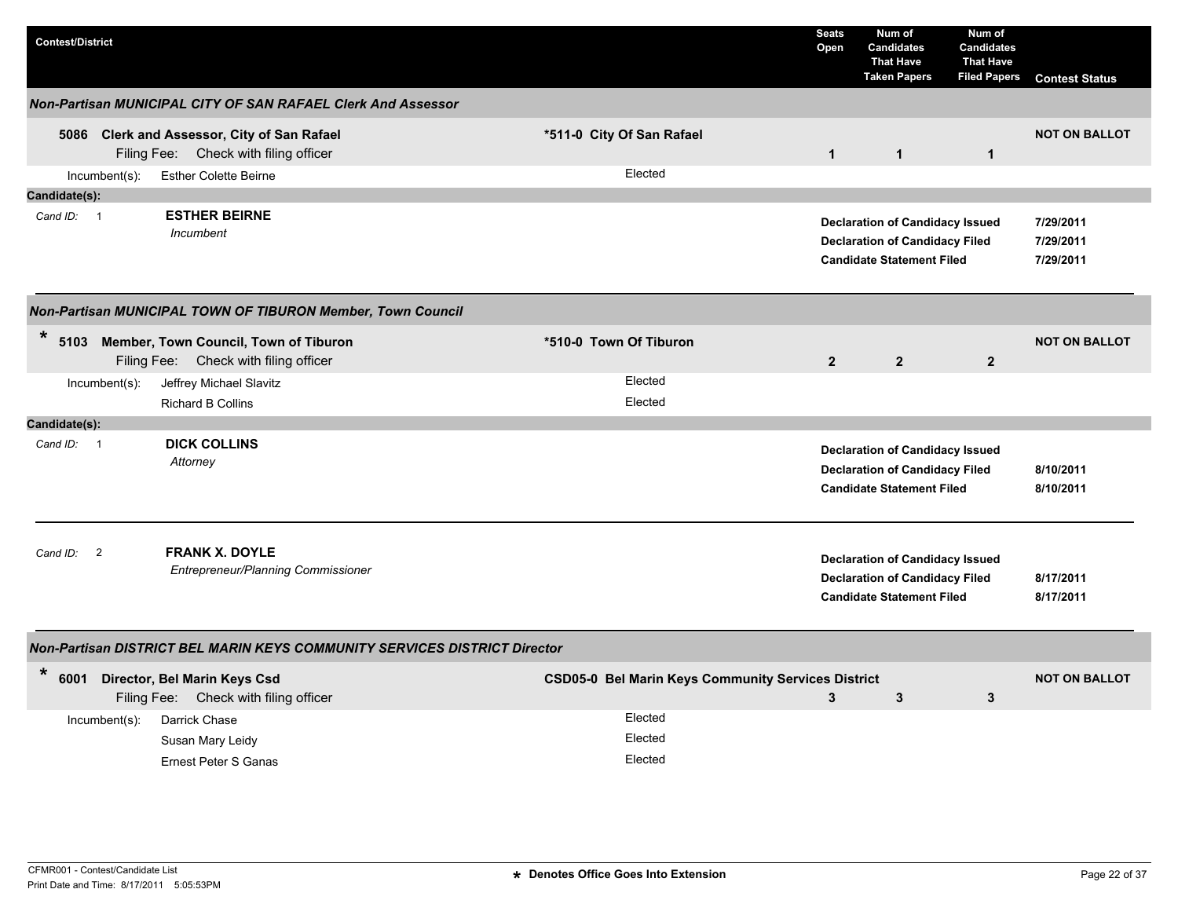| <b>Contest/District</b>    |                  |                                                                                      |                        |                                                           | <b>Seats</b><br>Open | Num of<br><b>Candidates</b><br><b>That Have</b><br><b>Taken Papers</b>                                              | Num of<br><b>Candidates</b><br><b>That Have</b><br><b>Filed Papers</b> | <b>Contest Status</b>               |
|----------------------------|------------------|--------------------------------------------------------------------------------------|------------------------|-----------------------------------------------------------|----------------------|---------------------------------------------------------------------------------------------------------------------|------------------------------------------------------------------------|-------------------------------------|
|                            |                  | Non-Partisan MUNICIPAL CITY OF SAN RAFAEL Clerk And Assessor                         |                        |                                                           |                      |                                                                                                                     |                                                                        |                                     |
|                            |                  | 5086 Clerk and Assessor, City of San Rafael<br>Filing Fee: Check with filing officer |                        | *511-0 City Of San Rafael                                 | $\mathbf{1}$         | $\mathbf{1}$                                                                                                        | $\mathbf{1}$                                                           | <b>NOT ON BALLOT</b>                |
|                            | Incumbent(s):    | <b>Esther Colette Beirne</b>                                                         |                        | Elected                                                   |                      |                                                                                                                     |                                                                        |                                     |
| Candidate(s):              |                  |                                                                                      |                        |                                                           |                      |                                                                                                                     |                                                                        |                                     |
| Cand ID: 1                 |                  | <b>ESTHER BEIRNE</b><br>Incumbent                                                    |                        |                                                           |                      | <b>Declaration of Candidacy Issued</b><br><b>Declaration of Candidacy Filed</b><br><b>Candidate Statement Filed</b> |                                                                        | 7/29/2011<br>7/29/2011<br>7/29/2011 |
|                            |                  | Non-Partisan MUNICIPAL TOWN OF TIBURON Member, Town Council                          |                        |                                                           |                      |                                                                                                                     |                                                                        |                                     |
| $\ast$                     |                  | 5103 Member, Town Council, Town of Tiburon<br>Filing Fee: Check with filing officer  | *510-0 Town Of Tiburon |                                                           | $\mathbf{2}$         | $\mathbf{2}$                                                                                                        | $\mathbf{2}$                                                           | <b>NOT ON BALLOT</b>                |
|                            | Incumbent(s):    | Jeffrey Michael Slavitz                                                              |                        | Elected                                                   |                      |                                                                                                                     |                                                                        |                                     |
|                            |                  | <b>Richard B Collins</b>                                                             |                        | Elected                                                   |                      |                                                                                                                     |                                                                        |                                     |
| Candidate(s):              |                  |                                                                                      |                        |                                                           |                      |                                                                                                                     |                                                                        |                                     |
| Cand ID: 1                 |                  | <b>DICK COLLINS</b><br>Attorney                                                      |                        |                                                           |                      | <b>Declaration of Candidacy Issued</b><br><b>Declaration of Candidacy Filed</b><br><b>Candidate Statement Filed</b> |                                                                        | 8/10/2011<br>8/10/2011              |
| Cand ID:<br>$\overline{2}$ |                  | <b>FRANK X. DOYLE</b><br>Entrepreneur/Planning Commissioner                          |                        |                                                           |                      | <b>Declaration of Candidacy Issued</b><br><b>Declaration of Candidacy Filed</b><br><b>Candidate Statement Filed</b> |                                                                        | 8/17/2011<br>8/17/2011              |
|                            |                  | Non-Partisan DISTRICT BEL MARIN KEYS COMMUNITY SERVICES DISTRICT Director            |                        |                                                           |                      |                                                                                                                     |                                                                        |                                     |
| $\ast$<br>6001             |                  | Director, Bel Marin Keys Csd<br>Filing Fee: Check with filing officer                |                        | <b>CSD05-0 Bel Marin Keys Community Services District</b> | 3                    | 3                                                                                                                   | 3                                                                      | <b>NOT ON BALLOT</b>                |
|                            | $Incumbent(s)$ : | Darrick Chase                                                                        |                        | Elected                                                   |                      |                                                                                                                     |                                                                        |                                     |
|                            |                  | Susan Mary Leidy                                                                     |                        | Elected                                                   |                      |                                                                                                                     |                                                                        |                                     |
|                            |                  | Ernest Peter S Ganas                                                                 |                        | Elected                                                   |                      |                                                                                                                     |                                                                        |                                     |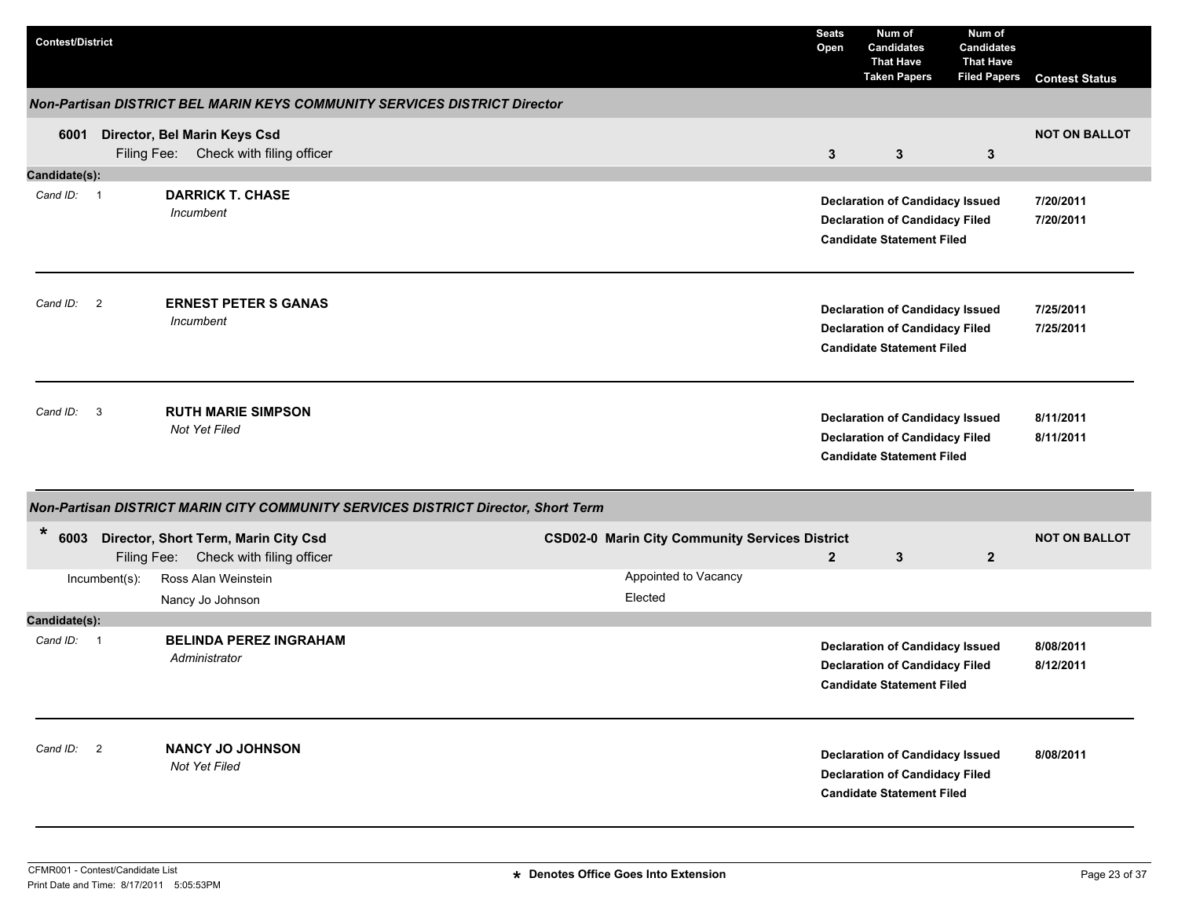| <b>Contest/District</b> |                                                                                    |                                                       | <b>Seats</b><br>Open | Num of<br><b>Candidates</b><br><b>That Have</b><br><b>Taken Papers</b>                                              | Num of<br><b>Candidates</b><br><b>That Have</b><br><b>Filed Papers</b> | <b>Contest Status</b>  |
|-------------------------|------------------------------------------------------------------------------------|-------------------------------------------------------|----------------------|---------------------------------------------------------------------------------------------------------------------|------------------------------------------------------------------------|------------------------|
|                         | Non-Partisan DISTRICT BEL MARIN KEYS COMMUNITY SERVICES DISTRICT Director          |                                                       |                      |                                                                                                                     |                                                                        |                        |
| 6001                    | Director, Bel Marin Keys Csd<br>Filing Fee: Check with filing officer              |                                                       | $\mathbf{3}$         | $\mathbf{3}$                                                                                                        | 3                                                                      | <b>NOT ON BALLOT</b>   |
| Candidate(s):           |                                                                                    |                                                       |                      |                                                                                                                     |                                                                        |                        |
| Cand ID: 1              | <b>DARRICK T. CHASE</b><br>Incumbent                                               |                                                       |                      | <b>Declaration of Candidacy Issued</b><br><b>Declaration of Candidacy Filed</b><br><b>Candidate Statement Filed</b> |                                                                        | 7/20/2011<br>7/20/2011 |
| Cand ID: 2              | <b>ERNEST PETER S GANAS</b><br>Incumbent                                           |                                                       |                      | <b>Declaration of Candidacy Issued</b><br><b>Declaration of Candidacy Filed</b><br><b>Candidate Statement Filed</b> |                                                                        | 7/25/2011<br>7/25/2011 |
| Cand ID: 3              | <b>RUTH MARIE SIMPSON</b><br>Not Yet Filed                                         |                                                       |                      | <b>Declaration of Candidacy Issued</b><br><b>Declaration of Candidacy Filed</b><br><b>Candidate Statement Filed</b> |                                                                        | 8/11/2011<br>8/11/2011 |
|                         | Non-Partisan DISTRICT MARIN CITY COMMUNITY SERVICES DISTRICT Director, Short Term  |                                                       |                      |                                                                                                                     |                                                                        |                        |
| *                       | 6003 Director, Short Term, Marin City Csd<br>Filing Fee: Check with filing officer | <b>CSD02-0 Marin City Community Services District</b> | $\overline{2}$       | 3                                                                                                                   | $\mathbf{2}$                                                           | <b>NOT ON BALLOT</b>   |
| Incumbent(s):           | Ross Alan Weinstein<br>Nancy Jo Johnson                                            | Appointed to Vacancy<br>Elected                       |                      |                                                                                                                     |                                                                        |                        |
| Candidate(s):           |                                                                                    |                                                       |                      |                                                                                                                     |                                                                        |                        |
| Cand ID: 1              | <b>BELINDA PEREZ INGRAHAM</b><br>Administrator                                     |                                                       |                      | <b>Declaration of Candidacy Issued</b><br><b>Declaration of Candidacy Filed</b><br><b>Candidate Statement Filed</b> |                                                                        | 8/08/2011<br>8/12/2011 |
| Cand ID: 2              | <b>NANCY JO JOHNSON</b><br>Not Yet Filed                                           |                                                       |                      | <b>Declaration of Candidacy Issued</b><br><b>Declaration of Candidacy Filed</b><br><b>Candidate Statement Filed</b> |                                                                        | 8/08/2011              |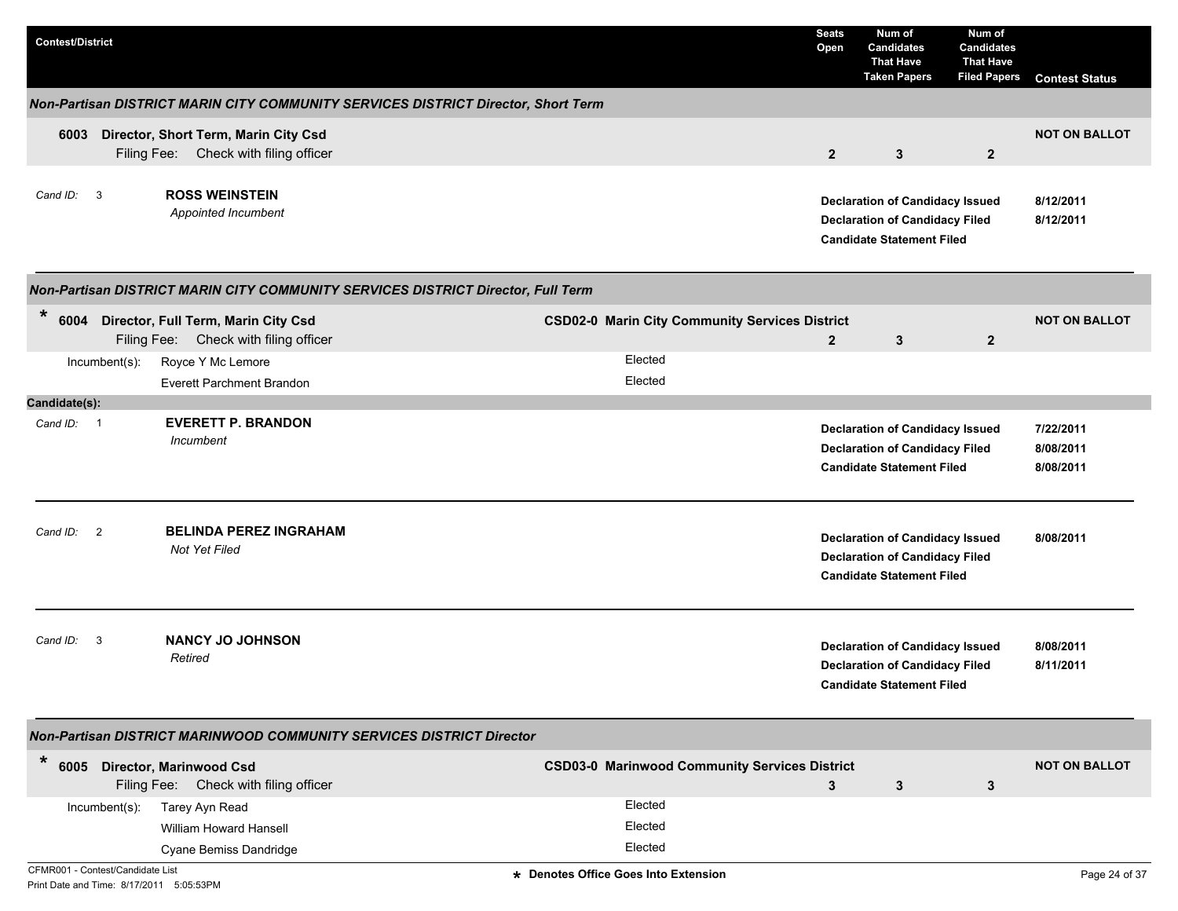| <b>Contest/District</b> |                |                                                                                   |                                                       | <b>Seats</b><br>Open | Num of<br><b>Candidates</b><br><b>That Have</b><br><b>Taken Papers</b>                                              | Num of<br><b>Candidates</b><br><b>That Have</b><br><b>Filed Papers</b> | <b>Contest Status</b>               |
|-------------------------|----------------|-----------------------------------------------------------------------------------|-------------------------------------------------------|----------------------|---------------------------------------------------------------------------------------------------------------------|------------------------------------------------------------------------|-------------------------------------|
|                         |                | Non-Partisan DISTRICT MARIN CITY COMMUNITY SERVICES DISTRICT Director, Short Term |                                                       |                      |                                                                                                                     |                                                                        |                                     |
| 6003                    | Filing Fee:    | Director, Short Term, Marin City Csd<br>Check with filing officer                 |                                                       | $\overline{2}$       | 3                                                                                                                   | $\overline{2}$                                                         | <b>NOT ON BALLOT</b>                |
| Cand ID:                | $\mathbf{3}$   | <b>ROSS WEINSTEIN</b><br>Appointed Incumbent                                      |                                                       |                      | <b>Declaration of Candidacy Issued</b><br><b>Declaration of Candidacy Filed</b><br><b>Candidate Statement Filed</b> |                                                                        | 8/12/2011<br>8/12/2011              |
|                         |                | Non-Partisan DISTRICT MARIN CITY COMMUNITY SERVICES DISTRICT Director, Full Term  |                                                       |                      |                                                                                                                     |                                                                        |                                     |
| $\star$                 |                | 6004 Director, Full Term, Marin City Csd<br>Filing Fee: Check with filing officer | <b>CSD02-0 Marin City Community Services District</b> | $\mathbf{2}$         | 3                                                                                                                   | $\mathbf{2}$                                                           | <b>NOT ON BALLOT</b>                |
|                         | Incumbent(s):  | Royce Y Mc Lemore                                                                 | Elected                                               |                      |                                                                                                                     |                                                                        |                                     |
| Candidate(s):           |                | <b>Everett Parchment Brandon</b>                                                  | Elected                                               |                      |                                                                                                                     |                                                                        |                                     |
| Cand ID: 1              |                | <b>EVERETT P. BRANDON</b><br>Incumbent                                            |                                                       |                      | <b>Declaration of Candidacy Issued</b><br><b>Declaration of Candidacy Filed</b><br><b>Candidate Statement Filed</b> |                                                                        | 7/22/2011<br>8/08/2011<br>8/08/2011 |
| Cand ID:                | $\overline{2}$ | <b>BELINDA PEREZ INGRAHAM</b><br>Not Yet Filed                                    |                                                       |                      | <b>Declaration of Candidacy Issued</b><br><b>Declaration of Candidacy Filed</b><br><b>Candidate Statement Filed</b> |                                                                        | 8/08/2011                           |
| Cand ID:                | 3              | <b>NANCY JO JOHNSON</b><br>Retired                                                |                                                       |                      | <b>Declaration of Candidacy Issued</b><br><b>Declaration of Candidacy Filed</b><br><b>Candidate Statement Filed</b> |                                                                        | 8/08/2011<br>8/11/2011              |
|                         |                | Non-Partisan DISTRICT MARINWOOD COMMUNITY SERVICES DISTRICT Director              |                                                       |                      |                                                                                                                     |                                                                        |                                     |
| $\star$                 |                | 6005 Director, Marinwood Csd<br>Filing Fee: Check with filing officer             | <b>CSD03-0 Marinwood Community Services District</b>  | 3                    | $\mathbf{3}$                                                                                                        | $\mathbf{3}$                                                           | <b>NOT ON BALLOT</b>                |
|                         | Incumbent(s):  | Tarey Ayn Read                                                                    | Elected                                               |                      |                                                                                                                     |                                                                        |                                     |
|                         |                | William Howard Hansell                                                            | Elected                                               |                      |                                                                                                                     |                                                                        |                                     |
|                         |                | Cyane Bemiss Dandridge                                                            | Elected                                               |                      |                                                                                                                     |                                                                        |                                     |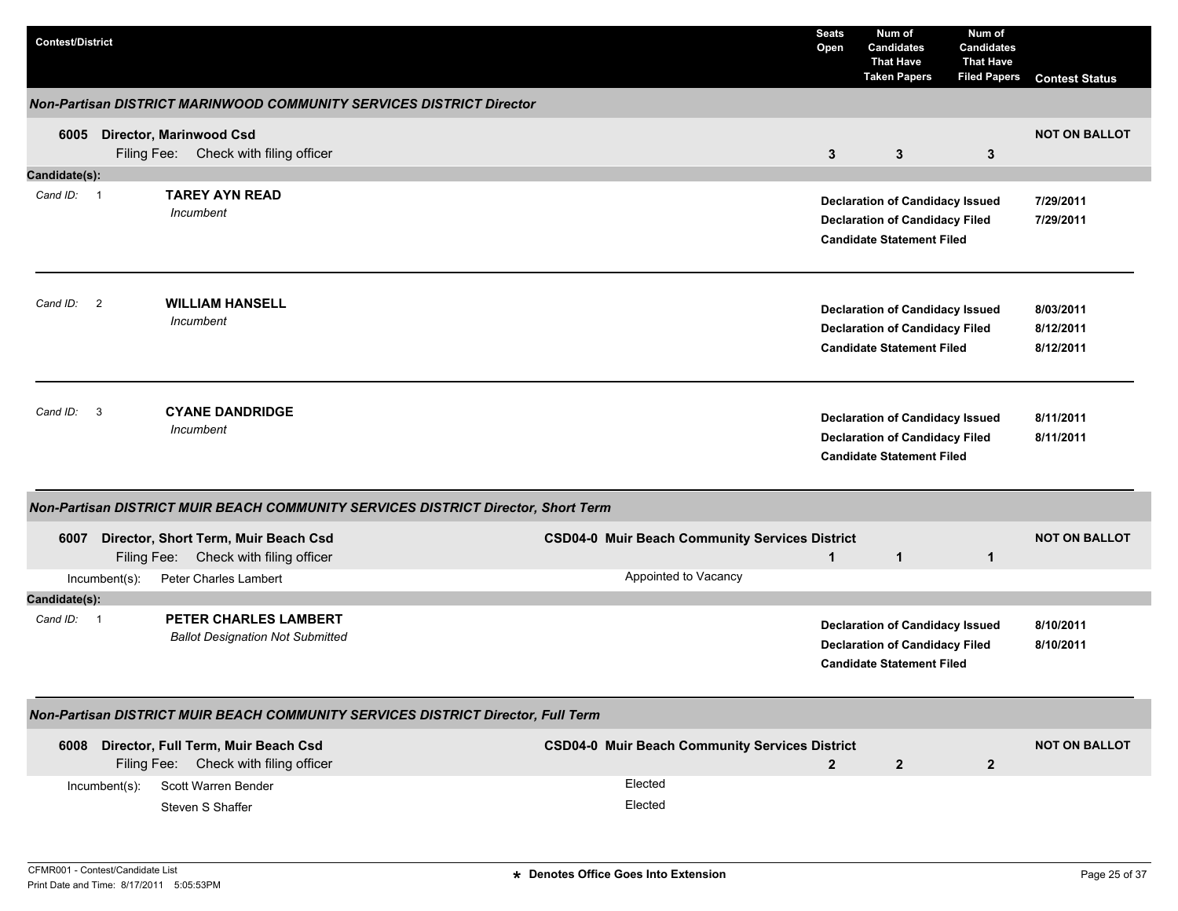| <b>Contest/District</b> |               |                                                                                   |                                                       | <b>Seats</b><br>Open | Num of<br><b>Candidates</b><br><b>That Have</b><br><b>Taken Papers</b>                                              | Num of<br><b>Candidates</b><br><b>That Have</b><br><b>Filed Papers</b> | <b>Contest Status</b>               |
|-------------------------|---------------|-----------------------------------------------------------------------------------|-------------------------------------------------------|----------------------|---------------------------------------------------------------------------------------------------------------------|------------------------------------------------------------------------|-------------------------------------|
|                         |               | Non-Partisan DISTRICT MARINWOOD COMMUNITY SERVICES DISTRICT Director              |                                                       |                      |                                                                                                                     |                                                                        |                                     |
| 6005                    |               | <b>Director, Marinwood Csd</b><br>Filing Fee: Check with filing officer           |                                                       | $\mathbf{3}$         | 3                                                                                                                   | 3                                                                      | <b>NOT ON BALLOT</b>                |
| Candidate(s):           |               |                                                                                   |                                                       |                      |                                                                                                                     |                                                                        |                                     |
| Cand ID: 1              |               | <b>TAREY AYN READ</b><br>Incumbent                                                |                                                       |                      | <b>Declaration of Candidacy Issued</b><br><b>Declaration of Candidacy Filed</b><br><b>Candidate Statement Filed</b> |                                                                        | 7/29/2011<br>7/29/2011              |
| Cand ID: 2              |               | <b>WILLIAM HANSELL</b><br>Incumbent                                               |                                                       |                      | <b>Declaration of Candidacy Issued</b><br><b>Declaration of Candidacy Filed</b><br><b>Candidate Statement Filed</b> |                                                                        | 8/03/2011<br>8/12/2011<br>8/12/2011 |
| Cand ID: 3              |               | <b>CYANE DANDRIDGE</b><br>Incumbent                                               |                                                       |                      | <b>Declaration of Candidacy Issued</b><br><b>Declaration of Candidacy Filed</b><br><b>Candidate Statement Filed</b> |                                                                        | 8/11/2011<br>8/11/2011              |
|                         |               | Non-Partisan DISTRICT MUIR BEACH COMMUNITY SERVICES DISTRICT Director, Short Term |                                                       |                      |                                                                                                                     |                                                                        |                                     |
| 6007                    |               | Director, Short Term, Muir Beach Csd<br>Filing Fee: Check with filing officer     | <b>CSD04-0 Muir Beach Community Services District</b> | $\mathbf{1}$         | $\mathbf{1}$                                                                                                        | 1                                                                      | <b>NOT ON BALLOT</b>                |
|                         | Incumbent(s): | Peter Charles Lambert                                                             | Appointed to Vacancy                                  |                      |                                                                                                                     |                                                                        |                                     |
| Candidate(s):           |               |                                                                                   |                                                       |                      |                                                                                                                     |                                                                        |                                     |
| Cand ID: 1              |               | PETER CHARLES LAMBERT<br><b>Ballot Designation Not Submitted</b>                  |                                                       |                      | <b>Declaration of Candidacy Issued</b><br><b>Declaration of Candidacy Filed</b><br><b>Candidate Statement Filed</b> |                                                                        | 8/10/2011<br>8/10/2011              |
|                         |               | Non-Partisan DISTRICT MUIR BEACH COMMUNITY SERVICES DISTRICT Director, Full Term  |                                                       |                      |                                                                                                                     |                                                                        |                                     |
|                         |               | 6008 Director, Full Term, Muir Beach Csd<br>Filing Fee: Check with filing officer | <b>CSD04-0 Muir Beach Community Services District</b> | $\overline{2}$       | $\mathbf{2}$                                                                                                        | $\overline{\mathbf{2}}$                                                | <b>NOT ON BALLOT</b>                |
|                         | Incumbent(s): | Scott Warren Bender<br>Steven S Shaffer                                           | Elected<br>Elected                                    |                      |                                                                                                                     |                                                                        |                                     |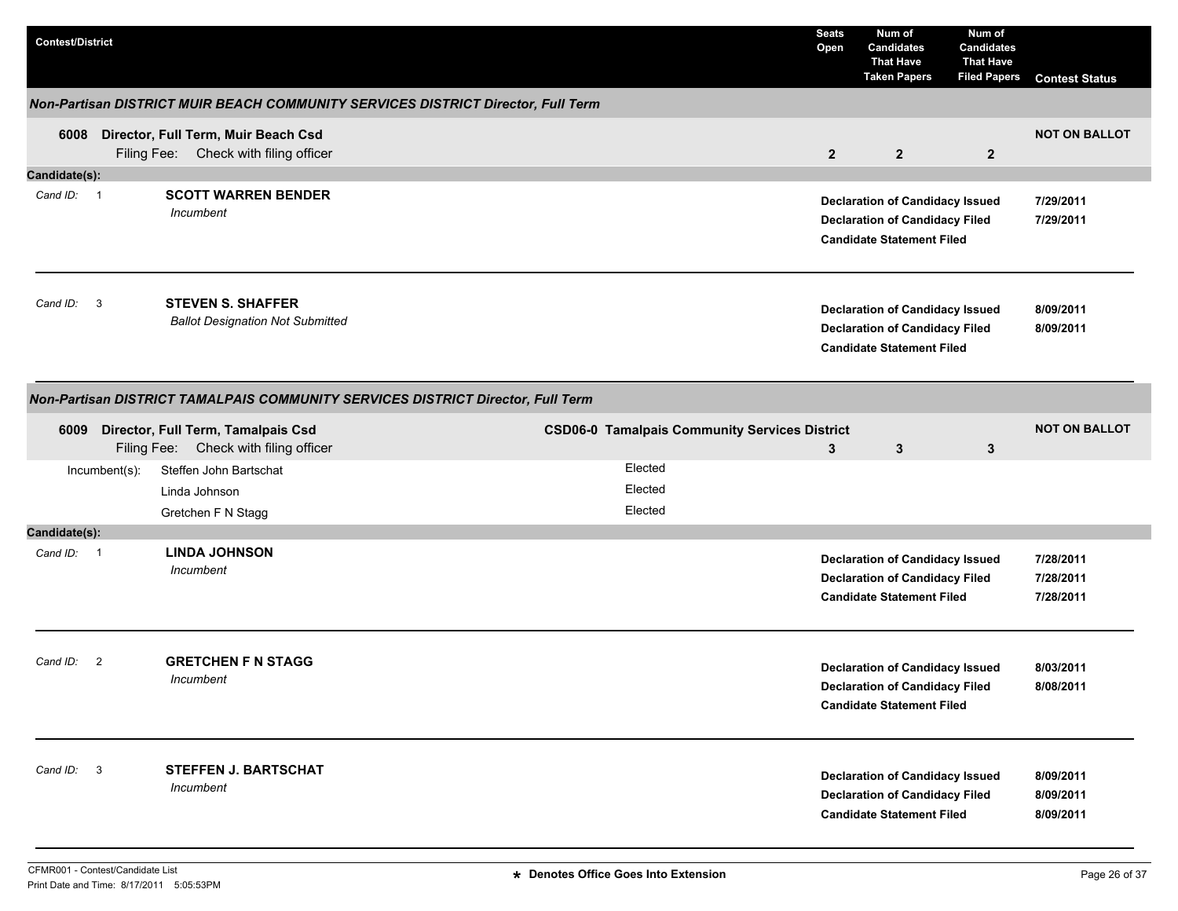| <b>Contest/District</b>    |               |                                                                                   |                                                      | <b>Seats</b><br>Open | Num of<br><b>Candidates</b><br><b>That Have</b><br><b>Taken Papers</b>                                              | Num of<br><b>Candidates</b><br><b>That Have</b><br><b>Filed Papers</b> | <b>Contest Status</b>               |
|----------------------------|---------------|-----------------------------------------------------------------------------------|------------------------------------------------------|----------------------|---------------------------------------------------------------------------------------------------------------------|------------------------------------------------------------------------|-------------------------------------|
|                            |               | Non-Partisan DISTRICT MUIR BEACH COMMUNITY SERVICES DISTRICT Director, Full Term  |                                                      |                      |                                                                                                                     |                                                                        |                                     |
|                            |               | 6008 Director, Full Term, Muir Beach Csd<br>Filing Fee: Check with filing officer |                                                      | $\overline{2}$       | $\overline{2}$                                                                                                      | $\overline{2}$                                                         | <b>NOT ON BALLOT</b>                |
| Candidate(s):              |               |                                                                                   |                                                      |                      |                                                                                                                     |                                                                        |                                     |
| Cand ID: 1                 |               | <b>SCOTT WARREN BENDER</b><br>Incumbent                                           |                                                      |                      | <b>Declaration of Candidacy Issued</b><br><b>Declaration of Candidacy Filed</b><br><b>Candidate Statement Filed</b> |                                                                        | 7/29/2011<br>7/29/2011              |
| Cand ID: 3                 |               | <b>STEVEN S. SHAFFER</b><br><b>Ballot Designation Not Submitted</b>               |                                                      |                      | <b>Declaration of Candidacy Issued</b><br><b>Declaration of Candidacy Filed</b><br><b>Candidate Statement Filed</b> |                                                                        | 8/09/2011<br>8/09/2011              |
|                            |               | Non-Partisan DISTRICT TAMALPAIS COMMUNITY SERVICES DISTRICT Director, Full Term   |                                                      |                      |                                                                                                                     |                                                                        |                                     |
| 6009                       |               | Director, Full Term, Tamalpais Csd<br>Filing Fee: Check with filing officer       | <b>CSD06-0 Tamalpais Community Services District</b> | 3                    | $\mathbf{3}$                                                                                                        | $\mathbf{3}$                                                           | <b>NOT ON BALLOT</b>                |
|                            | Incumbent(s): | Steffen John Bartschat<br>Linda Johnson<br>Gretchen F N Stagg                     | Elected<br>Elected<br>Elected                        |                      |                                                                                                                     |                                                                        |                                     |
| Candidate(s):              |               |                                                                                   |                                                      |                      |                                                                                                                     |                                                                        |                                     |
| Cand ID: 1                 |               | <b>LINDA JOHNSON</b><br>Incumbent                                                 |                                                      |                      | <b>Declaration of Candidacy Issued</b><br><b>Declaration of Candidacy Filed</b><br><b>Candidate Statement Filed</b> |                                                                        | 7/28/2011<br>7/28/2011<br>7/28/2011 |
| $\overline{2}$<br>Cand ID: |               | <b>GRETCHEN F N STAGG</b><br>Incumbent                                            |                                                      |                      | <b>Declaration of Candidacy Issued</b><br><b>Declaration of Candidacy Filed</b><br><b>Candidate Statement Filed</b> |                                                                        | 8/03/2011<br>8/08/2011              |
| Cand ID: 3                 |               | STEFFEN J. BARTSCHAT<br>Incumbent                                                 |                                                      |                      | <b>Declaration of Candidacy Issued</b><br><b>Declaration of Candidacy Filed</b><br><b>Candidate Statement Filed</b> |                                                                        | 8/09/2011<br>8/09/2011<br>8/09/2011 |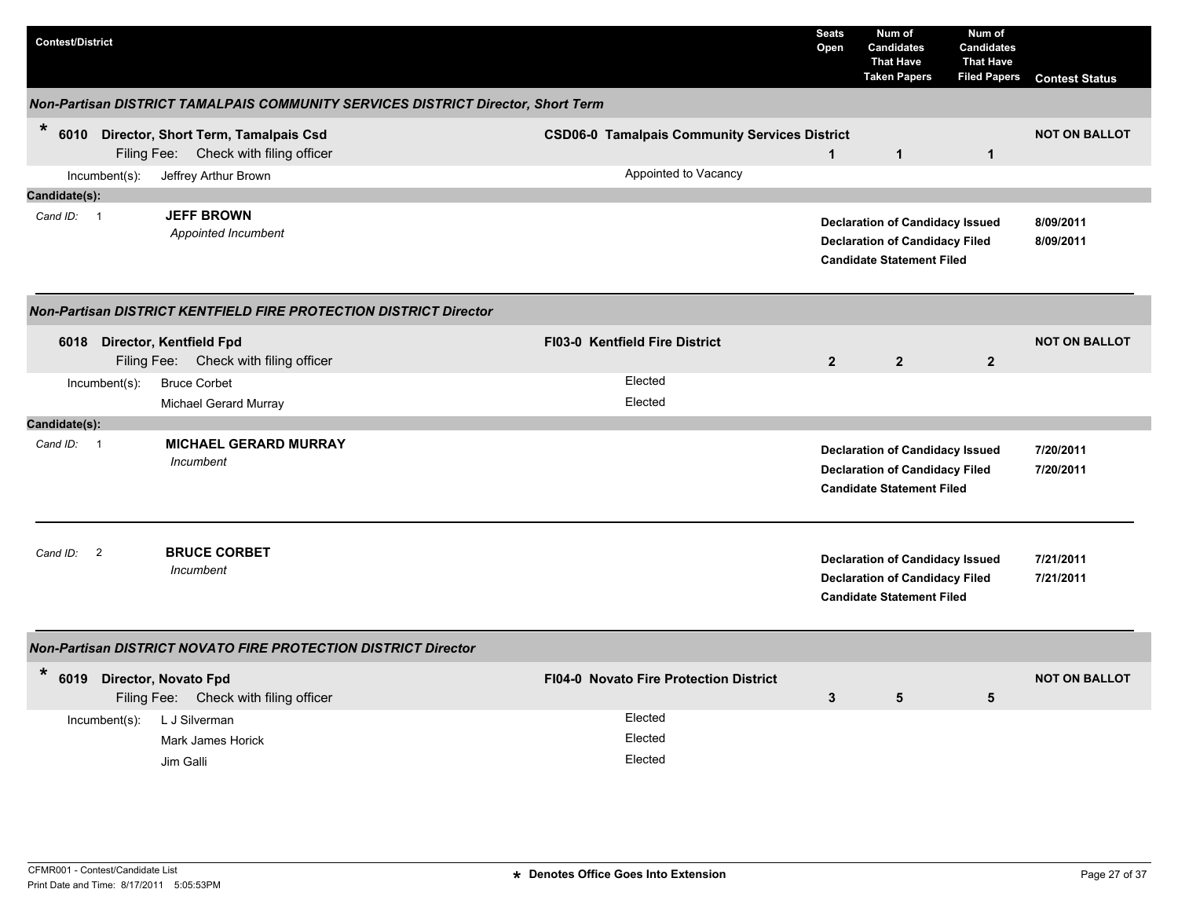| <b>Contest/District</b> |                          |                                                                                   |                                                                                  |                                                      | <b>Seats</b><br>Open | Num of<br><b>Candidates</b><br><b>That Have</b><br><b>Taken Papers</b>                                              | Num of<br><b>Candidates</b><br><b>That Have</b><br><b>Filed Papers</b> | <b>Contest Status</b>  |
|-------------------------|--------------------------|-----------------------------------------------------------------------------------|----------------------------------------------------------------------------------|------------------------------------------------------|----------------------|---------------------------------------------------------------------------------------------------------------------|------------------------------------------------------------------------|------------------------|
|                         |                          |                                                                                   | Non-Partisan DISTRICT TAMALPAIS COMMUNITY SERVICES DISTRICT Director, Short Term |                                                      |                      |                                                                                                                     |                                                                        |                        |
| $\ast$                  |                          | 6010 Director, Short Term, Tamalpais Csd<br>Filing Fee: Check with filing officer |                                                                                  | <b>CSD06-0 Tamalpais Community Services District</b> | $\mathbf{1}$         | $\mathbf{1}$                                                                                                        | $\mathbf{1}$                                                           | <b>NOT ON BALLOT</b>   |
|                         | Incumbent(s):            | Jeffrey Arthur Brown                                                              |                                                                                  | Appointed to Vacancy                                 |                      |                                                                                                                     |                                                                        |                        |
| Candidate(s):           |                          |                                                                                   |                                                                                  |                                                      |                      |                                                                                                                     |                                                                        |                        |
| Cand ID: 1              |                          | <b>JEFF BROWN</b><br>Appointed Incumbent                                          |                                                                                  |                                                      |                      | <b>Declaration of Candidacy Issued</b><br><b>Declaration of Candidacy Filed</b><br><b>Candidate Statement Filed</b> |                                                                        | 8/09/2011<br>8/09/2011 |
|                         |                          | <b>Non-Partisan DISTRICT KENTFIELD FIRE PROTECTION DISTRICT Director</b>          |                                                                                  |                                                      |                      |                                                                                                                     |                                                                        |                        |
| 6018                    |                          | Director, Kentfield Fpd<br>Filing Fee: Check with filing officer                  |                                                                                  | <b>FI03-0 Kentfield Fire District</b>                | $\overline{2}$       | $\overline{2}$                                                                                                      | $\overline{2}$                                                         | <b>NOT ON BALLOT</b>   |
|                         | Incumbent(s):            | <b>Bruce Corbet</b>                                                               |                                                                                  | Elected                                              |                      |                                                                                                                     |                                                                        |                        |
|                         |                          | Michael Gerard Murray                                                             |                                                                                  | Elected                                              |                      |                                                                                                                     |                                                                        |                        |
| Candidate(s):           |                          |                                                                                   |                                                                                  |                                                      |                      |                                                                                                                     |                                                                        |                        |
| Cand ID: 1              |                          | <b>MICHAEL GERARD MURRAY</b><br>Incumbent                                         |                                                                                  |                                                      |                      | <b>Declaration of Candidacy Issued</b><br><b>Declaration of Candidacy Filed</b><br><b>Candidate Statement Filed</b> |                                                                        | 7/20/2011<br>7/20/2011 |
| Cand ID:                | $\overline{\phantom{a}}$ | <b>BRUCE CORBET</b><br>Incumbent                                                  |                                                                                  |                                                      |                      | <b>Declaration of Candidacy Issued</b><br><b>Declaration of Candidacy Filed</b><br><b>Candidate Statement Filed</b> |                                                                        | 7/21/2011<br>7/21/2011 |
|                         |                          | Non-Partisan DISTRICT NOVATO FIRE PROTECTION DISTRICT Director                    |                                                                                  |                                                      |                      |                                                                                                                     |                                                                        |                        |
| $\ast$                  |                          | 6019 Director, Novato Fpd<br>Filing Fee: Check with filing officer                |                                                                                  | <b>FI04-0 Novato Fire Protection District</b>        | 3                    | 5                                                                                                                   | 5                                                                      | <b>NOT ON BALLOT</b>   |
|                         | Incumbent(s):            | L J Silverman<br>Mark James Horick<br>Jim Galli                                   |                                                                                  | Elected<br>Elected<br>Elected                        |                      |                                                                                                                     |                                                                        |                        |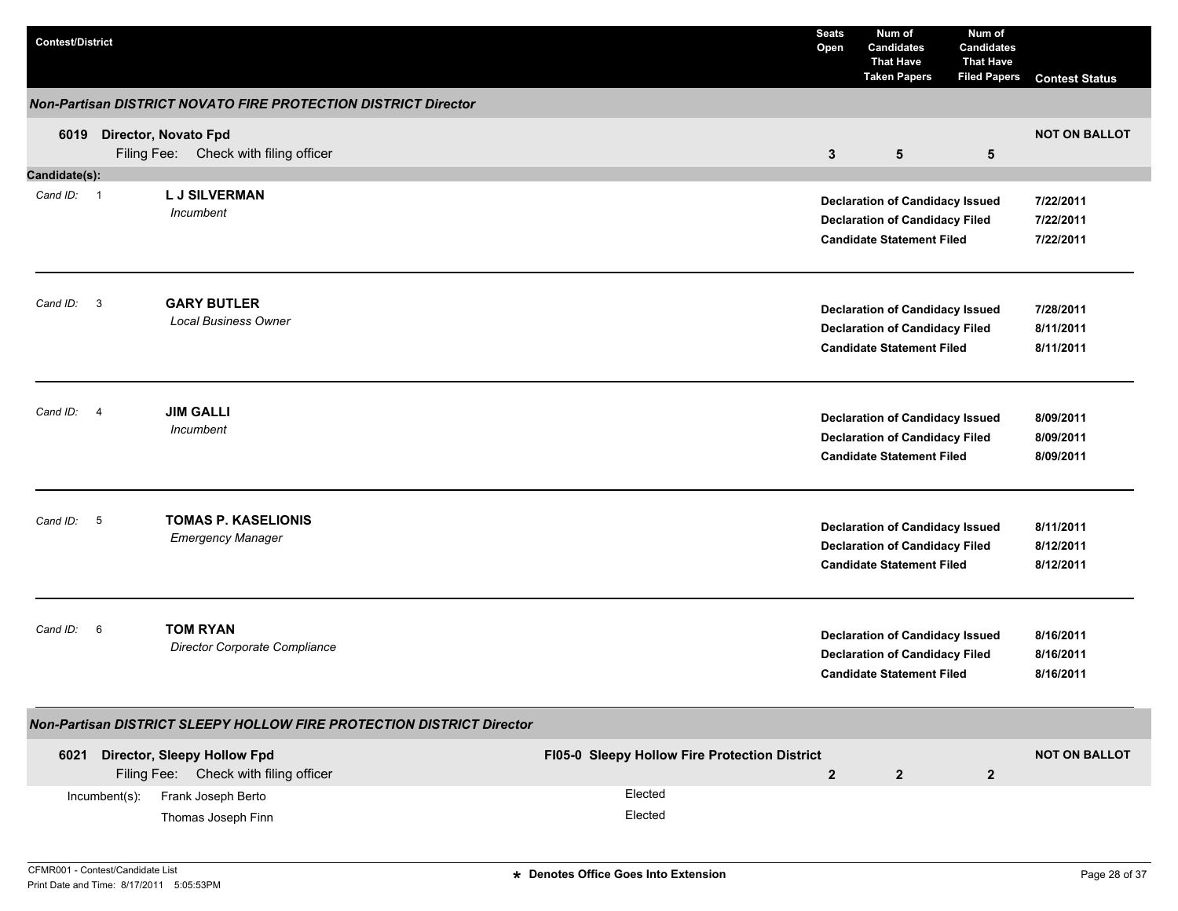| <b>Contest/District</b>             |                  |                                                                       |                                               | <b>Seats</b><br>Open | Num of<br><b>Candidates</b><br><b>That Have</b><br><b>Taken Papers</b>                                              | Num of<br><b>Candidates</b><br><b>That Have</b><br><b>Filed Papers</b> | <b>Contest Status</b>               |
|-------------------------------------|------------------|-----------------------------------------------------------------------|-----------------------------------------------|----------------------|---------------------------------------------------------------------------------------------------------------------|------------------------------------------------------------------------|-------------------------------------|
|                                     |                  | Non-Partisan DISTRICT NOVATO FIRE PROTECTION DISTRICT Director        |                                               |                      |                                                                                                                     |                                                                        |                                     |
| 6019                                |                  | Director, Novato Fpd<br>Filing Fee: Check with filing officer         |                                               | 3                    | $5\phantom{.0}$                                                                                                     | $\sqrt{5}$                                                             | <b>NOT ON BALLOT</b>                |
| Candidate(s):                       |                  |                                                                       |                                               |                      |                                                                                                                     |                                                                        |                                     |
| Cand ID: 1                          |                  | <b>LJ SILVERMAN</b><br>Incumbent                                      |                                               |                      | <b>Declaration of Candidacy Issued</b><br><b>Declaration of Candidacy Filed</b><br><b>Candidate Statement Filed</b> |                                                                        | 7/22/2011<br>7/22/2011<br>7/22/2011 |
| $\overline{\mathbf{3}}$<br>Cand ID: |                  | <b>GARY BUTLER</b><br><b>Local Business Owner</b>                     |                                               |                      | <b>Declaration of Candidacy Issued</b><br><b>Declaration of Candidacy Filed</b><br><b>Candidate Statement Filed</b> |                                                                        | 7/28/2011<br>8/11/2011<br>8/11/2011 |
| Cand ID: 4                          |                  | <b>JIM GALLI</b><br>Incumbent                                         |                                               |                      | <b>Declaration of Candidacy Issued</b><br><b>Declaration of Candidacy Filed</b><br><b>Candidate Statement Filed</b> |                                                                        | 8/09/2011<br>8/09/2011<br>8/09/2011 |
| Cand ID: 5                          |                  | <b>TOMAS P. KASELIONIS</b><br><b>Emergency Manager</b>                |                                               |                      | <b>Declaration of Candidacy Issued</b><br><b>Declaration of Candidacy Filed</b><br><b>Candidate Statement Filed</b> |                                                                        | 8/11/2011<br>8/12/2011<br>8/12/2011 |
| Cand ID:                            | - 6              | <b>TOM RYAN</b><br>Director Corporate Compliance                      |                                               |                      | <b>Declaration of Candidacy Issued</b><br><b>Declaration of Candidacy Filed</b><br><b>Candidate Statement Filed</b> |                                                                        | 8/16/2011<br>8/16/2011<br>8/16/2011 |
|                                     |                  | Non-Partisan DISTRICT SLEEPY HOLLOW FIRE PROTECTION DISTRICT Director |                                               |                      |                                                                                                                     |                                                                        |                                     |
| 6021                                |                  | Director, Sleepy Hollow Fpd<br>Filing Fee: Check with filing officer  | FI05-0 Sleepy Hollow Fire Protection District | $\overline{2}$       | $\overline{2}$                                                                                                      | $\overline{2}$                                                         | <b>NOT ON BALLOT</b>                |
|                                     | $Incumbent(s)$ : | Frank Joseph Berto<br>Thomas Joseph Finn                              | Elected<br>Elected                            |                      |                                                                                                                     |                                                                        |                                     |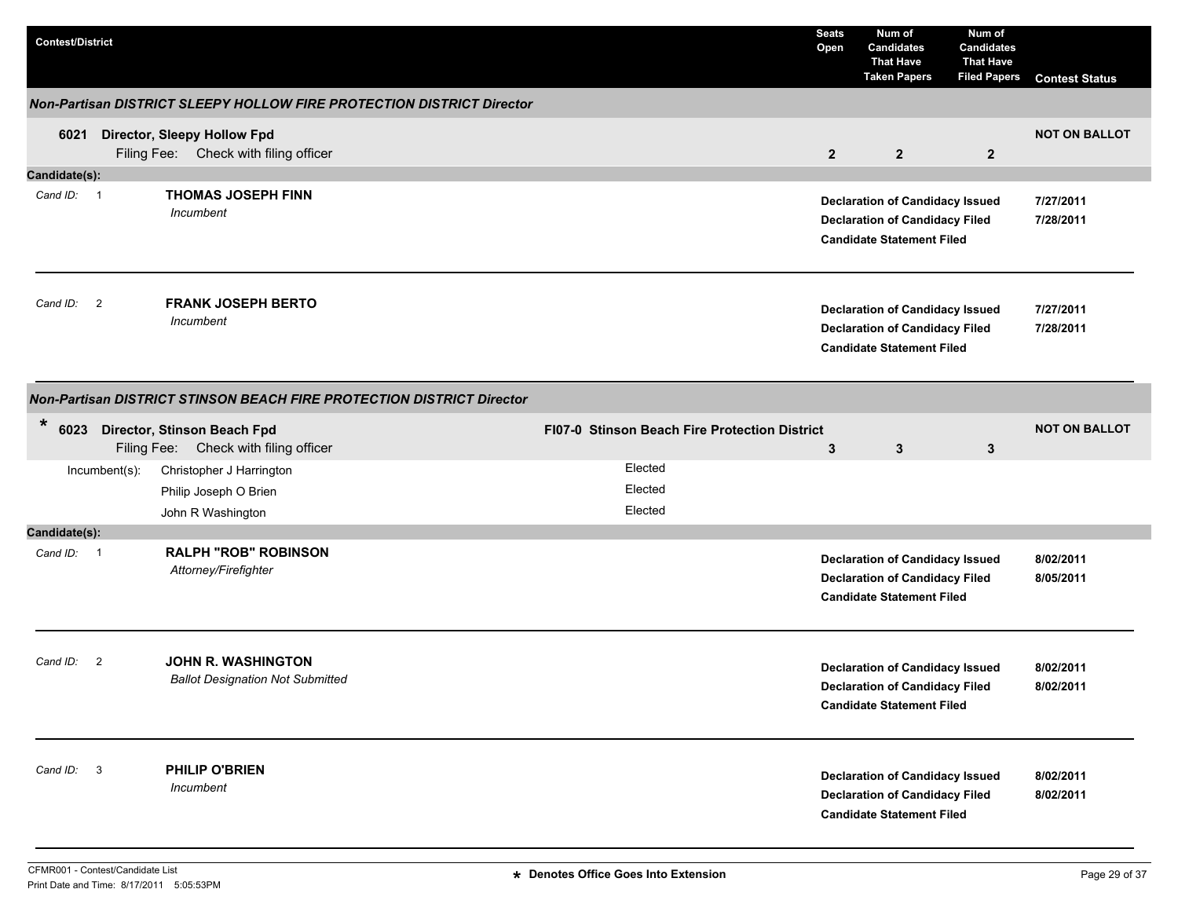| <b>Contest/District</b> |                |                                                                             |                                               | <b>Seats</b><br>Open | Num of<br><b>Candidates</b><br><b>That Have</b><br><b>Taken Papers</b>                                              | Num of<br><b>Candidates</b><br><b>That Have</b><br><b>Filed Papers</b> | <b>Contest Status</b>  |
|-------------------------|----------------|-----------------------------------------------------------------------------|-----------------------------------------------|----------------------|---------------------------------------------------------------------------------------------------------------------|------------------------------------------------------------------------|------------------------|
|                         |                | Non-Partisan DISTRICT SLEEPY HOLLOW FIRE PROTECTION DISTRICT Director       |                                               |                      |                                                                                                                     |                                                                        |                        |
| 6021                    |                | <b>Director, Sleepy Hollow Fpd</b><br>Filing Fee: Check with filing officer |                                               | $\overline{2}$       | $\overline{2}$                                                                                                      | $\overline{2}$                                                         | <b>NOT ON BALLOT</b>   |
| Candidate(s):           |                |                                                                             |                                               |                      |                                                                                                                     |                                                                        |                        |
| Cand ID: 1              |                | <b>THOMAS JOSEPH FINN</b><br>Incumbent                                      |                                               |                      | <b>Declaration of Candidacy Issued</b><br><b>Declaration of Candidacy Filed</b><br><b>Candidate Statement Filed</b> |                                                                        | 7/27/2011<br>7/28/2011 |
| Cand ID:                | $\overline{2}$ | <b>FRANK JOSEPH BERTO</b><br>Incumbent                                      |                                               |                      | <b>Declaration of Candidacy Issued</b><br><b>Declaration of Candidacy Filed</b><br><b>Candidate Statement Filed</b> |                                                                        | 7/27/2011<br>7/28/2011 |
|                         |                | Non-Partisan DISTRICT STINSON BEACH FIRE PROTECTION DISTRICT Director       |                                               |                      |                                                                                                                     |                                                                        |                        |
| $\ast$                  |                | 6023 Director, Stinson Beach Fpd<br>Filing Fee: Check with filing officer   | FI07-0 Stinson Beach Fire Protection District | 3                    | $\mathbf{3}$                                                                                                        | $\mathbf{3}$                                                           | <b>NOT ON BALLOT</b>   |
|                         | Incumbent(s):  | Christopher J Harrington<br>Philip Joseph O Brien<br>John R Washington      | Elected<br>Elected<br>Elected                 |                      |                                                                                                                     |                                                                        |                        |
| Candidate(s):           |                |                                                                             |                                               |                      |                                                                                                                     |                                                                        |                        |
| Cand ID: 1              |                | <b>RALPH "ROB" ROBINSON</b><br>Attorney/Firefighter                         |                                               |                      | <b>Declaration of Candidacy Issued</b><br><b>Declaration of Candidacy Filed</b><br><b>Candidate Statement Filed</b> |                                                                        | 8/02/2011<br>8/05/2011 |
| Cand ID: 2              |                | <b>JOHN R. WASHINGTON</b><br><b>Ballot Designation Not Submitted</b>        |                                               |                      | <b>Declaration of Candidacy Issued</b><br><b>Declaration of Candidacy Filed</b><br><b>Candidate Statement Filed</b> |                                                                        | 8/02/2011<br>8/02/2011 |
| Cand ID: 3              |                | PHILIP O'BRIEN<br>Incumbent                                                 |                                               |                      | <b>Declaration of Candidacy Issued</b><br><b>Declaration of Candidacy Filed</b><br><b>Candidate Statement Filed</b> |                                                                        | 8/02/2011<br>8/02/2011 |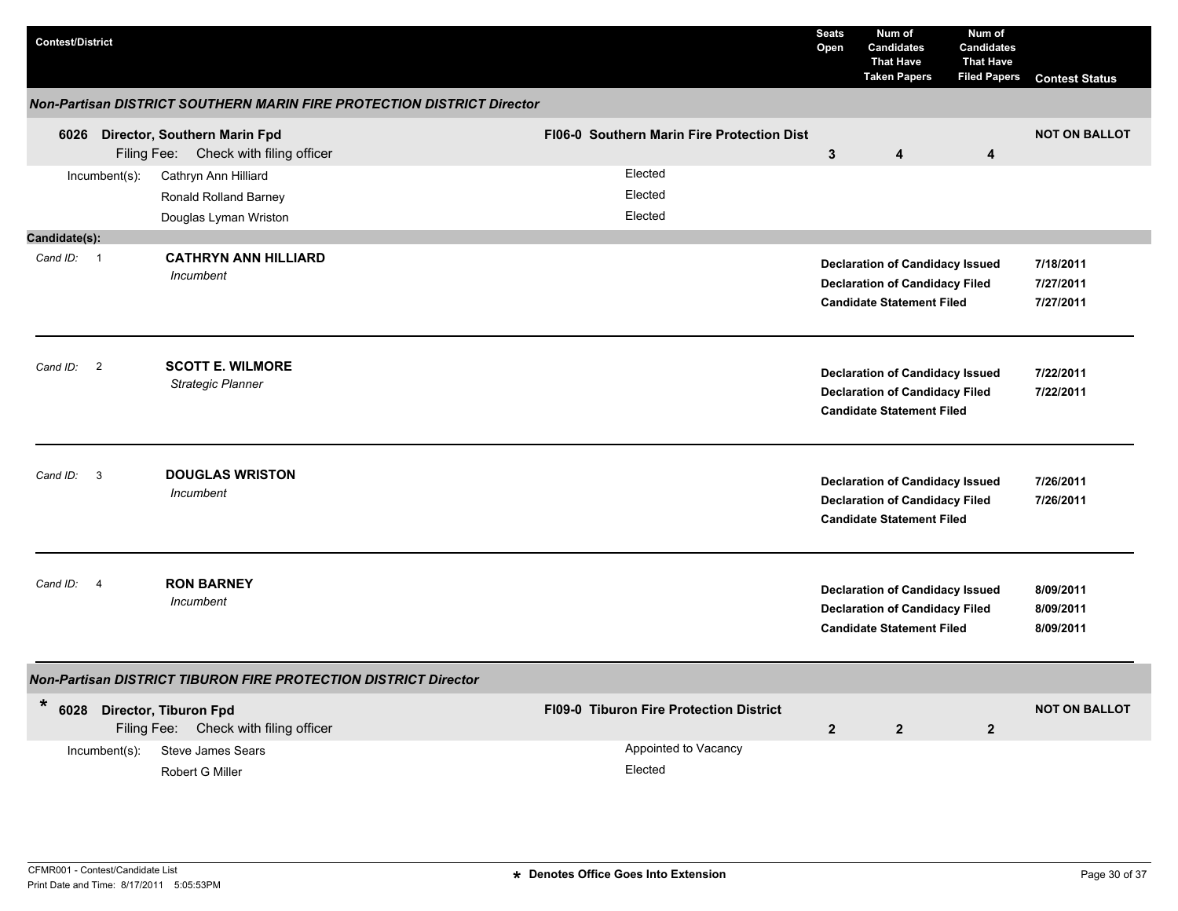| <b>Contest/District</b>              |                                                                               |                                                | <b>Seats</b><br>Open | Num of<br><b>Candidates</b><br><b>That Have</b><br><b>Taken Papers</b>                                              | Num of<br><b>Candidates</b><br><b>That Have</b><br><b>Filed Papers</b> | <b>Contest Status</b>               |
|--------------------------------------|-------------------------------------------------------------------------------|------------------------------------------------|----------------------|---------------------------------------------------------------------------------------------------------------------|------------------------------------------------------------------------|-------------------------------------|
|                                      | <b>Non-Partisan DISTRICT SOUTHERN MARIN FIRE PROTECTION DISTRICT Director</b> |                                                |                      |                                                                                                                     |                                                                        |                                     |
|                                      | 6026 Director, Southern Marin Fpd<br>Filing Fee: Check with filing officer    | FI06-0 Southern Marin Fire Protection Dist     | 3                    | 4                                                                                                                   | 4                                                                      | <b>NOT ON BALLOT</b>                |
| Incumbent(s):                        | Cathryn Ann Hilliard<br>Ronald Rolland Barney<br>Douglas Lyman Wriston        | Elected<br>Elected<br>Elected                  |                      |                                                                                                                     |                                                                        |                                     |
| Candidate(s):                        |                                                                               |                                                |                      |                                                                                                                     |                                                                        |                                     |
| Cand ID: 1                           | <b>CATHRYN ANN HILLIARD</b><br>Incumbent                                      |                                                |                      | <b>Declaration of Candidacy Issued</b><br><b>Declaration of Candidacy Filed</b><br><b>Candidate Statement Filed</b> |                                                                        | 7/18/2011<br>7/27/2011<br>7/27/2011 |
| $\overline{\phantom{0}}$<br>Cand ID: | <b>SCOTT E. WILMORE</b><br>Strategic Planner                                  |                                                |                      | <b>Declaration of Candidacy Issued</b><br><b>Declaration of Candidacy Filed</b><br><b>Candidate Statement Filed</b> |                                                                        | 7/22/2011<br>7/22/2011              |
| $\overline{\mathbf{3}}$<br>Cand ID:  | <b>DOUGLAS WRISTON</b><br>Incumbent                                           |                                                |                      | <b>Declaration of Candidacy Issued</b><br><b>Declaration of Candidacy Filed</b><br><b>Candidate Statement Filed</b> |                                                                        | 7/26/2011<br>7/26/2011              |
| Cand ID:<br>$\overline{4}$           | <b>RON BARNEY</b><br>Incumbent                                                |                                                |                      | <b>Declaration of Candidacy Issued</b><br><b>Declaration of Candidacy Filed</b><br><b>Candidate Statement Filed</b> |                                                                        | 8/09/2011<br>8/09/2011<br>8/09/2011 |
|                                      | <b>Non-Partisan DISTRICT TIBURON FIRE PROTECTION DISTRICT Director</b>        |                                                |                      |                                                                                                                     |                                                                        |                                     |
| $\star$                              | 6028 Director, Tiburon Fpd<br>Filing Fee: Check with filing officer           | <b>FI09-0 Tiburon Fire Protection District</b> | $\overline{2}$       | $\overline{2}$                                                                                                      | $\overline{2}$                                                         | <b>NOT ON BALLOT</b>                |
| Incumbent(s):                        | <b>Steve James Sears</b><br>Robert G Miller                                   | Appointed to Vacancy<br>Elected                |                      |                                                                                                                     |                                                                        |                                     |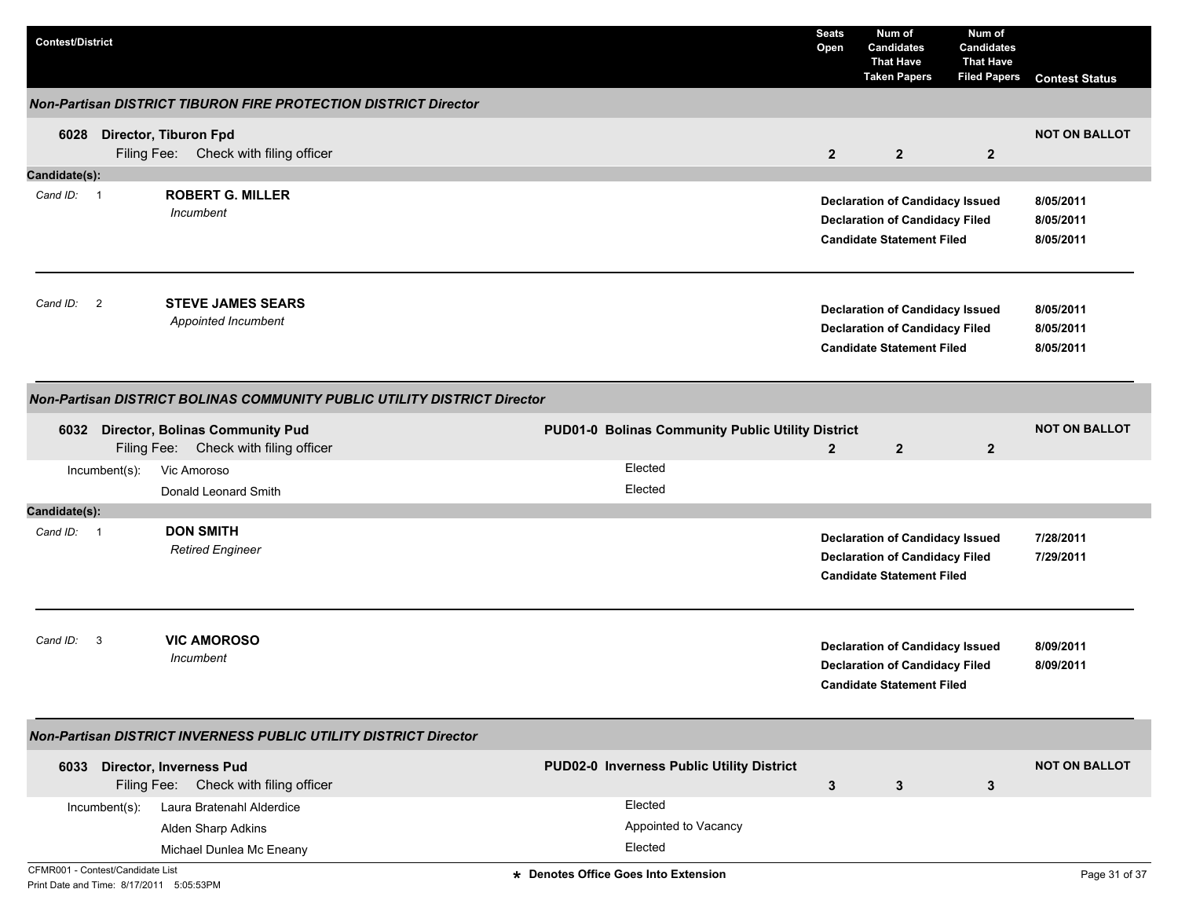| <b>Contest/District</b>                                                      |                |                                                                                 |                                                   | <b>Seats</b><br>Open | Num of<br><b>Candidates</b><br><b>That Have</b><br><b>Taken Papers</b>                                              | Num of<br><b>Candidates</b><br><b>That Have</b><br><b>Filed Papers</b> | <b>Contest Status</b>               |
|------------------------------------------------------------------------------|----------------|---------------------------------------------------------------------------------|---------------------------------------------------|----------------------|---------------------------------------------------------------------------------------------------------------------|------------------------------------------------------------------------|-------------------------------------|
|                                                                              |                | <b>Non-Partisan DISTRICT TIBURON FIRE PROTECTION DISTRICT Director</b>          |                                                   |                      |                                                                                                                     |                                                                        |                                     |
| 6028                                                                         |                | Director, Tiburon Fpd<br>Filing Fee: Check with filing officer                  |                                                   | $\overline{2}$       | $\overline{2}$                                                                                                      | $\overline{2}$                                                         | <b>NOT ON BALLOT</b>                |
| Candidate(s):                                                                |                |                                                                                 |                                                   |                      |                                                                                                                     |                                                                        |                                     |
| Cand ID: 1                                                                   |                | <b>ROBERT G. MILLER</b><br>Incumbent                                            |                                                   |                      | <b>Declaration of Candidacy Issued</b><br><b>Declaration of Candidacy Filed</b><br><b>Candidate Statement Filed</b> |                                                                        | 8/05/2011<br>8/05/2011<br>8/05/2011 |
| Cand ID:                                                                     | $\overline{2}$ | <b>STEVE JAMES SEARS</b><br>Appointed Incumbent                                 |                                                   |                      | <b>Declaration of Candidacy Issued</b><br><b>Declaration of Candidacy Filed</b><br><b>Candidate Statement Filed</b> |                                                                        | 8/05/2011<br>8/05/2011<br>8/05/2011 |
|                                                                              |                | Non-Partisan DISTRICT BOLINAS COMMUNITY PUBLIC UTILITY DISTRICT Director        |                                                   |                      |                                                                                                                     |                                                                        |                                     |
| 6032                                                                         |                | <b>Director, Bolinas Community Pud</b><br>Filing Fee: Check with filing officer | PUD01-0 Bolinas Community Public Utility District | $\overline{2}$       | $\overline{2}$                                                                                                      | $\overline{2}$                                                         | <b>NOT ON BALLOT</b>                |
|                                                                              | Incumbent(s):  | Vic Amoroso<br>Donald Leonard Smith                                             | Elected<br>Elected                                |                      |                                                                                                                     |                                                                        |                                     |
| Candidate(s):                                                                |                |                                                                                 |                                                   |                      |                                                                                                                     |                                                                        |                                     |
| Cand ID: 1                                                                   |                | <b>DON SMITH</b><br><b>Retired Engineer</b>                                     |                                                   |                      | <b>Declaration of Candidacy Issued</b><br><b>Declaration of Candidacy Filed</b><br><b>Candidate Statement Filed</b> |                                                                        | 7/28/2011<br>7/29/2011              |
| Cand ID:                                                                     | 3              | <b>VIC AMOROSO</b><br>Incumbent                                                 |                                                   |                      | <b>Declaration of Candidacy Issued</b><br><b>Declaration of Candidacy Filed</b><br><b>Candidate Statement Filed</b> |                                                                        | 8/09/2011<br>8/09/2011              |
|                                                                              |                | Non-Partisan DISTRICT INVERNESS PUBLIC UTILITY DISTRICT Director                |                                                   |                      |                                                                                                                     |                                                                        |                                     |
|                                                                              |                | 6033 Director, Inverness Pud<br>Filing Fee: Check with filing officer           | PUD02-0 Inverness Public Utility District         | $\mathbf{3}$         | 3                                                                                                                   | $\mathbf{3}$                                                           | <b>NOT ON BALLOT</b>                |
|                                                                              | Incumbent(s):  | Laura Bratenahl Alderdice<br>Alden Sharp Adkins<br>Michael Dunlea Mc Eneany     | Elected<br>Appointed to Vacancy<br>Elected        |                      |                                                                                                                     |                                                                        |                                     |
| CFMR001 - Contest/Candidate List<br>Print Date and Time: 8/17/2011 5:05:53PM |                |                                                                                 | * Denotes Office Goes Into Extension              |                      |                                                                                                                     |                                                                        | Page 31 of 37                       |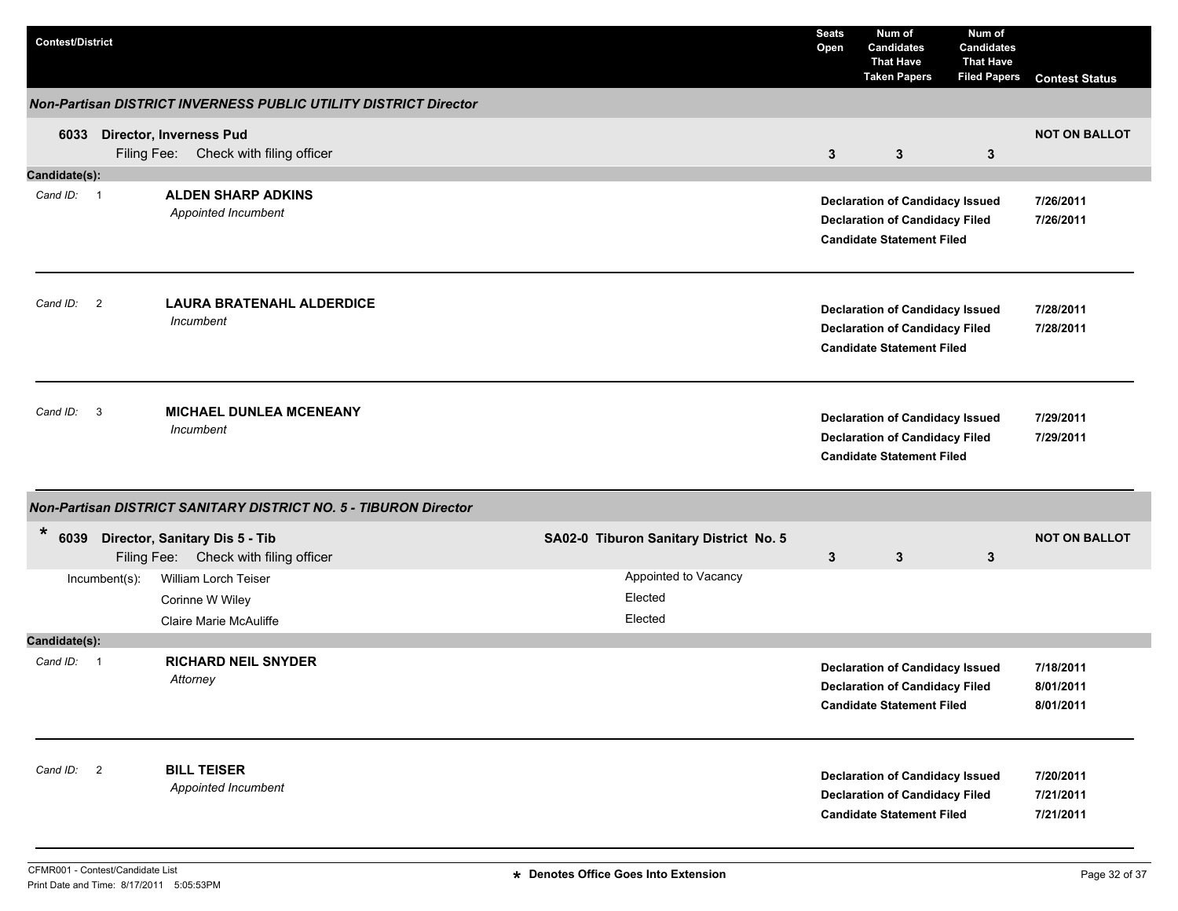| <b>Contest/District</b> |               |                                                                              |                                            | <b>Seats</b><br>Open | Num of<br><b>Candidates</b><br><b>That Have</b><br><b>Taken Papers</b>                                              | Num of<br><b>Candidates</b><br><b>That Have</b><br><b>Filed Papers</b> | <b>Contest Status</b>               |
|-------------------------|---------------|------------------------------------------------------------------------------|--------------------------------------------|----------------------|---------------------------------------------------------------------------------------------------------------------|------------------------------------------------------------------------|-------------------------------------|
|                         |               | Non-Partisan DISTRICT INVERNESS PUBLIC UTILITY DISTRICT Director             |                                            |                      |                                                                                                                     |                                                                        |                                     |
|                         |               | 6033 Director, Inverness Pud<br>Filing Fee: Check with filing officer        |                                            | 3                    | $\mathbf{3}$                                                                                                        | $\mathbf{3}$                                                           | <b>NOT ON BALLOT</b>                |
| Candidate(s):           |               |                                                                              |                                            |                      |                                                                                                                     |                                                                        |                                     |
| Cand ID: 1              |               | <b>ALDEN SHARP ADKINS</b><br>Appointed Incumbent                             |                                            |                      | <b>Declaration of Candidacy Issued</b><br><b>Declaration of Candidacy Filed</b><br><b>Candidate Statement Filed</b> |                                                                        | 7/26/2011<br>7/26/2011              |
| Cand ID: 2              |               | <b>LAURA BRATENAHL ALDERDICE</b><br>Incumbent                                |                                            |                      | <b>Declaration of Candidacy Issued</b><br><b>Declaration of Candidacy Filed</b><br><b>Candidate Statement Filed</b> |                                                                        | 7/28/2011<br>7/28/2011              |
| Cand ID: 3              |               | <b>MICHAEL DUNLEA MCENEANY</b><br>Incumbent                                  |                                            |                      | <b>Declaration of Candidacy Issued</b><br><b>Declaration of Candidacy Filed</b><br><b>Candidate Statement Filed</b> |                                                                        | 7/29/2011<br>7/29/2011              |
|                         |               | Non-Partisan DISTRICT SANITARY DISTRICT NO. 5 - TIBURON Director             |                                            |                      |                                                                                                                     |                                                                        |                                     |
| $\ast$                  |               | 6039 Director, Sanitary Dis 5 - Tib<br>Filing Fee: Check with filing officer | SA02-0 Tiburon Sanitary District No. 5     | 3                    | $\mathbf{3}$                                                                                                        | $\mathbf{3}$                                                           | <b>NOT ON BALLOT</b>                |
|                         | Incumbent(s): | William Lorch Teiser<br>Corinne W Wiley<br>Claire Marie McAuliffe            | Appointed to Vacancy<br>Elected<br>Elected |                      |                                                                                                                     |                                                                        |                                     |
| Candidate(s):           |               |                                                                              |                                            |                      |                                                                                                                     |                                                                        |                                     |
| Cand ID: 1              |               | <b>RICHARD NEIL SNYDER</b><br>Attorney                                       |                                            |                      | <b>Declaration of Candidacy Issued</b><br><b>Declaration of Candidacy Filed</b><br><b>Candidate Statement Filed</b> |                                                                        | 7/18/2011<br>8/01/2011<br>8/01/2011 |
| Cand ID: 2              |               | <b>BILL TEISER</b><br>Appointed Incumbent                                    |                                            |                      | <b>Declaration of Candidacy Issued</b><br><b>Declaration of Candidacy Filed</b><br><b>Candidate Statement Filed</b> |                                                                        | 7/20/2011<br>7/21/2011<br>7/21/2011 |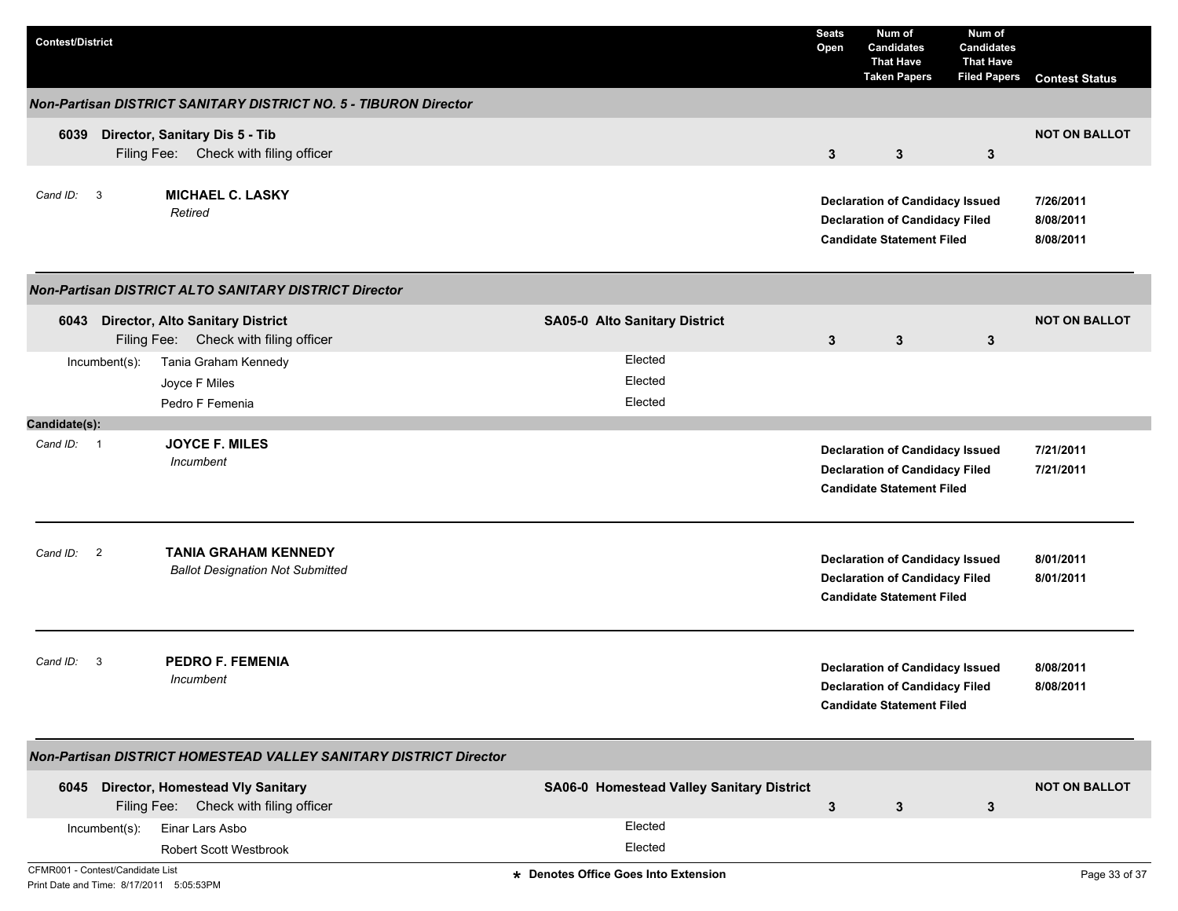| <b>Contest/District</b>                                                      |                                                                                  |                                           | <b>Seats</b><br>Open | Num of<br><b>Candidates</b><br><b>That Have</b><br><b>Taken Papers</b>                                              | Num of<br><b>Candidates</b><br><b>That Have</b><br><b>Filed Papers</b> | <b>Contest Status</b>               |
|------------------------------------------------------------------------------|----------------------------------------------------------------------------------|-------------------------------------------|----------------------|---------------------------------------------------------------------------------------------------------------------|------------------------------------------------------------------------|-------------------------------------|
|                                                                              | Non-Partisan DISTRICT SANITARY DISTRICT NO. 5 - TIBURON Director                 |                                           |                      |                                                                                                                     |                                                                        |                                     |
| 6039                                                                         | Director, Sanitary Dis 5 - Tib<br>Filing Fee: Check with filing officer          |                                           | $\mathbf{3}$         | $\mathbf{3}$                                                                                                        | 3                                                                      | <b>NOT ON BALLOT</b>                |
| Cand ID: 3                                                                   | <b>MICHAEL C. LASKY</b><br>Retired                                               |                                           |                      | <b>Declaration of Candidacy Issued</b><br><b>Declaration of Candidacy Filed</b><br><b>Candidate Statement Filed</b> |                                                                        | 7/26/2011<br>8/08/2011<br>8/08/2011 |
|                                                                              | <b>Non-Partisan DISTRICT ALTO SANITARY DISTRICT Director</b>                     |                                           |                      |                                                                                                                     |                                                                        |                                     |
| 6043                                                                         | <b>Director, Alto Sanitary District</b><br>Filing Fee: Check with filing officer | <b>SA05-0 Alto Sanitary District</b>      | 3                    | $\mathbf{3}$                                                                                                        | $\mathbf{3}$                                                           | <b>NOT ON BALLOT</b>                |
| Incumbent(s):                                                                | Tania Graham Kennedy                                                             | Elected                                   |                      |                                                                                                                     |                                                                        |                                     |
|                                                                              | Joyce F Miles                                                                    | Elected                                   |                      |                                                                                                                     |                                                                        |                                     |
| Candidate(s):                                                                | Pedro F Femenia                                                                  | Elected                                   |                      |                                                                                                                     |                                                                        |                                     |
| Cand ID: 1                                                                   | <b>JOYCE F. MILES</b><br>Incumbent                                               |                                           |                      | <b>Declaration of Candidacy Issued</b><br><b>Declaration of Candidacy Filed</b><br><b>Candidate Statement Filed</b> |                                                                        | 7/21/2011<br>7/21/2011              |
| Cand ID:<br>$\overline{2}$                                                   | <b>TANIA GRAHAM KENNEDY</b><br><b>Ballot Designation Not Submitted</b>           |                                           |                      | <b>Declaration of Candidacy Issued</b><br><b>Declaration of Candidacy Filed</b><br><b>Candidate Statement Filed</b> |                                                                        | 8/01/2011<br>8/01/2011              |
| Cand ID:<br>3                                                                | <b>PEDRO F. FEMENIA</b><br>Incumbent                                             |                                           |                      | <b>Declaration of Candidacy Issued</b><br><b>Declaration of Candidacy Filed</b><br><b>Candidate Statement Filed</b> |                                                                        | 8/08/2011<br>8/08/2011              |
|                                                                              | Non-Partisan DISTRICT HOMESTEAD VALLEY SANITARY DISTRICT Director                |                                           |                      |                                                                                                                     |                                                                        |                                     |
|                                                                              | 6045 Director, Homestead Vly Sanitary<br>Filing Fee: Check with filing officer   | SA06-0 Homestead Valley Sanitary District | $\mathbf{3}$         | 3                                                                                                                   | 3                                                                      | <b>NOT ON BALLOT</b>                |
| Incumbent(s):                                                                | Einar Lars Asbo                                                                  | Elected                                   |                      |                                                                                                                     |                                                                        |                                     |
|                                                                              | <b>Robert Scott Westbrook</b>                                                    | Elected                                   |                      |                                                                                                                     |                                                                        |                                     |
| CFMR001 - Contest/Candidate List<br>Print Date and Time: 8/17/2011 5:05:53PM |                                                                                  | * Denotes Office Goes Into Extension      |                      |                                                                                                                     |                                                                        | Page 33 of 37                       |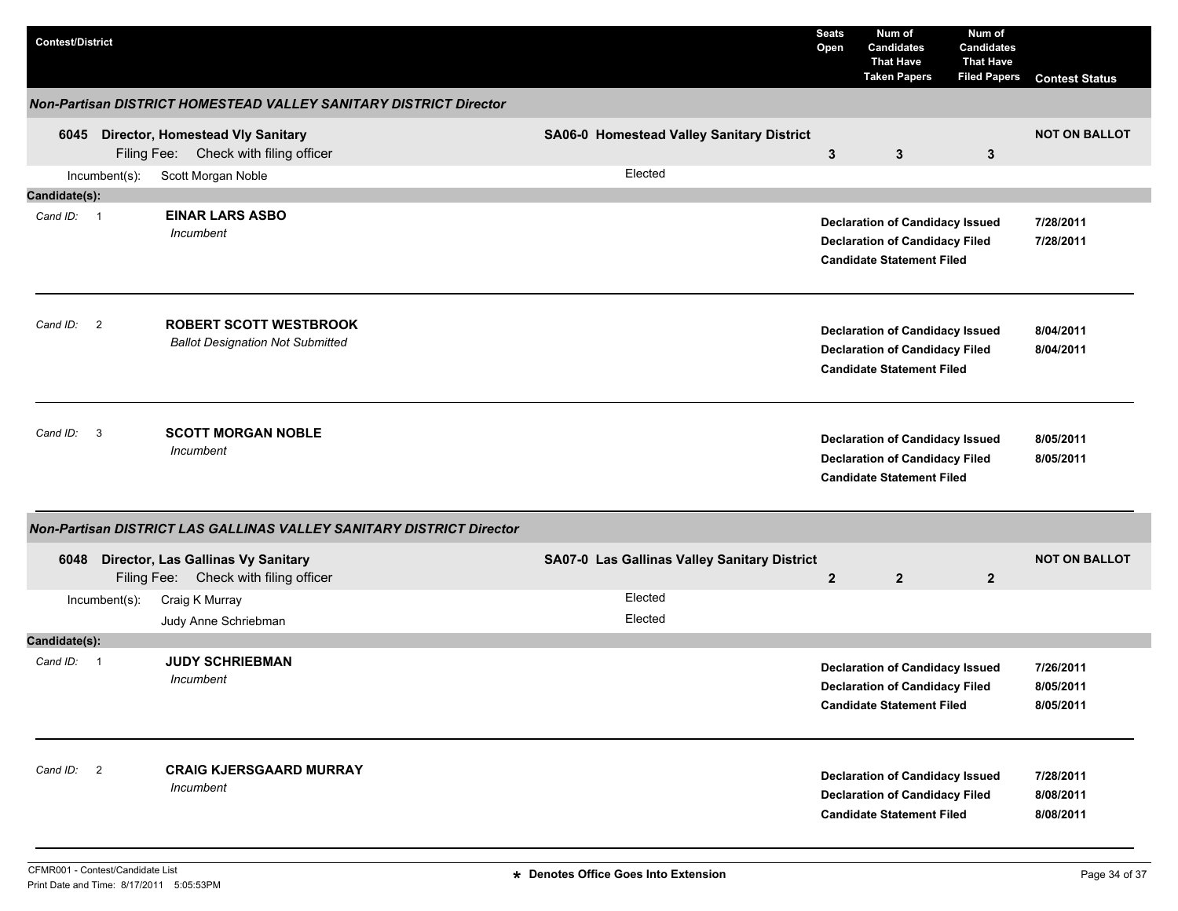| <b>Contest/District</b> |               |                                                                                  |                                              | <b>Seats</b><br>Open | Num of<br><b>Candidates</b><br><b>That Have</b><br><b>Taken Papers</b>                                              | Num of<br><b>Candidates</b><br><b>That Have</b><br><b>Filed Papers</b> | <b>Contest Status</b>               |
|-------------------------|---------------|----------------------------------------------------------------------------------|----------------------------------------------|----------------------|---------------------------------------------------------------------------------------------------------------------|------------------------------------------------------------------------|-------------------------------------|
|                         |               | Non-Partisan DISTRICT HOMESTEAD VALLEY SANITARY DISTRICT Director                |                                              |                      |                                                                                                                     |                                                                        |                                     |
| 6045                    |               | <b>Director, Homestead Vly Sanitary</b><br>Filing Fee: Check with filing officer | SA06-0 Homestead Valley Sanitary District    | $\mathbf{3}$         | 3                                                                                                                   | $\mathbf{3}$                                                           | <b>NOT ON BALLOT</b>                |
|                         | Incumbent(s): | Scott Morgan Noble                                                               | Elected                                      |                      |                                                                                                                     |                                                                        |                                     |
| Candidate(s):           |               |                                                                                  |                                              |                      |                                                                                                                     |                                                                        |                                     |
| Cand ID: 1              |               | <b>EINAR LARS ASBO</b><br>Incumbent                                              |                                              |                      | <b>Declaration of Candidacy Issued</b><br><b>Declaration of Candidacy Filed</b><br><b>Candidate Statement Filed</b> |                                                                        | 7/28/2011<br>7/28/2011              |
| Cand ID: 2              |               | <b>ROBERT SCOTT WESTBROOK</b><br><b>Ballot Designation Not Submitted</b>         |                                              |                      | <b>Declaration of Candidacy Issued</b><br><b>Declaration of Candidacy Filed</b><br><b>Candidate Statement Filed</b> |                                                                        | 8/04/2011<br>8/04/2011              |
| Cand ID: 3              |               | <b>SCOTT MORGAN NOBLE</b><br>Incumbent                                           |                                              |                      | <b>Declaration of Candidacy Issued</b><br><b>Declaration of Candidacy Filed</b><br><b>Candidate Statement Filed</b> |                                                                        | 8/05/2011<br>8/05/2011              |
|                         |               | Non-Partisan DISTRICT LAS GALLINAS VALLEY SANITARY DISTRICT Director             |                                              |                      |                                                                                                                     |                                                                        |                                     |
| 6048                    |               | Director, Las Gallinas Vy Sanitary<br>Filing Fee: Check with filing officer      | SA07-0 Las Gallinas Valley Sanitary District | $\overline{2}$       | $\overline{2}$                                                                                                      | $\mathbf{2}$                                                           | <b>NOT ON BALLOT</b>                |
|                         | Incumbent(s): | Craig K Murray                                                                   | Elected                                      |                      |                                                                                                                     |                                                                        |                                     |
|                         |               | Judy Anne Schriebman                                                             | Elected                                      |                      |                                                                                                                     |                                                                        |                                     |
| Candidate(s):           |               |                                                                                  |                                              |                      |                                                                                                                     |                                                                        |                                     |
| Cand ID: 1              |               | <b>JUDY SCHRIEBMAN</b><br>Incumbent                                              |                                              |                      | <b>Declaration of Candidacy Issued</b><br><b>Declaration of Candidacy Filed</b><br><b>Candidate Statement Filed</b> |                                                                        | 7/26/2011<br>8/05/2011<br>8/05/2011 |
| Cand ID: 2              |               | <b>CRAIG KJERSGAARD MURRAY</b><br><b>Incumbent</b>                               |                                              |                      | <b>Declaration of Candidacy Issued</b><br><b>Declaration of Candidacy Filed</b><br><b>Candidate Statement Filed</b> |                                                                        | 7/28/2011<br>8/08/2011<br>8/08/2011 |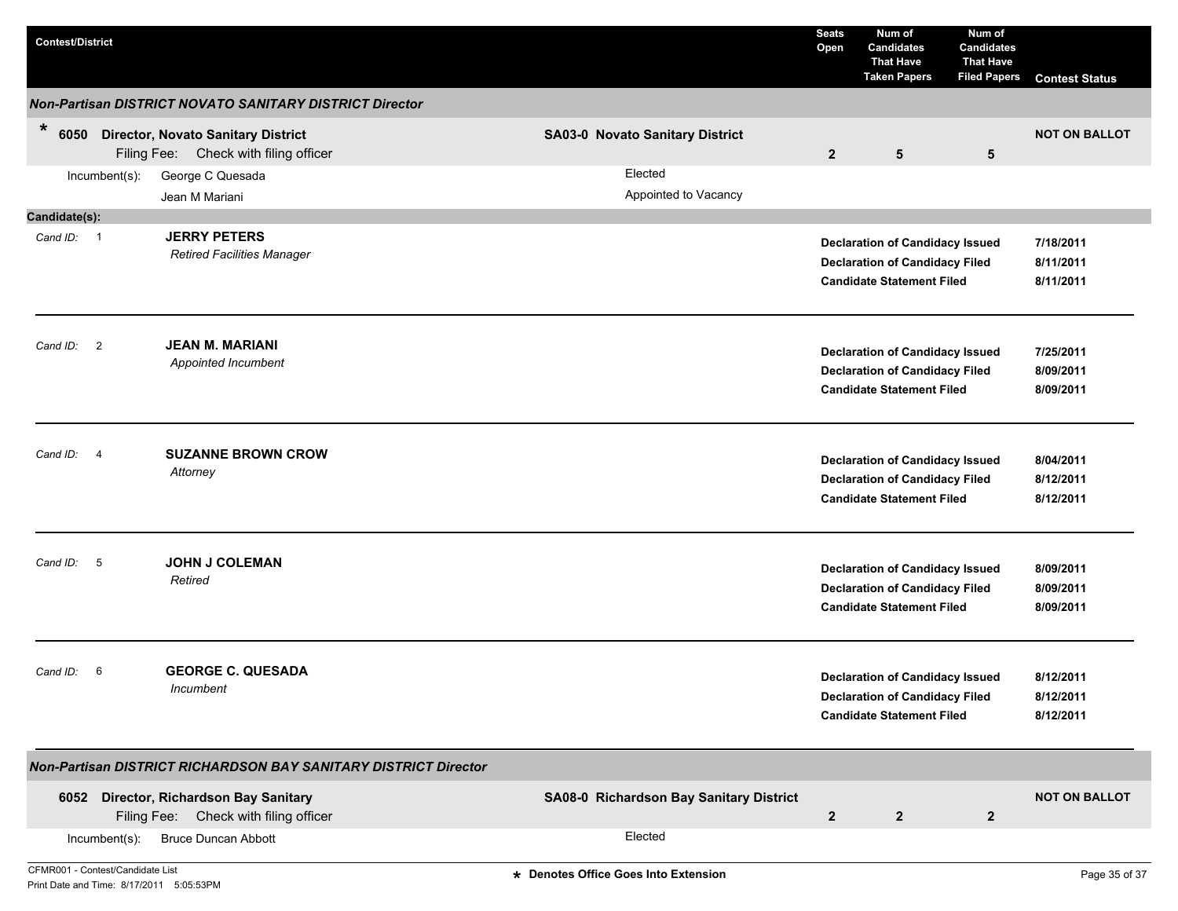| <b>Contest/District</b>          |               |                                                                                    |                                         | <b>Seats</b><br>Open | Num of<br><b>Candidates</b><br><b>That Have</b><br><b>Taken Papers</b>                                              | Num of<br><b>Candidates</b><br><b>That Have</b><br><b>Filed Papers</b> | <b>Contest Status</b>               |
|----------------------------------|---------------|------------------------------------------------------------------------------------|-----------------------------------------|----------------------|---------------------------------------------------------------------------------------------------------------------|------------------------------------------------------------------------|-------------------------------------|
|                                  |               | <b>Non-Partisan DISTRICT NOVATO SANITARY DISTRICT Director</b>                     |                                         |                      |                                                                                                                     |                                                                        |                                     |
| $\ast$<br>6050                   |               | <b>Director, Novato Sanitary District</b><br>Filing Fee: Check with filing officer | <b>SA03-0 Novato Sanitary District</b>  | $\overline{2}$       | $5\phantom{.0}$                                                                                                     | 5                                                                      | <b>NOT ON BALLOT</b>                |
|                                  | Incumbent(s): | George C Quesada<br>Jean M Mariani                                                 | Elected<br>Appointed to Vacancy         |                      |                                                                                                                     |                                                                        |                                     |
| Candidate(s):                    |               |                                                                                    |                                         |                      |                                                                                                                     |                                                                        |                                     |
| Cand ID: 1                       |               | <b>JERRY PETERS</b><br><b>Retired Facilities Manager</b>                           |                                         |                      | <b>Declaration of Candidacy Issued</b><br><b>Declaration of Candidacy Filed</b><br><b>Candidate Statement Filed</b> |                                                                        | 7/18/2011<br>8/11/2011<br>8/11/2011 |
| Cand ID: 2                       |               | <b>JEAN M. MARIANI</b><br>Appointed Incumbent                                      |                                         |                      | <b>Declaration of Candidacy Issued</b><br><b>Declaration of Candidacy Filed</b><br><b>Candidate Statement Filed</b> |                                                                        | 7/25/2011<br>8/09/2011<br>8/09/2011 |
| Cand ID: 4                       |               | <b>SUZANNE BROWN CROW</b><br>Attorney                                              |                                         |                      | <b>Declaration of Candidacy Issued</b><br><b>Declaration of Candidacy Filed</b><br><b>Candidate Statement Filed</b> |                                                                        | 8/04/2011<br>8/12/2011<br>8/12/2011 |
| Cand ID:                         | $-5$          | <b>JOHN J COLEMAN</b><br>Retired                                                   |                                         |                      | <b>Declaration of Candidacy Issued</b><br><b>Declaration of Candidacy Filed</b><br><b>Candidate Statement Filed</b> |                                                                        | 8/09/2011<br>8/09/2011<br>8/09/2011 |
| Cand ID:                         | 6             | <b>GEORGE C. QUESADA</b><br>Incumbent                                              |                                         |                      | <b>Declaration of Candidacy Issued</b><br><b>Declaration of Candidacy Filed</b><br><b>Candidate Statement Filed</b> |                                                                        | 8/12/2011<br>8/12/2011<br>8/12/2011 |
|                                  |               | <b>Non-Partisan DISTRICT RICHARDSON BAY SANITARY DISTRICT Director</b>             |                                         |                      |                                                                                                                     |                                                                        |                                     |
|                                  |               | 6052 Director, Richardson Bay Sanitary<br>Filing Fee: Check with filing officer    | SA08-0 Richardson Bay Sanitary District | $\mathbf{2}$         | $\mathbf{2}$                                                                                                        | $\mathbf{2}$                                                           | <b>NOT ON BALLOT</b>                |
|                                  | Incumbent(s): | <b>Bruce Duncan Abbott</b>                                                         | Elected                                 |                      |                                                                                                                     |                                                                        |                                     |
| CFMR001 - Contest/Candidate List |               |                                                                                    | * Denotes Office Goes Into Extension    |                      |                                                                                                                     |                                                                        | Page 35 of 37                       |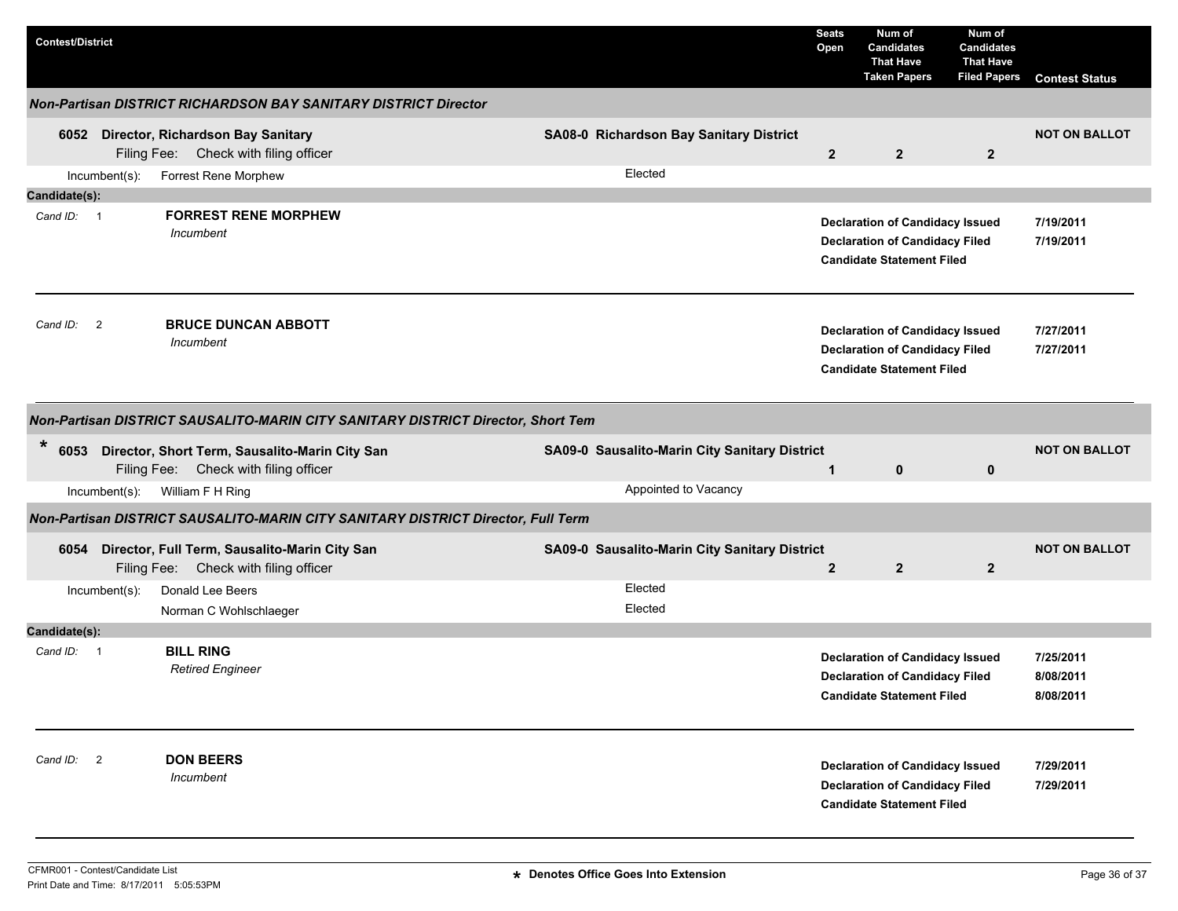| <b>Contest/District</b>    |                                                                                         |                                               | <b>Seats</b><br>Open | Num of<br><b>Candidates</b><br><b>That Have</b><br><b>Taken Papers</b>                                              | Num of<br><b>Candidates</b><br><b>That Have</b><br><b>Filed Papers</b> | <b>Contest Status</b>               |
|----------------------------|-----------------------------------------------------------------------------------------|-----------------------------------------------|----------------------|---------------------------------------------------------------------------------------------------------------------|------------------------------------------------------------------------|-------------------------------------|
|                            | <b>Non-Partisan DISTRICT RICHARDSON BAY SANITARY DISTRICT Director</b>                  |                                               |                      |                                                                                                                     |                                                                        |                                     |
|                            | 6052 Director, Richardson Bay Sanitary<br>Filing Fee: Check with filing officer         | SA08-0 Richardson Bay Sanitary District       | $\overline{2}$       | $\overline{2}$                                                                                                      | $\overline{2}$                                                         | <b>NOT ON BALLOT</b>                |
| Incumbent(s):              | Forrest Rene Morphew                                                                    | Elected                                       |                      |                                                                                                                     |                                                                        |                                     |
| Candidate(s):              |                                                                                         |                                               |                      |                                                                                                                     |                                                                        |                                     |
| Cand ID: 1                 | <b>FORREST RENE MORPHEW</b><br>Incumbent                                                |                                               |                      | <b>Declaration of Candidacy Issued</b><br><b>Declaration of Candidacy Filed</b><br><b>Candidate Statement Filed</b> |                                                                        | 7/19/2011<br>7/19/2011              |
| Cand ID:<br>$\overline{2}$ | <b>BRUCE DUNCAN ABBOTT</b><br>Incumbent                                                 |                                               |                      | <b>Declaration of Candidacy Issued</b><br><b>Declaration of Candidacy Filed</b><br><b>Candidate Statement Filed</b> |                                                                        | 7/27/2011<br>7/27/2011              |
|                            | Non-Partisan DISTRICT SAUSALITO-MARIN CITY SANITARY DISTRICT Director, Short Tem        |                                               |                      |                                                                                                                     |                                                                        |                                     |
| $\ast$<br>6053             | Director, Short Term, Sausalito-Marin City San<br>Filing Fee: Check with filing officer | SA09-0 Sausalito-Marin City Sanitary District | $\mathbf{1}$         | $\mathbf{0}$                                                                                                        | $\mathbf 0$                                                            | <b>NOT ON BALLOT</b>                |
| Incumbent(s):              | William F H Ring                                                                        | Appointed to Vacancy                          |                      |                                                                                                                     |                                                                        |                                     |
|                            | Non-Partisan DISTRICT SAUSALITO-MARIN CITY SANITARY DISTRICT Director, Full Term        |                                               |                      |                                                                                                                     |                                                                        |                                     |
| 6054                       | Director, Full Term, Sausalito-Marin City San<br>Filing Fee: Check with filing officer  | SA09-0 Sausalito-Marin City Sanitary District | $\mathbf{2}$         | $\overline{2}$                                                                                                      | $\overline{2}$                                                         | <b>NOT ON BALLOT</b>                |
| Incumbent(s):              | Donald Lee Beers<br>Norman C Wohlschlaeger                                              | Elected<br>Elected                            |                      |                                                                                                                     |                                                                        |                                     |
| Candidate(s):              |                                                                                         |                                               |                      |                                                                                                                     |                                                                        |                                     |
| Cand ID: 1                 | <b>BILL RING</b><br><b>Retired Engineer</b>                                             |                                               |                      | <b>Declaration of Candidacy Issued</b><br><b>Declaration of Candidacy Filed</b><br><b>Candidate Statement Filed</b> |                                                                        | 7/25/2011<br>8/08/2011<br>8/08/2011 |
| Cand ID: 2                 | <b>DON BEERS</b><br>Incumbent                                                           |                                               |                      | <b>Declaration of Candidacy Issued</b><br><b>Declaration of Candidacy Filed</b><br><b>Candidate Statement Filed</b> |                                                                        | 7/29/2011<br>7/29/2011              |